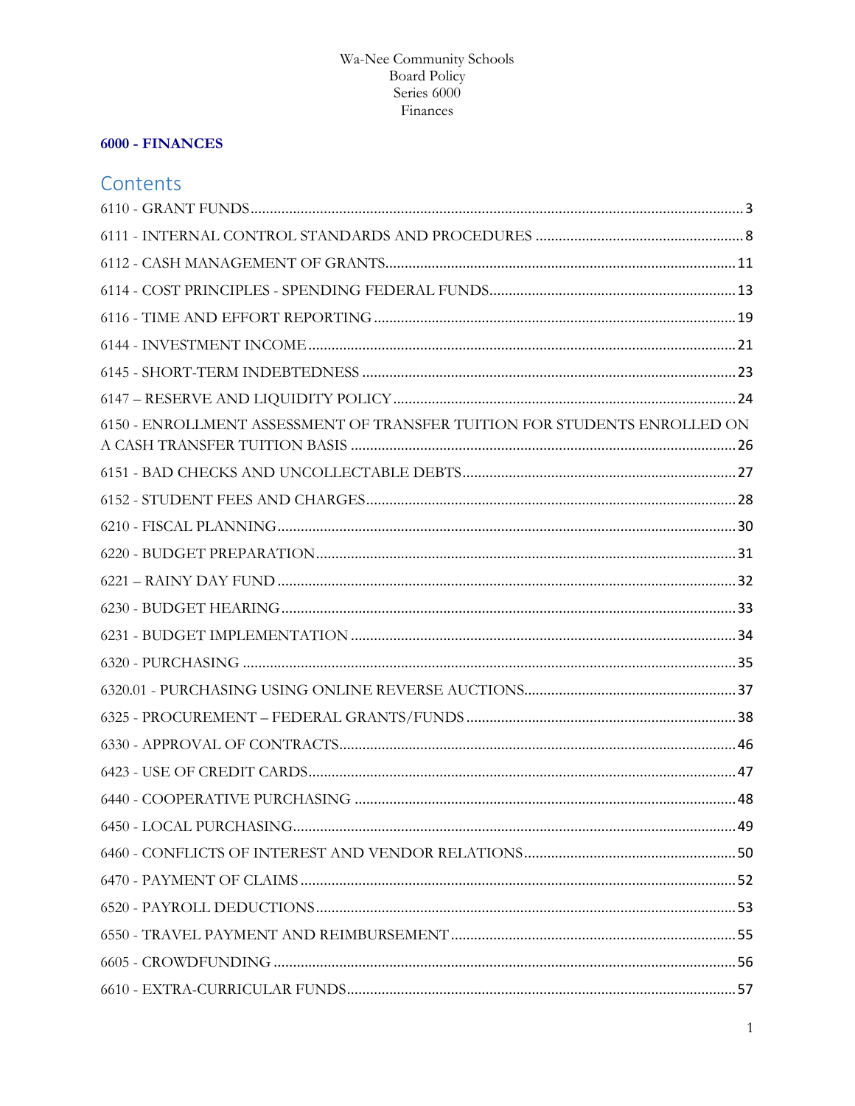# 6000 - FINANCES

# Contents

| 6150 - ENROLLMENT ASSESSMENT OF TRANSFER TUITION FOR STUDENTS ENROLLED ON |  |
|---------------------------------------------------------------------------|--|
|                                                                           |  |
|                                                                           |  |
|                                                                           |  |
|                                                                           |  |
|                                                                           |  |
|                                                                           |  |
|                                                                           |  |
|                                                                           |  |
|                                                                           |  |
|                                                                           |  |
|                                                                           |  |
|                                                                           |  |
|                                                                           |  |
|                                                                           |  |
|                                                                           |  |
|                                                                           |  |
|                                                                           |  |
|                                                                           |  |
|                                                                           |  |
|                                                                           |  |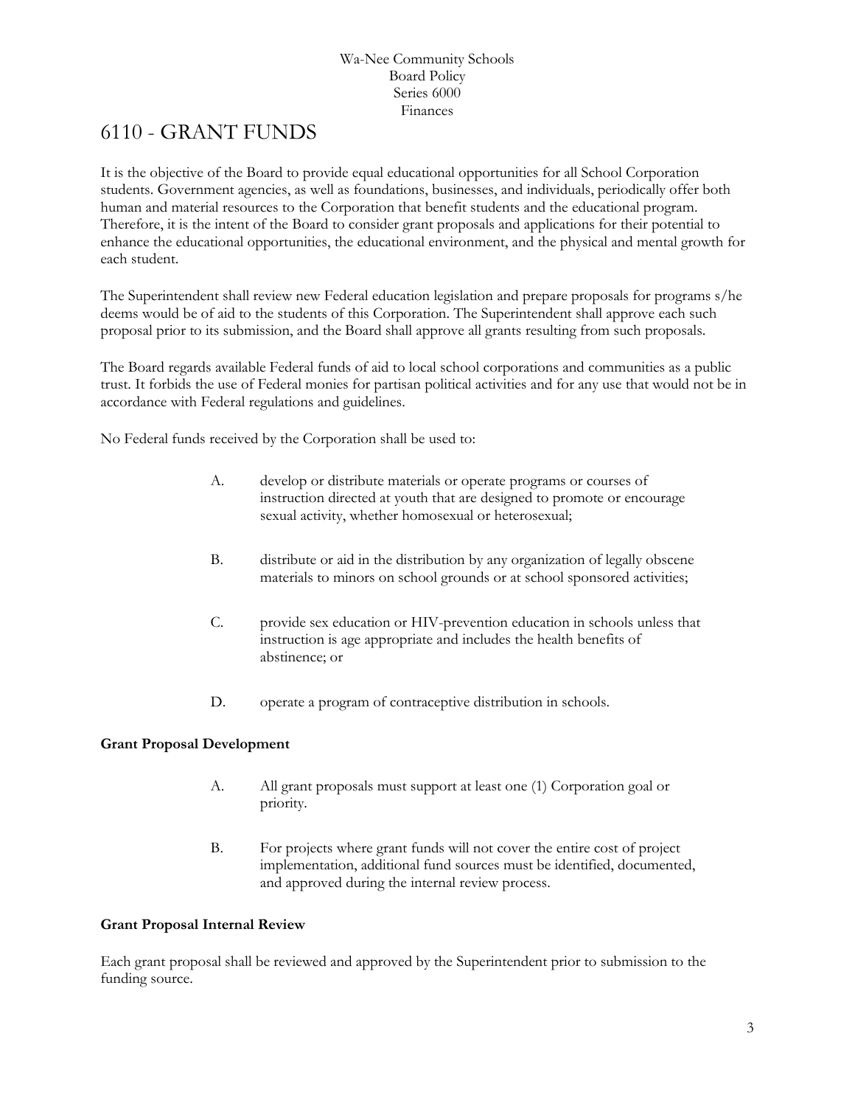# <span id="page-2-0"></span>6110 - GRANT FUNDS

It is the objective of the Board to provide equal educational opportunities for all School Corporation students. Government agencies, as well as foundations, businesses, and individuals, periodically offer both human and material resources to the Corporation that benefit students and the educational program. Therefore, it is the intent of the Board to consider grant proposals and applications for their potential to enhance the educational opportunities, the educational environment, and the physical and mental growth for each student.

The Superintendent shall review new Federal education legislation and prepare proposals for programs s/he deems would be of aid to the students of this Corporation. The Superintendent shall approve each such proposal prior to its submission, and the Board shall approve all grants resulting from such proposals.

The Board regards available Federal funds of aid to local school corporations and communities as a public trust. It forbids the use of Federal monies for partisan political activities and for any use that would not be in accordance with Federal regulations and guidelines.

No Federal funds received by the Corporation shall be used to:

- A. develop or distribute materials or operate programs or courses of instruction directed at youth that are designed to promote or encourage sexual activity, whether homosexual or heterosexual;
- B. distribute or aid in the distribution by any organization of legally obscene materials to minors on school grounds or at school sponsored activities;
- C. provide sex education or HIV-prevention education in schools unless that instruction is age appropriate and includes the health benefits of abstinence; or
- D. operate a program of contraceptive distribution in schools.

# **Grant Proposal Development**

- A. All grant proposals must support at least one (1) Corporation goal or priority.
- B. For projects where grant funds will not cover the entire cost of project implementation, additional fund sources must be identified, documented, and approved during the internal review process.

# **Grant Proposal Internal Review**

Each grant proposal shall be reviewed and approved by the Superintendent prior to submission to the funding source.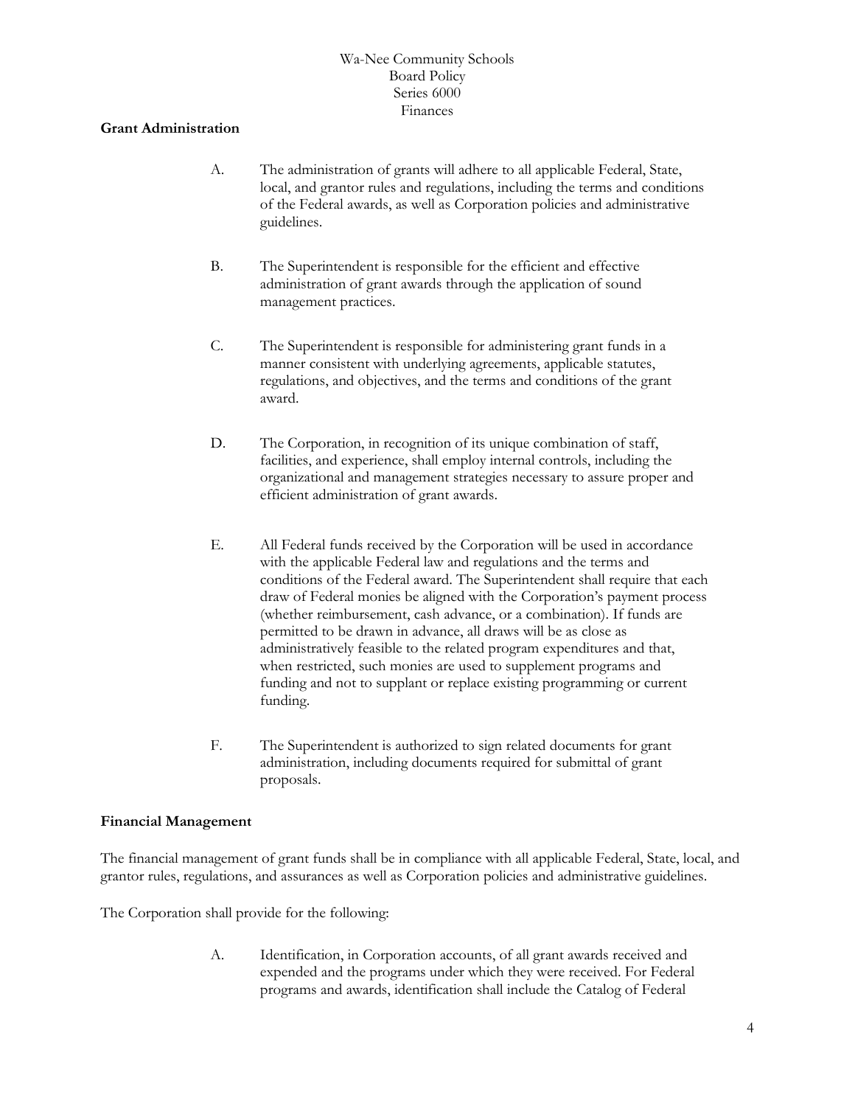#### **Grant Administration**

- A. The administration of grants will adhere to all applicable Federal, State, local, and grantor rules and regulations, including the terms and conditions of the Federal awards, as well as Corporation policies and administrative guidelines.
- B. The Superintendent is responsible for the efficient and effective administration of grant awards through the application of sound management practices.
- C. The Superintendent is responsible for administering grant funds in a manner consistent with underlying agreements, applicable statutes, regulations, and objectives, and the terms and conditions of the grant award.
- D. The Corporation, in recognition of its unique combination of staff, facilities, and experience, shall employ internal controls, including the organizational and management strategies necessary to assure proper and efficient administration of grant awards.
- E. All Federal funds received by the Corporation will be used in accordance with the applicable Federal law and regulations and the terms and conditions of the Federal award. The Superintendent shall require that each draw of Federal monies be aligned with the Corporation's payment process (whether reimbursement, cash advance, or a combination). If funds are permitted to be drawn in advance, all draws will be as close as administratively feasible to the related program expenditures and that, when restricted, such monies are used to supplement programs and funding and not to supplant or replace existing programming or current funding.
- F. The Superintendent is authorized to sign related documents for grant administration, including documents required for submittal of grant proposals.

# **Financial Management**

The financial management of grant funds shall be in compliance with all applicable Federal, State, local, and grantor rules, regulations, and assurances as well as Corporation policies and administrative guidelines.

The Corporation shall provide for the following:

A. Identification, in Corporation accounts, of all grant awards received and expended and the programs under which they were received. For Federal programs and awards, identification shall include the Catalog of Federal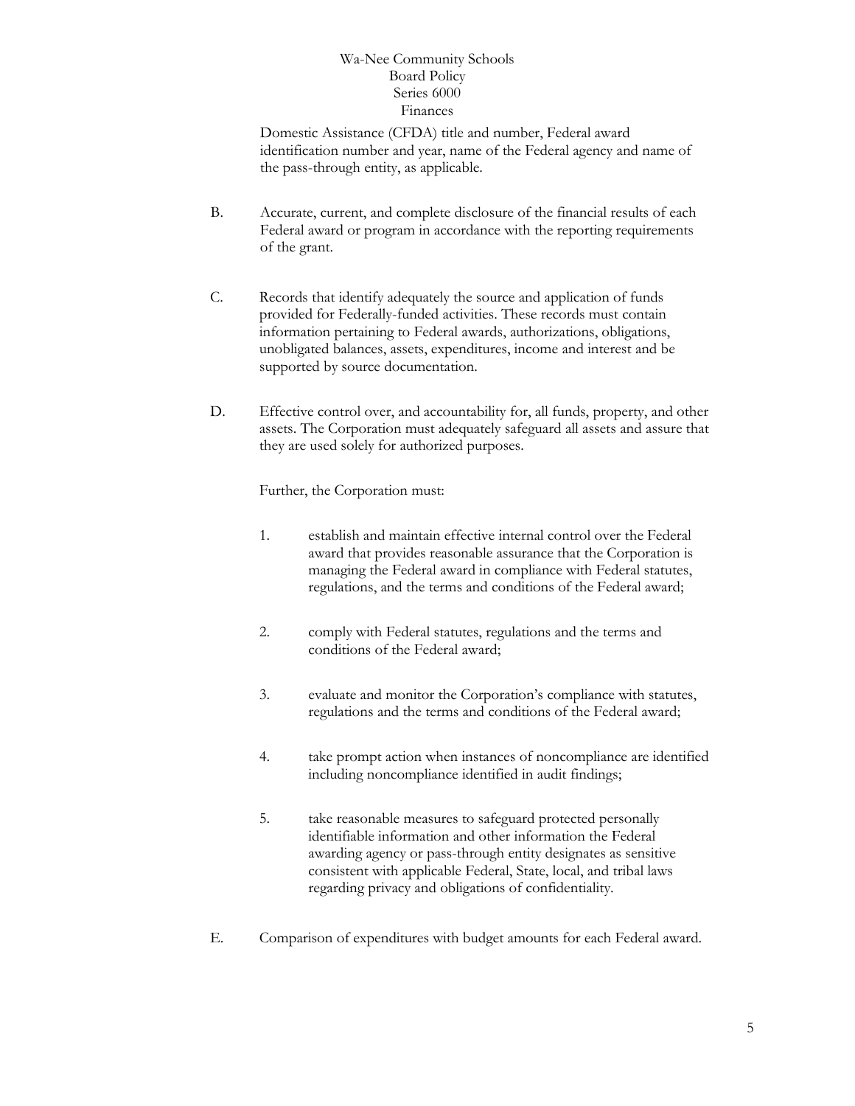Domestic Assistance (CFDA) title and number, Federal award identification number and year, name of the Federal agency and name of the pass-through entity, as applicable.

- B. Accurate, current, and complete disclosure of the financial results of each Federal award or program in accordance with the reporting requirements of the grant.
- C. Records that identify adequately the source and application of funds provided for Federally-funded activities. These records must contain information pertaining to Federal awards, authorizations, obligations, unobligated balances, assets, expenditures, income and interest and be supported by source documentation.
- D. Effective control over, and accountability for, all funds, property, and other assets. The Corporation must adequately safeguard all assets and assure that they are used solely for authorized purposes.

Further, the Corporation must:

- 1. establish and maintain effective internal control over the Federal award that provides reasonable assurance that the Corporation is managing the Federal award in compliance with Federal statutes, regulations, and the terms and conditions of the Federal award;
- 2. comply with Federal statutes, regulations and the terms and conditions of the Federal award;
- 3. evaluate and monitor the Corporation's compliance with statutes, regulations and the terms and conditions of the Federal award;
- 4. take prompt action when instances of noncompliance are identified including noncompliance identified in audit findings;
- 5. take reasonable measures to safeguard protected personally identifiable information and other information the Federal awarding agency or pass-through entity designates as sensitive consistent with applicable Federal, State, local, and tribal laws regarding privacy and obligations of confidentiality.
- E. Comparison of expenditures with budget amounts for each Federal award.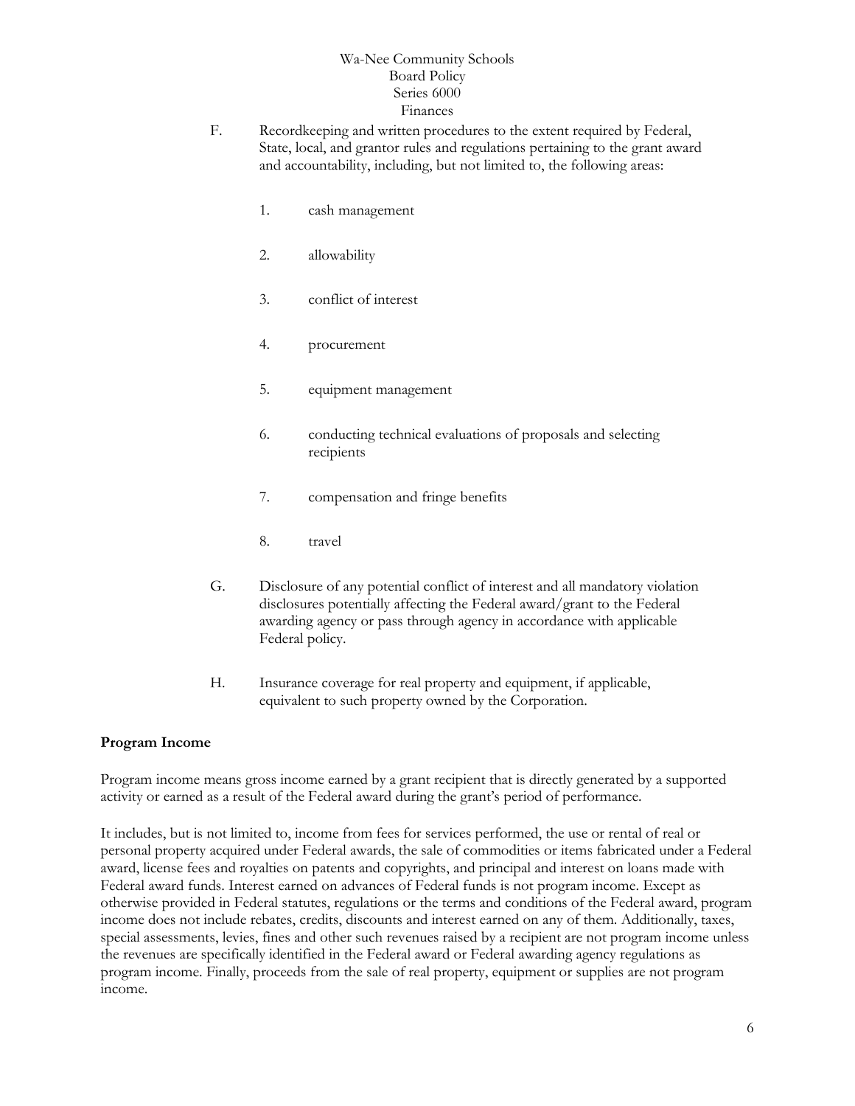- F. Recordkeeping and written procedures to the extent required by Federal, State, local, and grantor rules and regulations pertaining to the grant award and accountability, including, but not limited to, the following areas:
	- 1. cash management
	- 2. allowability
	- 3. conflict of interest
	- 4. procurement
	- 5. equipment management
	- 6. conducting technical evaluations of proposals and selecting recipients
	- 7. compensation and fringe benefits
	- 8. travel
- G. Disclosure of any potential conflict of interest and all mandatory violation disclosures potentially affecting the Federal award/grant to the Federal awarding agency or pass through agency in accordance with applicable Federal policy.
- H. Insurance coverage for real property and equipment, if applicable, equivalent to such property owned by the Corporation.

#### **Program Income**

Program income means gross income earned by a grant recipient that is directly generated by a supported activity or earned as a result of the Federal award during the grant's period of performance.

It includes, but is not limited to, income from fees for services performed, the use or rental of real or personal property acquired under Federal awards, the sale of commodities or items fabricated under a Federal award, license fees and royalties on patents and copyrights, and principal and interest on loans made with Federal award funds. Interest earned on advances of Federal funds is not program income. Except as otherwise provided in Federal statutes, regulations or the terms and conditions of the Federal award, program income does not include rebates, credits, discounts and interest earned on any of them. Additionally, taxes, special assessments, levies, fines and other such revenues raised by a recipient are not program income unless the revenues are specifically identified in the Federal award or Federal awarding agency regulations as program income. Finally, proceeds from the sale of real property, equipment or supplies are not program income.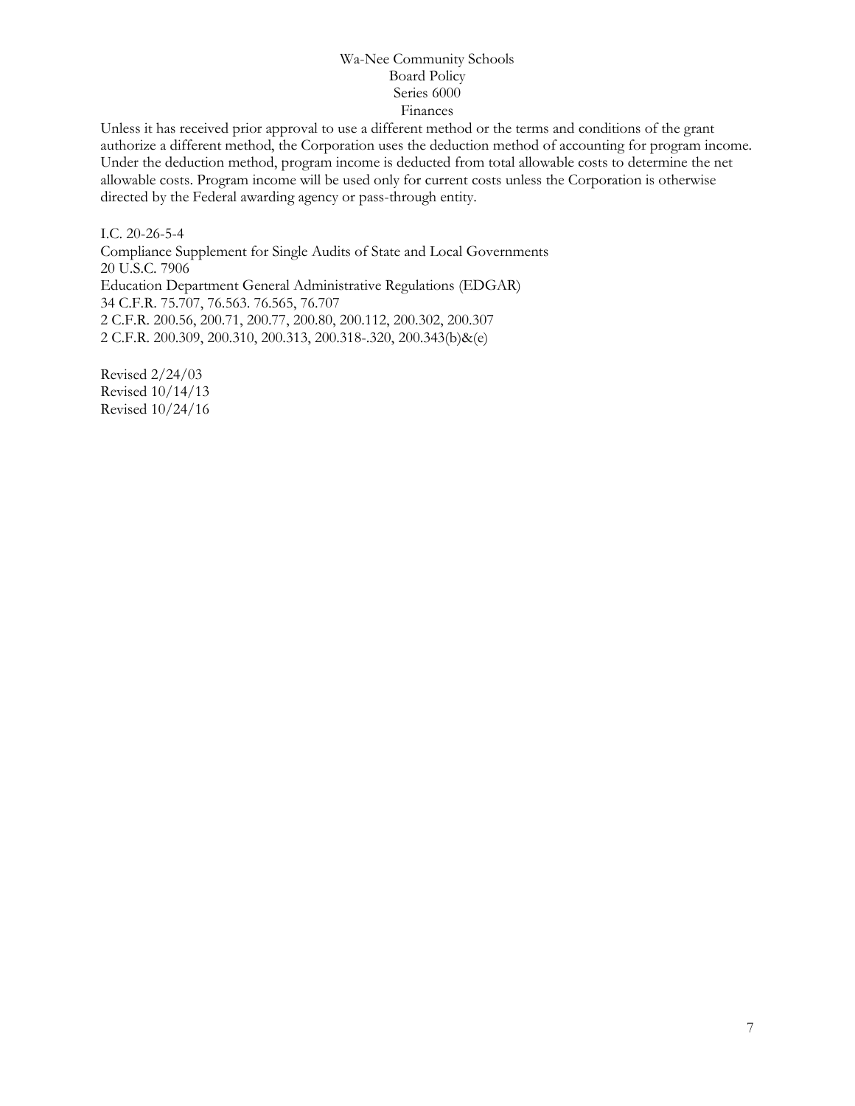Unless it has received prior approval to use a different method or the terms and conditions of the grant authorize a different method, the Corporation uses the deduction method of accounting for program income. Under the deduction method, program income is deducted from total allowable costs to determine the net allowable costs. Program income will be used only for current costs unless the Corporation is otherwise directed by the Federal awarding agency or pass-through entity.

I.C. 20-26-5-4 Compliance Supplement for Single Audits of State and Local Governments 20 U.S.C. 7906 Education Department General Administrative Regulations (EDGAR) 34 C.F.R. 75.707, 76.563. 76.565, 76.707 2 C.F.R. 200.56, 200.71, 200.77, 200.80, 200.112, 200.302, 200.307 2 C.F.R. 200.309, 200.310, 200.313, 200.318-.320, 200.343(b)&(e)

Revised 2/24/03 Revised 10/14/13 Revised 10/24/16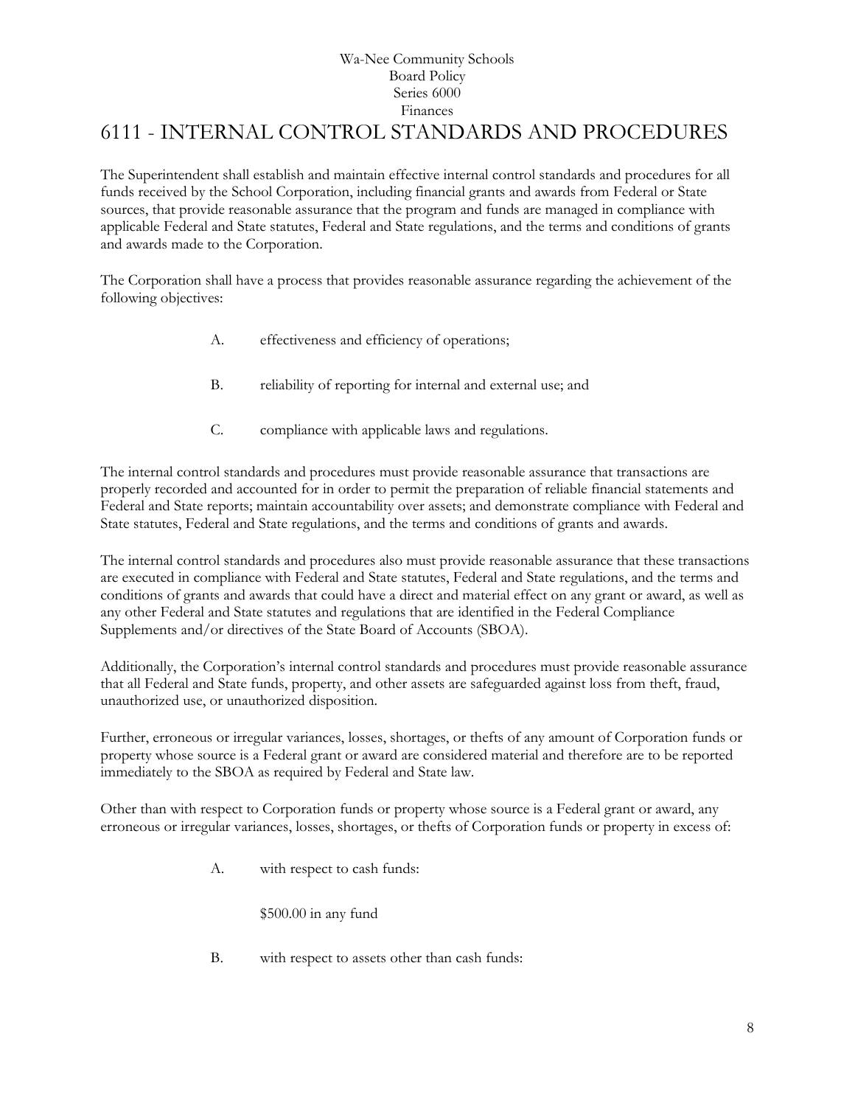# Wa-Nee Community Schools Board Policy Series 6000 Finances 6111 - INTERNAL CONTROL STANDARDS AND PROCEDURES

<span id="page-7-0"></span>The Superintendent shall establish and maintain effective internal control standards and procedures for all funds received by the School Corporation, including financial grants and awards from Federal or State sources, that provide reasonable assurance that the program and funds are managed in compliance with applicable Federal and State statutes, Federal and State regulations, and the terms and conditions of grants and awards made to the Corporation.

The Corporation shall have a process that provides reasonable assurance regarding the achievement of the following objectives:

- A. effectiveness and efficiency of operations;
- B. reliability of reporting for internal and external use; and
- C. compliance with applicable laws and regulations.

The internal control standards and procedures must provide reasonable assurance that transactions are properly recorded and accounted for in order to permit the preparation of reliable financial statements and Federal and State reports; maintain accountability over assets; and demonstrate compliance with Federal and State statutes, Federal and State regulations, and the terms and conditions of grants and awards.

The internal control standards and procedures also must provide reasonable assurance that these transactions are executed in compliance with Federal and State statutes, Federal and State regulations, and the terms and conditions of grants and awards that could have a direct and material effect on any grant or award, as well as any other Federal and State statutes and regulations that are identified in the Federal Compliance Supplements and/or directives of the State Board of Accounts (SBOA).

Additionally, the Corporation's internal control standards and procedures must provide reasonable assurance that all Federal and State funds, property, and other assets are safeguarded against loss from theft, fraud, unauthorized use, or unauthorized disposition.

Further, erroneous or irregular variances, losses, shortages, or thefts of any amount of Corporation funds or property whose source is a Federal grant or award are considered material and therefore are to be reported immediately to the SBOA as required by Federal and State law.

Other than with respect to Corporation funds or property whose source is a Federal grant or award, any erroneous or irregular variances, losses, shortages, or thefts of Corporation funds or property in excess of:

A. with respect to cash funds:

\$500.00 in any fund

B. with respect to assets other than cash funds: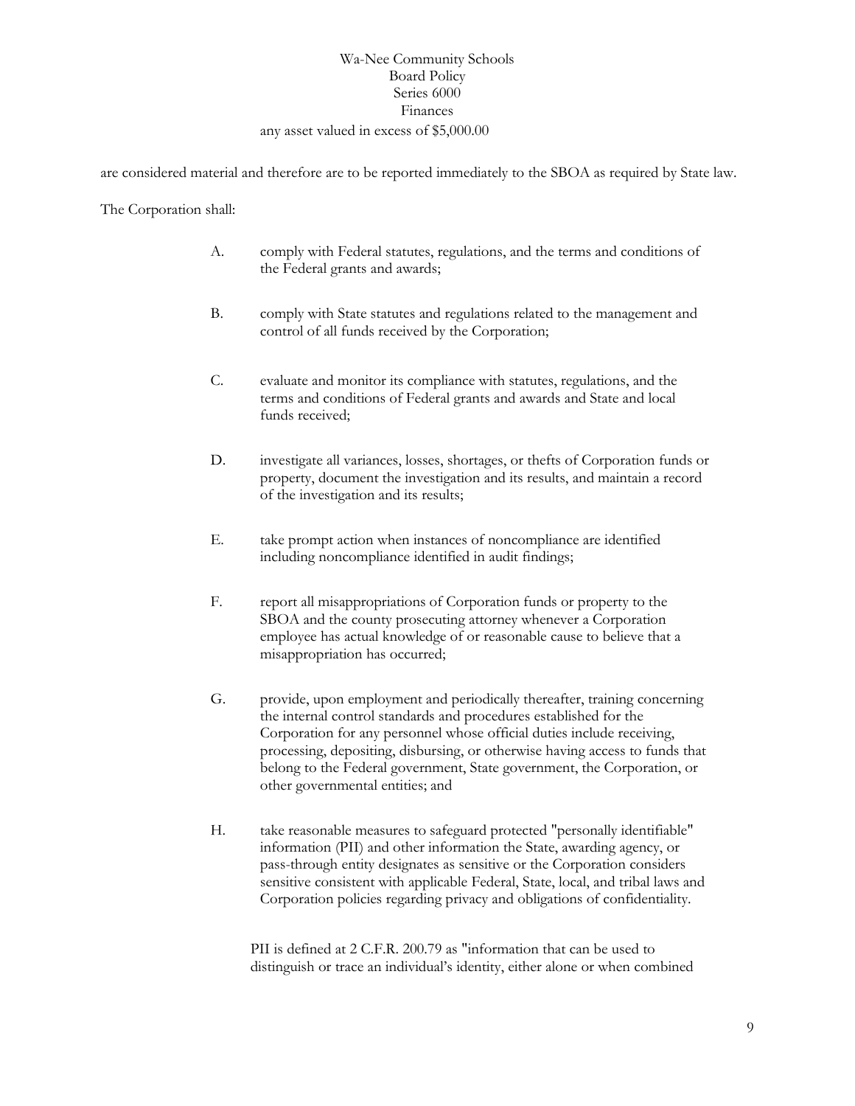# Wa-Nee Community Schools Board Policy Series 6000 Finances any asset valued in excess of \$5,000.00

are considered material and therefore are to be reported immediately to the SBOA as required by State law.

The Corporation shall:

- A. comply with Federal statutes, regulations, and the terms and conditions of the Federal grants and awards;
- B. comply with State statutes and regulations related to the management and control of all funds received by the Corporation;
- C. evaluate and monitor its compliance with statutes, regulations, and the terms and conditions of Federal grants and awards and State and local funds received;
- D. investigate all variances, losses, shortages, or thefts of Corporation funds or property, document the investigation and its results, and maintain a record of the investigation and its results;
- E. take prompt action when instances of noncompliance are identified including noncompliance identified in audit findings;
- F. report all misappropriations of Corporation funds or property to the SBOA and the county prosecuting attorney whenever a Corporation employee has actual knowledge of or reasonable cause to believe that a misappropriation has occurred;
- G. provide, upon employment and periodically thereafter, training concerning the internal control standards and procedures established for the Corporation for any personnel whose official duties include receiving, processing, depositing, disbursing, or otherwise having access to funds that belong to the Federal government, State government, the Corporation, or other governmental entities; and
- H. take reasonable measures to safeguard protected "personally identifiable" information (PII) and other information the State, awarding agency, or pass-through entity designates as sensitive or the Corporation considers sensitive consistent with applicable Federal, State, local, and tribal laws and Corporation policies regarding privacy and obligations of confidentiality.

PII is defined at 2 C.F.R. 200.79 as "information that can be used to distinguish or trace an individual's identity, either alone or when combined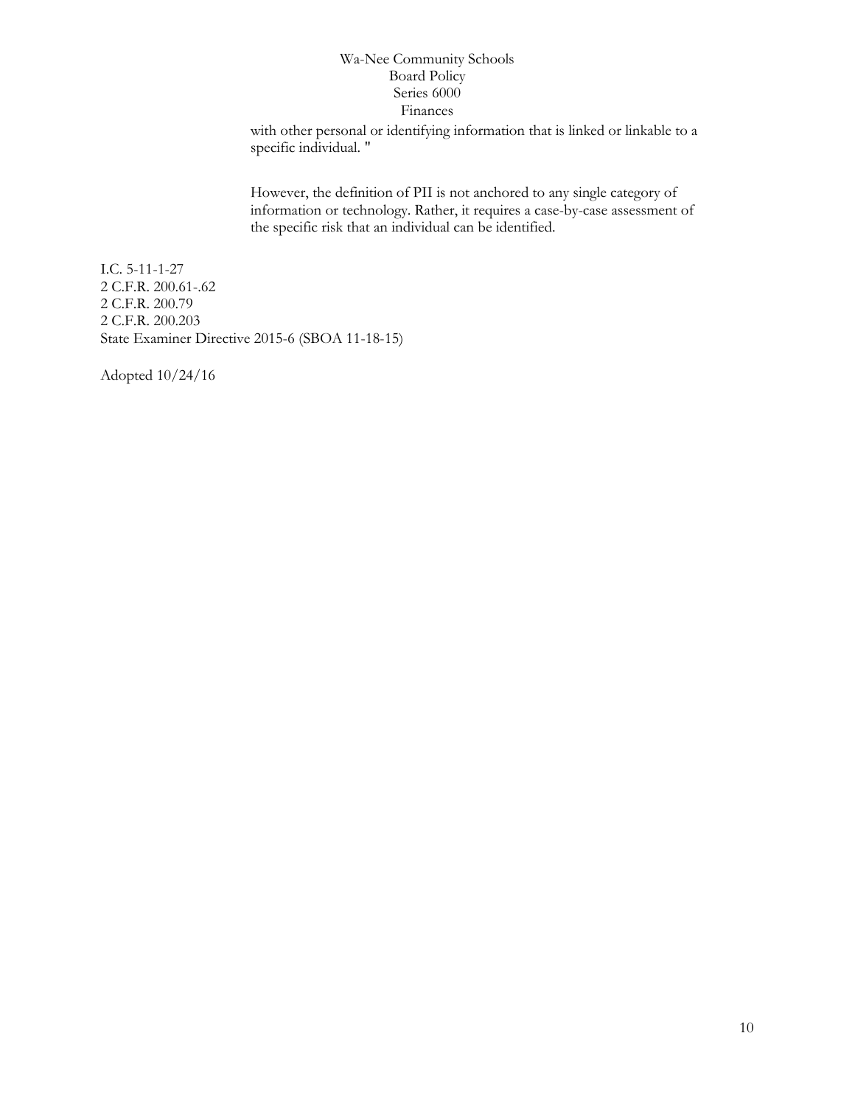with other personal or identifying information that is linked or linkable to a specific individual. "

However, the definition of PII is not anchored to any single category of information or technology. Rather, it requires a case-by-case assessment of the specific risk that an individual can be identified.

I.C. 5-11-1-27 2 C.F.R. 200.61-.62 2 C.F.R. 200.79 2 C.F.R. 200.203 State Examiner Directive 2015-6 (SBOA 11-18-15)

Adopted 10/24/16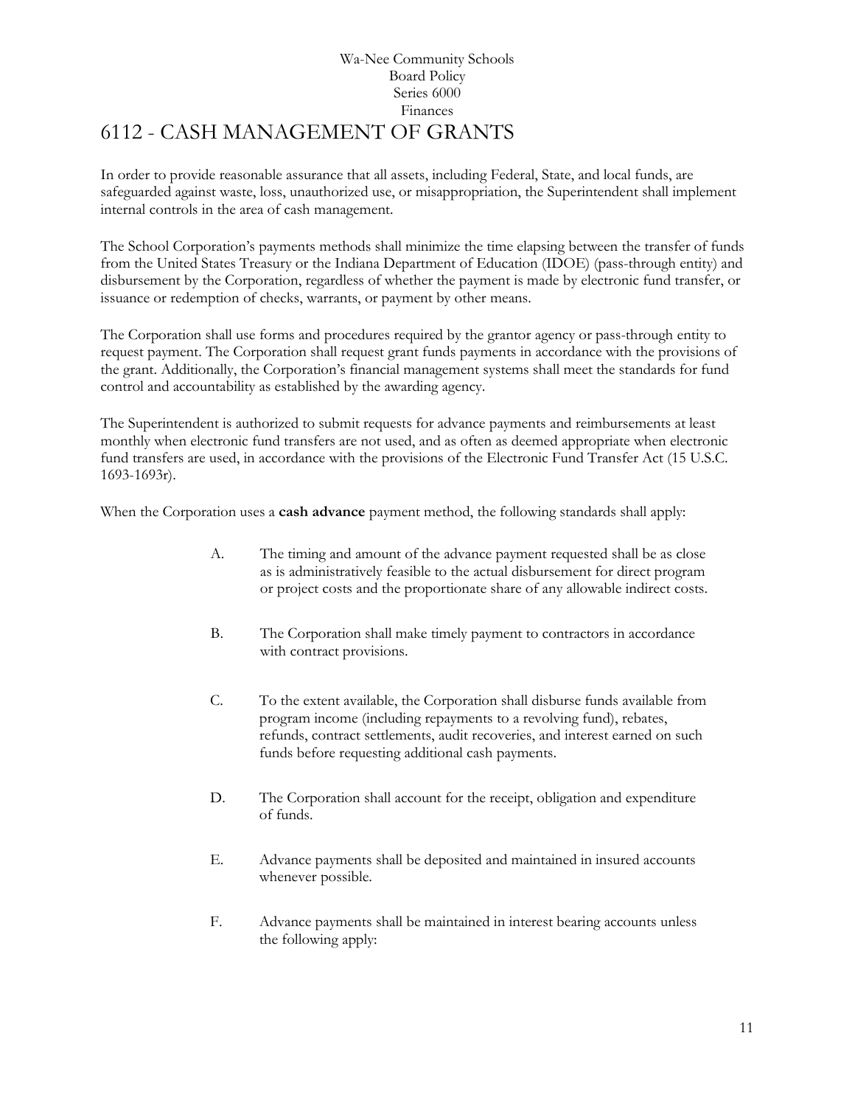# Wa-Nee Community Schools Board Policy Series 6000 Finances 6112 - CASH MANAGEMENT OF GRANTS

<span id="page-10-0"></span>In order to provide reasonable assurance that all assets, including Federal, State, and local funds, are safeguarded against waste, loss, unauthorized use, or misappropriation, the Superintendent shall implement internal controls in the area of cash management.

The School Corporation's payments methods shall minimize the time elapsing between the transfer of funds from the United States Treasury or the Indiana Department of Education (IDOE) (pass-through entity) and disbursement by the Corporation, regardless of whether the payment is made by electronic fund transfer, or issuance or redemption of checks, warrants, or payment by other means.

The Corporation shall use forms and procedures required by the grantor agency or pass-through entity to request payment. The Corporation shall request grant funds payments in accordance with the provisions of the grant. Additionally, the Corporation's financial management systems shall meet the standards for fund control and accountability as established by the awarding agency.

The Superintendent is authorized to submit requests for advance payments and reimbursements at least monthly when electronic fund transfers are not used, and as often as deemed appropriate when electronic fund transfers are used, in accordance with the provisions of the Electronic Fund Transfer Act (15 U.S.C. 1693-1693r).

When the Corporation uses a **cash advance** payment method, the following standards shall apply:

- A. The timing and amount of the advance payment requested shall be as close as is administratively feasible to the actual disbursement for direct program or project costs and the proportionate share of any allowable indirect costs.
- B. The Corporation shall make timely payment to contractors in accordance with contract provisions.
- C. To the extent available, the Corporation shall disburse funds available from program income (including repayments to a revolving fund), rebates, refunds, contract settlements, audit recoveries, and interest earned on such funds before requesting additional cash payments.
- D. The Corporation shall account for the receipt, obligation and expenditure of funds.
- E. Advance payments shall be deposited and maintained in insured accounts whenever possible.
- F. Advance payments shall be maintained in interest bearing accounts unless the following apply: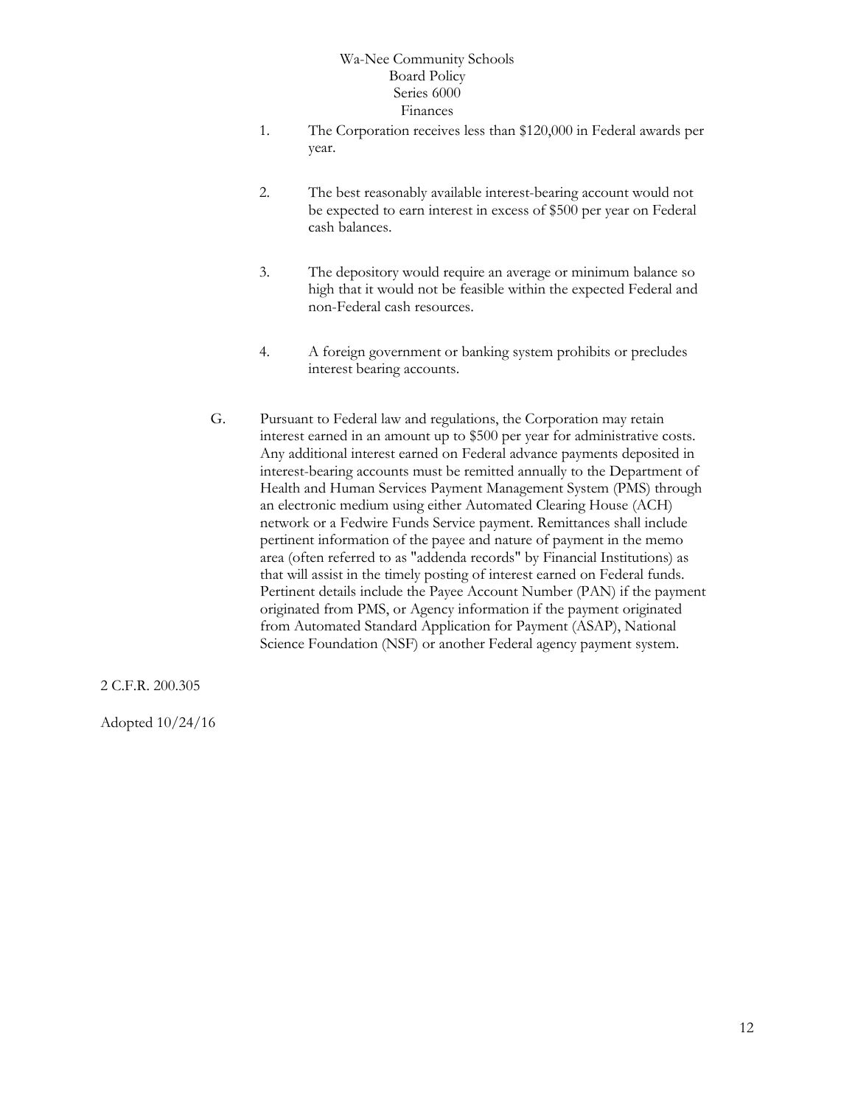- 1. The Corporation receives less than \$120,000 in Federal awards per year.
- 2. The best reasonably available interest-bearing account would not be expected to earn interest in excess of \$500 per year on Federal cash balances.
- 3. The depository would require an average or minimum balance so high that it would not be feasible within the expected Federal and non-Federal cash resources.
- 4. A foreign government or banking system prohibits or precludes interest bearing accounts.
- G. Pursuant to Federal law and regulations, the Corporation may retain interest earned in an amount up to \$500 per year for administrative costs. Any additional interest earned on Federal advance payments deposited in interest-bearing accounts must be remitted annually to the Department of Health and Human Services Payment Management System (PMS) through an electronic medium using either Automated Clearing House (ACH) network or a Fedwire Funds Service payment. Remittances shall include pertinent information of the payee and nature of payment in the memo area (often referred to as "addenda records" by Financial Institutions) as that will assist in the timely posting of interest earned on Federal funds. Pertinent details include the Payee Account Number (PAN) if the payment originated from PMS, or Agency information if the payment originated from Automated Standard Application for Payment (ASAP), National Science Foundation (NSF) or another Federal agency payment system.

2 C.F.R. 200.305

Adopted 10/24/16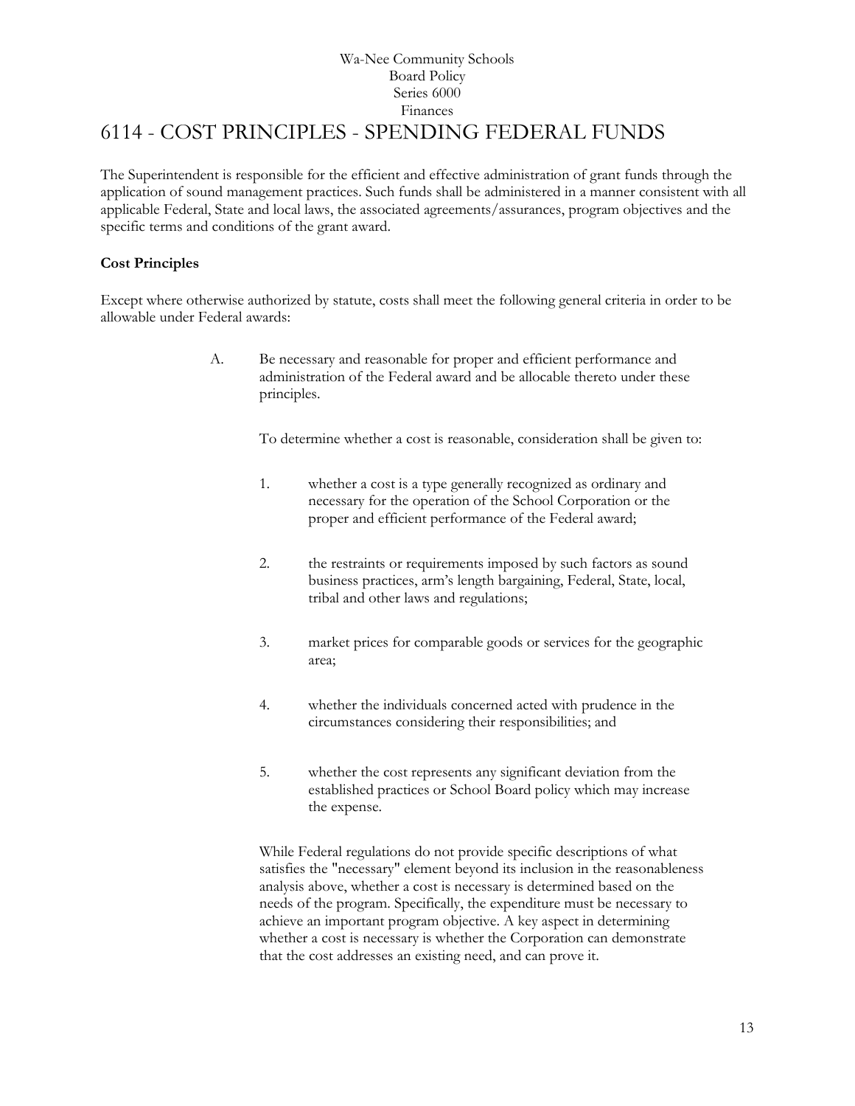# Wa-Nee Community Schools Board Policy Series 6000 Finances 6114 - COST PRINCIPLES - SPENDING FEDERAL FUNDS

<span id="page-12-0"></span>The Superintendent is responsible for the efficient and effective administration of grant funds through the application of sound management practices. Such funds shall be administered in a manner consistent with all applicable Federal, State and local laws, the associated agreements/assurances, program objectives and the specific terms and conditions of the grant award.

# **Cost Principles**

Except where otherwise authorized by statute, costs shall meet the following general criteria in order to be allowable under Federal awards:

> A. Be necessary and reasonable for proper and efficient performance and administration of the Federal award and be allocable thereto under these principles.

> > To determine whether a cost is reasonable, consideration shall be given to:

- 1. whether a cost is a type generally recognized as ordinary and necessary for the operation of the School Corporation or the proper and efficient performance of the Federal award;
- 2. the restraints or requirements imposed by such factors as sound business practices, arm's length bargaining, Federal, State, local, tribal and other laws and regulations;
- 3. market prices for comparable goods or services for the geographic area;
- 4. whether the individuals concerned acted with prudence in the circumstances considering their responsibilities; and
- 5. whether the cost represents any significant deviation from the established practices or School Board policy which may increase the expense.

While Federal regulations do not provide specific descriptions of what satisfies the "necessary" element beyond its inclusion in the reasonableness analysis above, whether a cost is necessary is determined based on the needs of the program. Specifically, the expenditure must be necessary to achieve an important program objective. A key aspect in determining whether a cost is necessary is whether the Corporation can demonstrate that the cost addresses an existing need, and can prove it.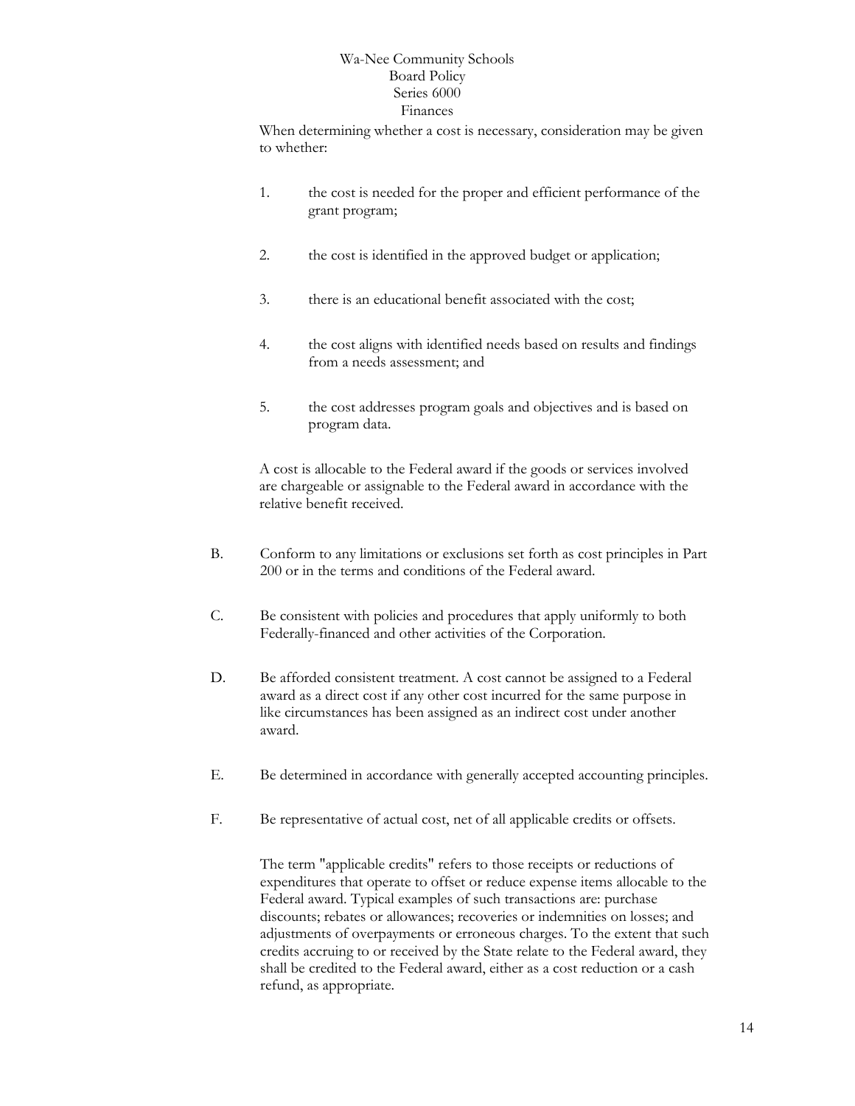When determining whether a cost is necessary, consideration may be given to whether:

- 1. the cost is needed for the proper and efficient performance of the grant program;
- 2. the cost is identified in the approved budget or application;
- 3. there is an educational benefit associated with the cost;
- 4. the cost aligns with identified needs based on results and findings from a needs assessment; and
- 5. the cost addresses program goals and objectives and is based on program data.

A cost is allocable to the Federal award if the goods or services involved are chargeable or assignable to the Federal award in accordance with the relative benefit received.

- B. Conform to any limitations or exclusions set forth as cost principles in Part 200 or in the terms and conditions of the Federal award.
- C. Be consistent with policies and procedures that apply uniformly to both Federally-financed and other activities of the Corporation.
- D. Be afforded consistent treatment. A cost cannot be assigned to a Federal award as a direct cost if any other cost incurred for the same purpose in like circumstances has been assigned as an indirect cost under another award.
- E. Be determined in accordance with generally accepted accounting principles.
- F. Be representative of actual cost, net of all applicable credits or offsets.

The term "applicable credits" refers to those receipts or reductions of expenditures that operate to offset or reduce expense items allocable to the Federal award. Typical examples of such transactions are: purchase discounts; rebates or allowances; recoveries or indemnities on losses; and adjustments of overpayments or erroneous charges. To the extent that such credits accruing to or received by the State relate to the Federal award, they shall be credited to the Federal award, either as a cost reduction or a cash refund, as appropriate.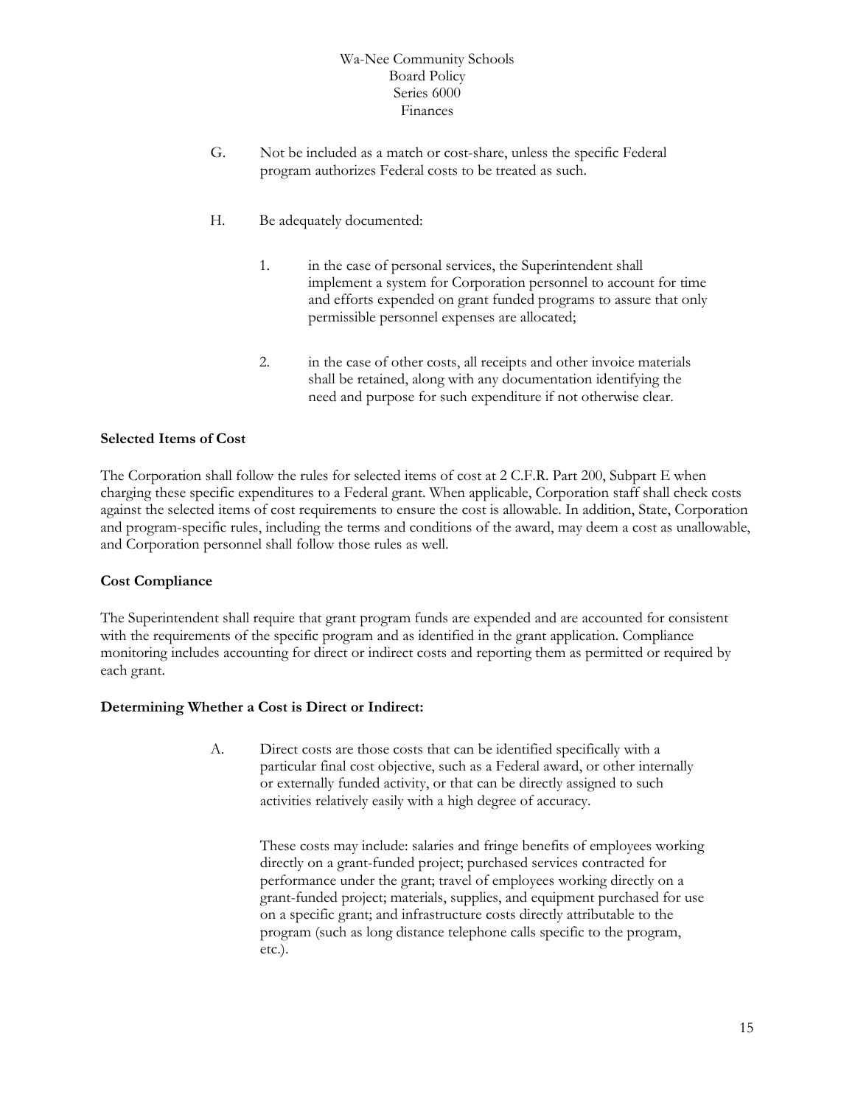- G. Not be included as a match or cost-share, unless the specific Federal program authorizes Federal costs to be treated as such.
- H. Be adequately documented:
	- 1. in the case of personal services, the Superintendent shall implement a system for Corporation personnel to account for time and efforts expended on grant funded programs to assure that only permissible personnel expenses are allocated;
	- 2. in the case of other costs, all receipts and other invoice materials shall be retained, along with any documentation identifying the need and purpose for such expenditure if not otherwise clear.

#### **Selected Items of Cost**

The Corporation shall follow the rules for selected items of cost at 2 C.F.R. Part 200, Subpart E when charging these specific expenditures to a Federal grant. When applicable, Corporation staff shall check costs against the selected items of cost requirements to ensure the cost is allowable. In addition, State, Corporation and program-specific rules, including the terms and conditions of the award, may deem a cost as unallowable, and Corporation personnel shall follow those rules as well.

#### **Cost Compliance**

The Superintendent shall require that grant program funds are expended and are accounted for consistent with the requirements of the specific program and as identified in the grant application. Compliance monitoring includes accounting for direct or indirect costs and reporting them as permitted or required by each grant.

#### **Determining Whether a Cost is Direct or Indirect:**

A. Direct costs are those costs that can be identified specifically with a particular final cost objective, such as a Federal award, or other internally or externally funded activity, or that can be directly assigned to such activities relatively easily with a high degree of accuracy.

> These costs may include: salaries and fringe benefits of employees working directly on a grant-funded project; purchased services contracted for performance under the grant; travel of employees working directly on a grant-funded project; materials, supplies, and equipment purchased for use on a specific grant; and infrastructure costs directly attributable to the program (such as long distance telephone calls specific to the program, etc.).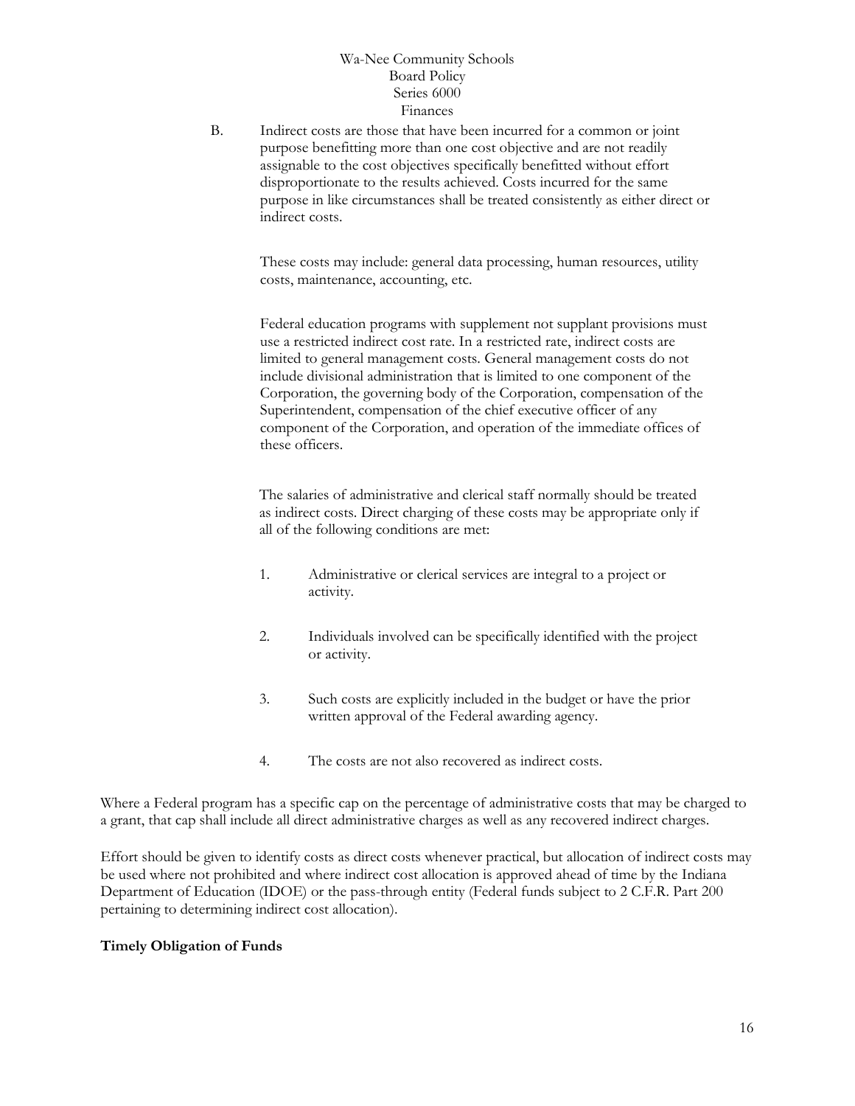B. Indirect costs are those that have been incurred for a common or joint purpose benefitting more than one cost objective and are not readily assignable to the cost objectives specifically benefitted without effort disproportionate to the results achieved. Costs incurred for the same purpose in like circumstances shall be treated consistently as either direct or indirect costs.

These costs may include: general data processing, human resources, utility costs, maintenance, accounting, etc.

Federal education programs with supplement not supplant provisions must use a restricted indirect cost rate. In a restricted rate, indirect costs are limited to general management costs. General management costs do not include divisional administration that is limited to one component of the Corporation, the governing body of the Corporation, compensation of the Superintendent, compensation of the chief executive officer of any component of the Corporation, and operation of the immediate offices of these officers.

The salaries of administrative and clerical staff normally should be treated as indirect costs. Direct charging of these costs may be appropriate only if all of the following conditions are met:

- 1. Administrative or clerical services are integral to a project or activity.
- 2. Individuals involved can be specifically identified with the project or activity.
- 3. Such costs are explicitly included in the budget or have the prior written approval of the Federal awarding agency.
- 4. The costs are not also recovered as indirect costs.

Where a Federal program has a specific cap on the percentage of administrative costs that may be charged to a grant, that cap shall include all direct administrative charges as well as any recovered indirect charges.

Effort should be given to identify costs as direct costs whenever practical, but allocation of indirect costs may be used where not prohibited and where indirect cost allocation is approved ahead of time by the Indiana Department of Education (IDOE) or the pass-through entity (Federal funds subject to 2 C.F.R. Part 200 pertaining to determining indirect cost allocation).

#### **Timely Obligation of Funds**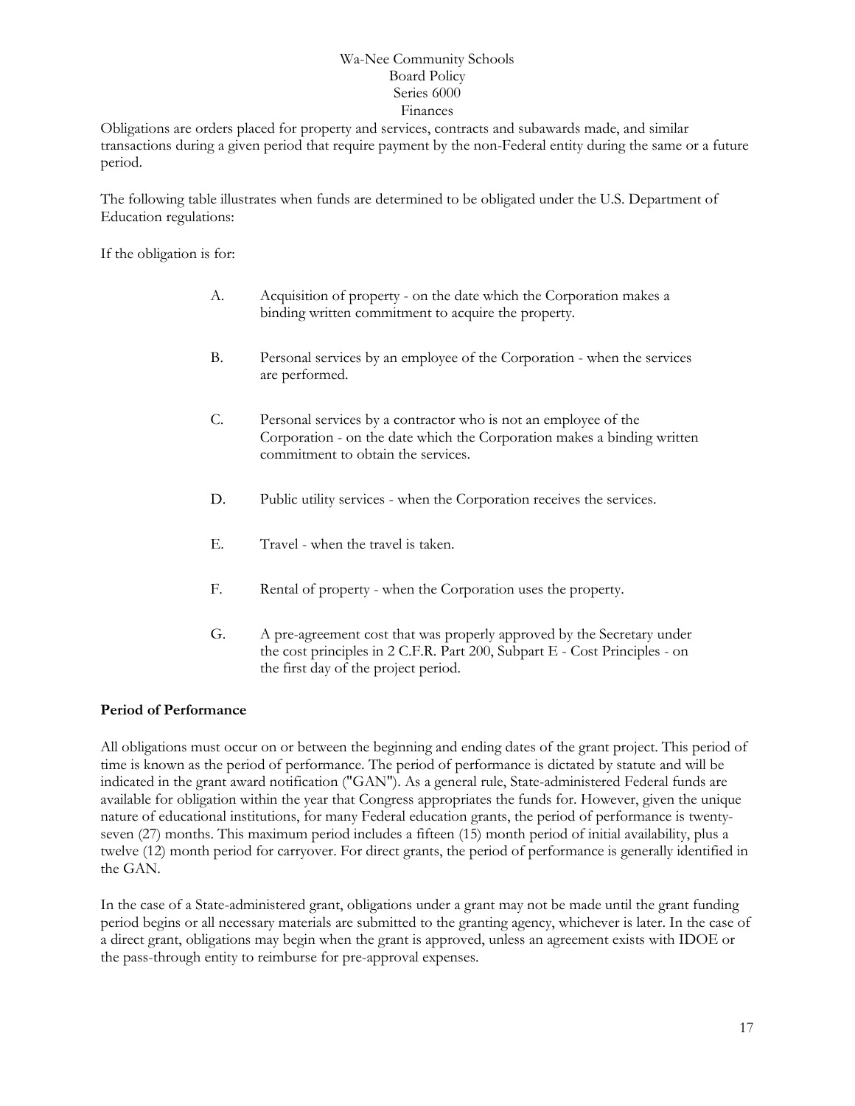Obligations are orders placed for property and services, contracts and subawards made, and similar transactions during a given period that require payment by the non-Federal entity during the same or a future period.

The following table illustrates when funds are determined to be obligated under the U.S. Department of Education regulations:

If the obligation is for:

- A. Acquisition of property on the date which the Corporation makes a binding written commitment to acquire the property.
- B. Personal services by an employee of the Corporation when the services are performed.
- C. Personal services by a contractor who is not an employee of the Corporation - on the date which the Corporation makes a binding written commitment to obtain the services.
- D. Public utility services when the Corporation receives the services.
- E. Travel when the travel is taken.
- F. Rental of property when the Corporation uses the property.
- G. A pre-agreement cost that was properly approved by the Secretary under the cost principles in 2 C.F.R. Part 200, Subpart E - Cost Principles - on the first day of the project period.

# **Period of Performance**

All obligations must occur on or between the beginning and ending dates of the grant project. This period of time is known as the period of performance. The period of performance is dictated by statute and will be indicated in the grant award notification ("GAN"). As a general rule, State-administered Federal funds are available for obligation within the year that Congress appropriates the funds for. However, given the unique nature of educational institutions, for many Federal education grants, the period of performance is twentyseven (27) months. This maximum period includes a fifteen (15) month period of initial availability, plus a twelve (12) month period for carryover. For direct grants, the period of performance is generally identified in the GAN.

In the case of a State-administered grant, obligations under a grant may not be made until the grant funding period begins or all necessary materials are submitted to the granting agency, whichever is later. In the case of a direct grant, obligations may begin when the grant is approved, unless an agreement exists with IDOE or the pass-through entity to reimburse for pre-approval expenses.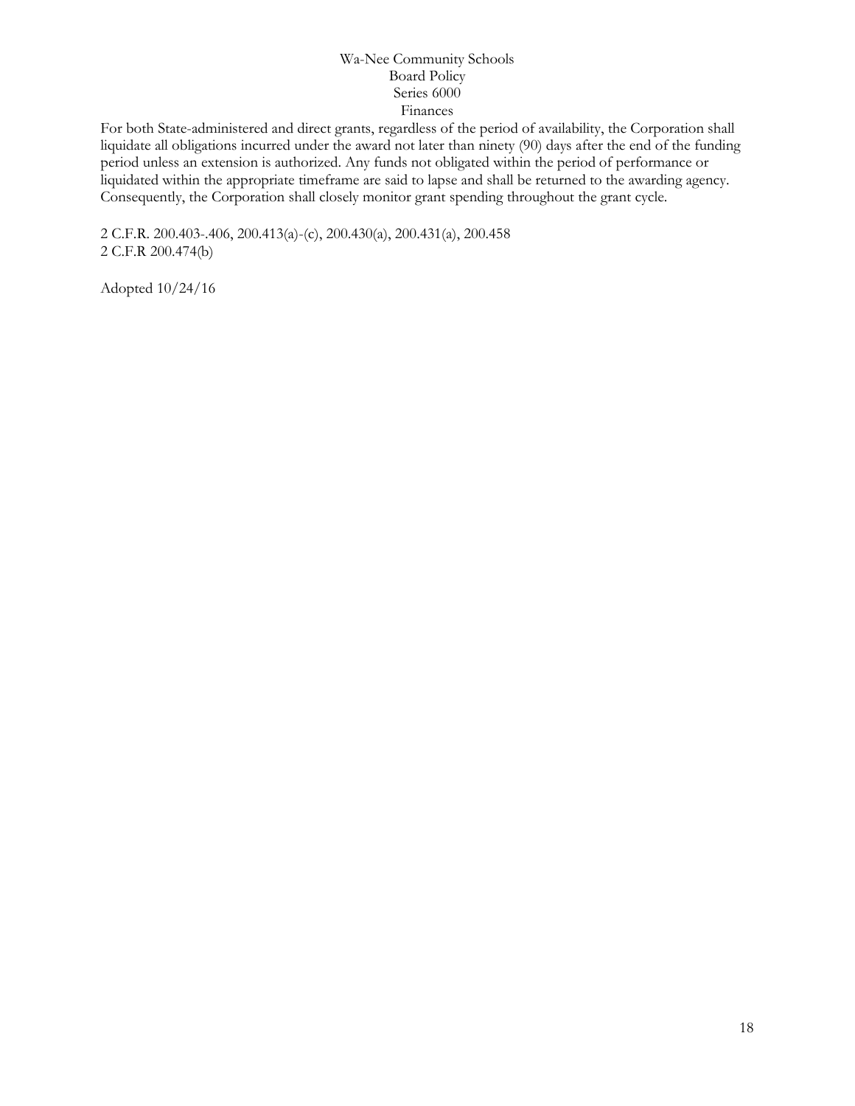For both State-administered and direct grants, regardless of the period of availability, the Corporation shall liquidate all obligations incurred under the award not later than ninety (90) days after the end of the funding period unless an extension is authorized. Any funds not obligated within the period of performance or liquidated within the appropriate timeframe are said to lapse and shall be returned to the awarding agency. Consequently, the Corporation shall closely monitor grant spending throughout the grant cycle.

2 C.F.R. 200.403-.406, 200.413(a)-(c), 200.430(a), 200.431(a), 200.458 2 C.F.R 200.474(b)

Adopted 10/24/16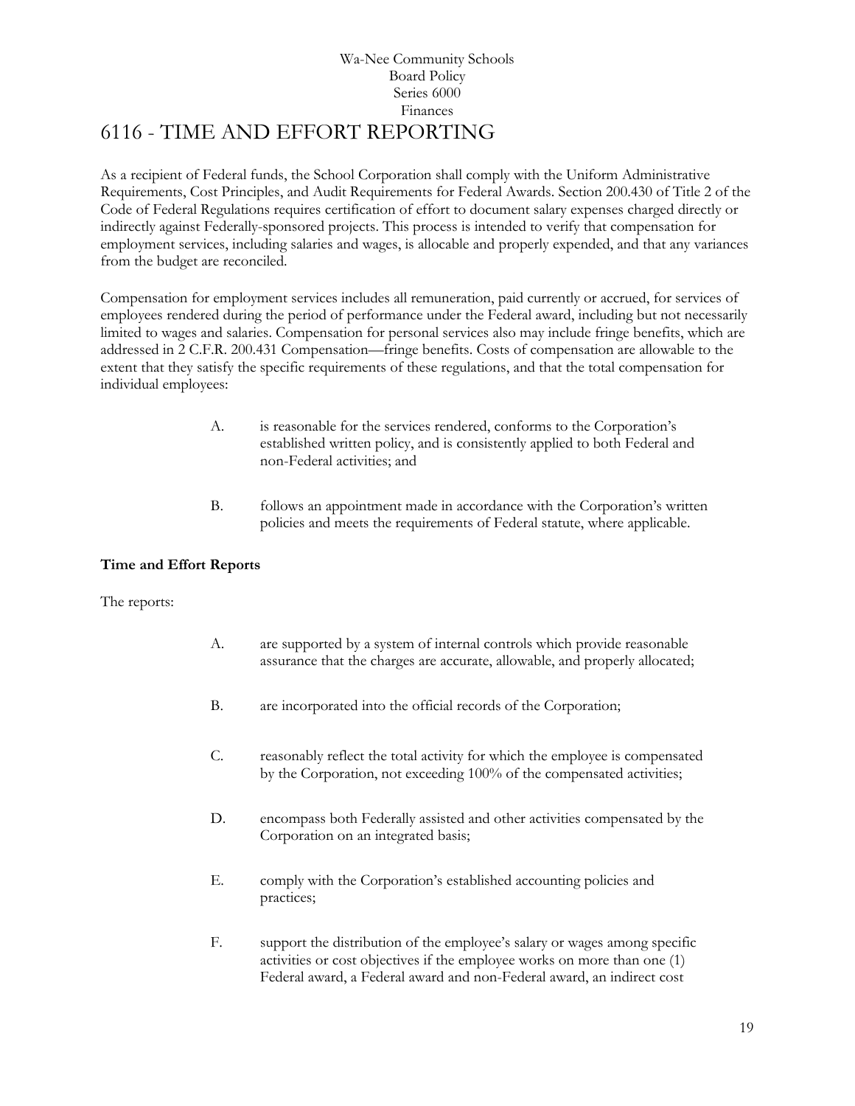# Wa-Nee Community Schools Board Policy Series 6000 Finances 6116 - TIME AND EFFORT REPORTING

<span id="page-18-0"></span>As a recipient of Federal funds, the School Corporation shall comply with the Uniform Administrative Requirements, Cost Principles, and Audit Requirements for Federal Awards. Section 200.430 of Title 2 of the Code of Federal Regulations requires certification of effort to document salary expenses charged directly or indirectly against Federally-sponsored projects. This process is intended to verify that compensation for employment services, including salaries and wages, is allocable and properly expended, and that any variances from the budget are reconciled.

Compensation for employment services includes all remuneration, paid currently or accrued, for services of employees rendered during the period of performance under the Federal award, including but not necessarily limited to wages and salaries. Compensation for personal services also may include fringe benefits, which are addressed in 2 C.F.R. 200.431 Compensation—fringe benefits. Costs of compensation are allowable to the extent that they satisfy the specific requirements of these regulations, and that the total compensation for individual employees:

- A. is reasonable for the services rendered, conforms to the Corporation's established written policy, and is consistently applied to both Federal and non-Federal activities; and
- B. follows an appointment made in accordance with the Corporation's written policies and meets the requirements of Federal statute, where applicable.

# **Time and Effort Reports**

The reports:

- A. are supported by a system of internal controls which provide reasonable assurance that the charges are accurate, allowable, and properly allocated;
- B. are incorporated into the official records of the Corporation;
- C. reasonably reflect the total activity for which the employee is compensated by the Corporation, not exceeding 100% of the compensated activities;
- D. encompass both Federally assisted and other activities compensated by the Corporation on an integrated basis;
- E. comply with the Corporation's established accounting policies and practices;
- F. support the distribution of the employee's salary or wages among specific activities or cost objectives if the employee works on more than one (1) Federal award, a Federal award and non-Federal award, an indirect cost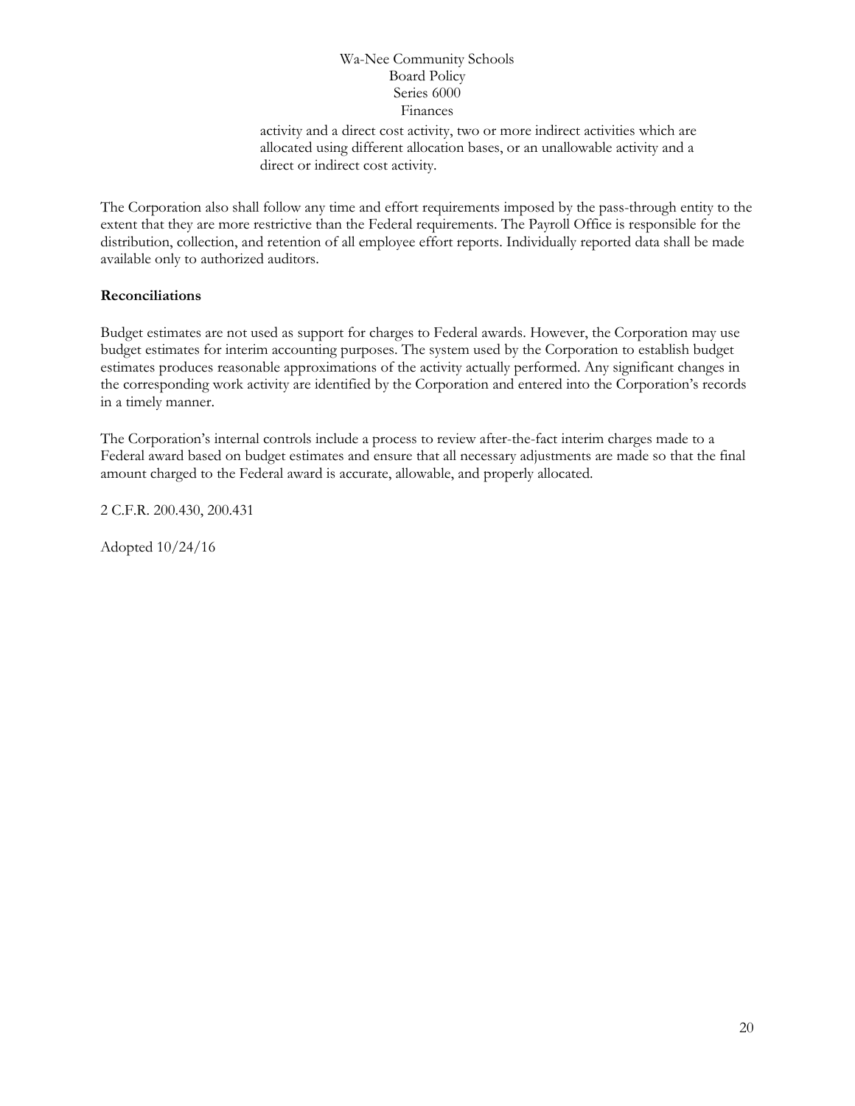activity and a direct cost activity, two or more indirect activities which are allocated using different allocation bases, or an unallowable activity and a direct or indirect cost activity.

The Corporation also shall follow any time and effort requirements imposed by the pass-through entity to the extent that they are more restrictive than the Federal requirements. The Payroll Office is responsible for the distribution, collection, and retention of all employee effort reports. Individually reported data shall be made available only to authorized auditors.

# **Reconciliations**

Budget estimates are not used as support for charges to Federal awards. However, the Corporation may use budget estimates for interim accounting purposes. The system used by the Corporation to establish budget estimates produces reasonable approximations of the activity actually performed. Any significant changes in the corresponding work activity are identified by the Corporation and entered into the Corporation's records in a timely manner.

The Corporation's internal controls include a process to review after-the-fact interim charges made to a Federal award based on budget estimates and ensure that all necessary adjustments are made so that the final amount charged to the Federal award is accurate, allowable, and properly allocated.

2 C.F.R. 200.430, 200.431

Adopted 10/24/16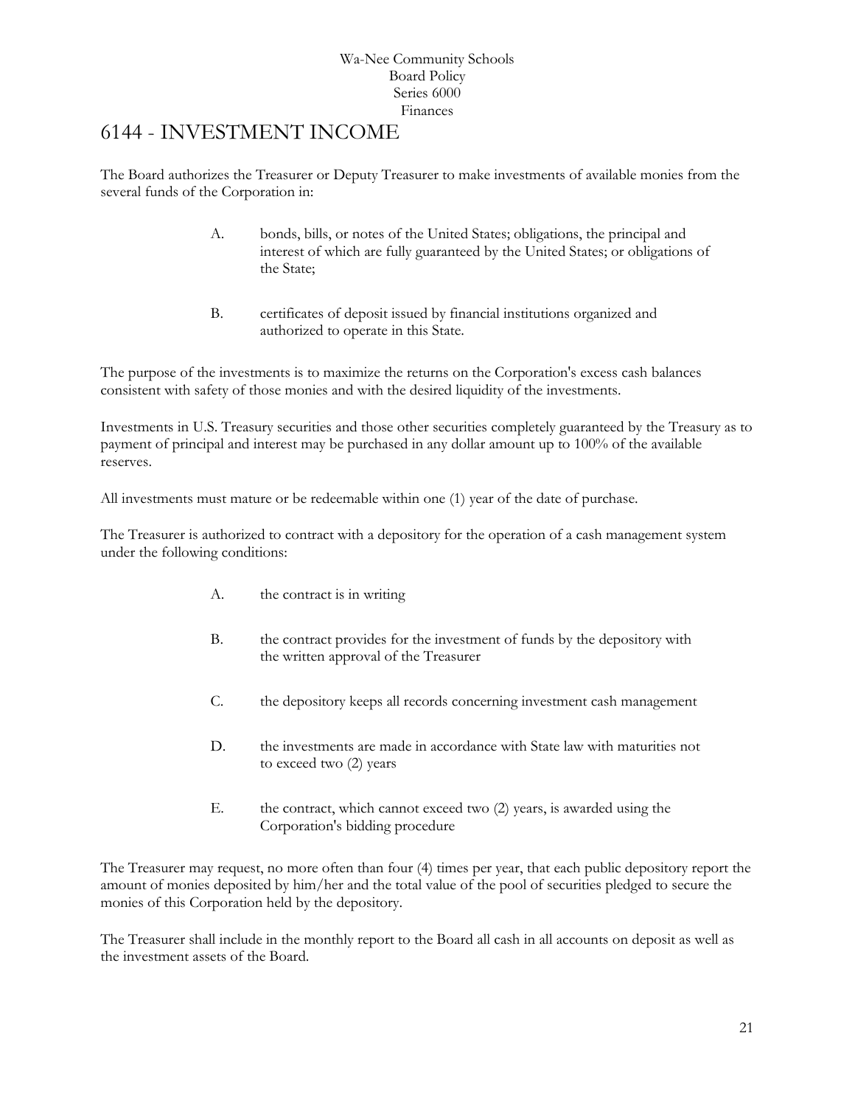# <span id="page-20-0"></span>6144 - INVESTMENT INCOME

The Board authorizes the Treasurer or Deputy Treasurer to make investments of available monies from the several funds of the Corporation in:

- A. bonds, bills, or notes of the United States; obligations, the principal and interest of which are fully guaranteed by the United States; or obligations of the State;
- B. certificates of deposit issued by financial institutions organized and authorized to operate in this State.

The purpose of the investments is to maximize the returns on the Corporation's excess cash balances consistent with safety of those monies and with the desired liquidity of the investments.

Investments in U.S. Treasury securities and those other securities completely guaranteed by the Treasury as to payment of principal and interest may be purchased in any dollar amount up to 100% of the available reserves.

All investments must mature or be redeemable within one (1) year of the date of purchase.

The Treasurer is authorized to contract with a depository for the operation of a cash management system under the following conditions:

- A. the contract is in writing
- B. the contract provides for the investment of funds by the depository with the written approval of the Treasurer
- C. the depository keeps all records concerning investment cash management
- D. the investments are made in accordance with State law with maturities not to exceed two (2) years
- E. the contract, which cannot exceed two (2) years, is awarded using the Corporation's bidding procedure

The Treasurer may request, no more often than four (4) times per year, that each public depository report the amount of monies deposited by him/her and the total value of the pool of securities pledged to secure the monies of this Corporation held by the depository.

The Treasurer shall include in the monthly report to the Board all cash in all accounts on deposit as well as the investment assets of the Board.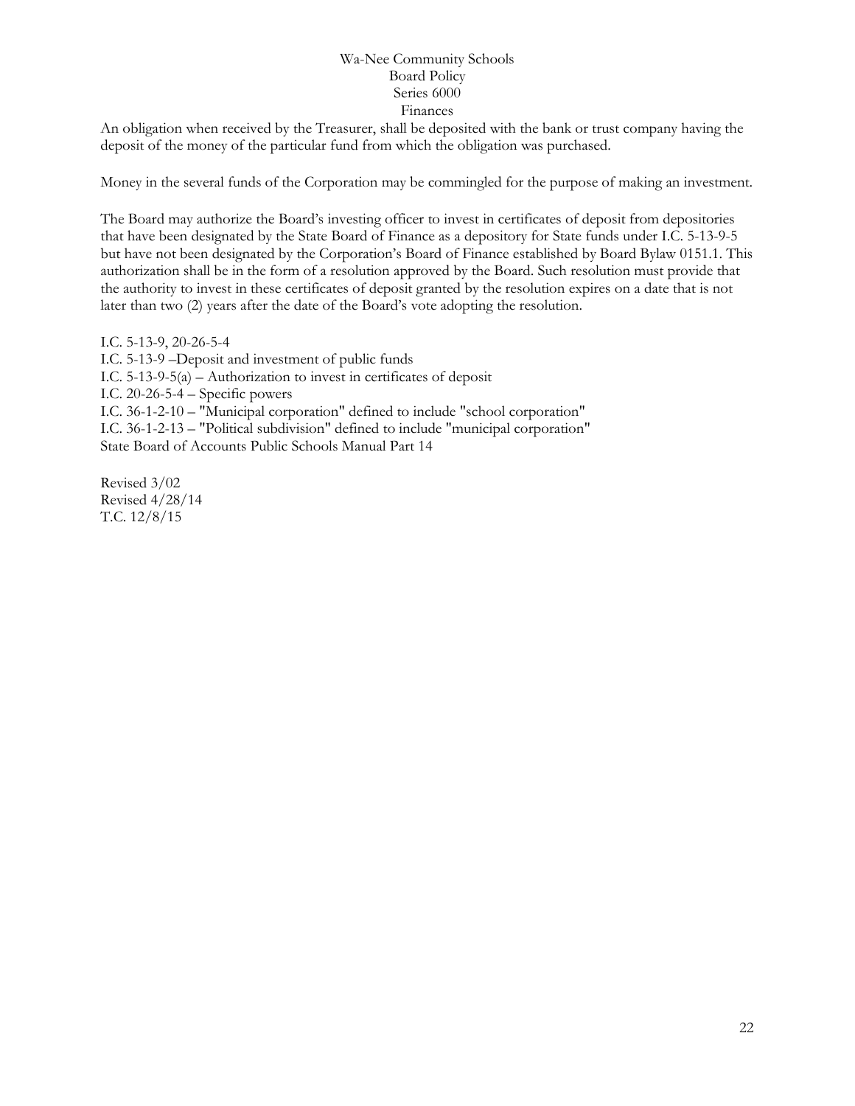An obligation when received by the Treasurer, shall be deposited with the bank or trust company having the deposit of the money of the particular fund from which the obligation was purchased.

Money in the several funds of the Corporation may be commingled for the purpose of making an investment.

The Board may authorize the Board's investing officer to invest in certificates of deposit from depositories that have been designated by the State Board of Finance as a depository for State funds under I.C. 5-13-9-5 but have not been designated by the Corporation's Board of Finance established by Board Bylaw 0151.1. This authorization shall be in the form of a resolution approved by the Board. Such resolution must provide that the authority to invest in these certificates of deposit granted by the resolution expires on a date that is not later than two (2) years after the date of the Board's vote adopting the resolution.

I.C. 5-13-9, 20-26-5-4 I.C. 5-13-9 –Deposit and investment of public funds I.C. 5-13-9-5(a) – Authorization to invest in certificates of deposit I.C. 20-26-5-4 – Specific powers I.C. 36-1-2-10 – "Municipal corporation" defined to include "school corporation" I.C. 36-1-2-13 – "Political subdivision" defined to include "municipal corporation" State Board of Accounts Public Schools Manual Part 14

Revised 3/02 Revised 4/28/14 T.C. 12/8/15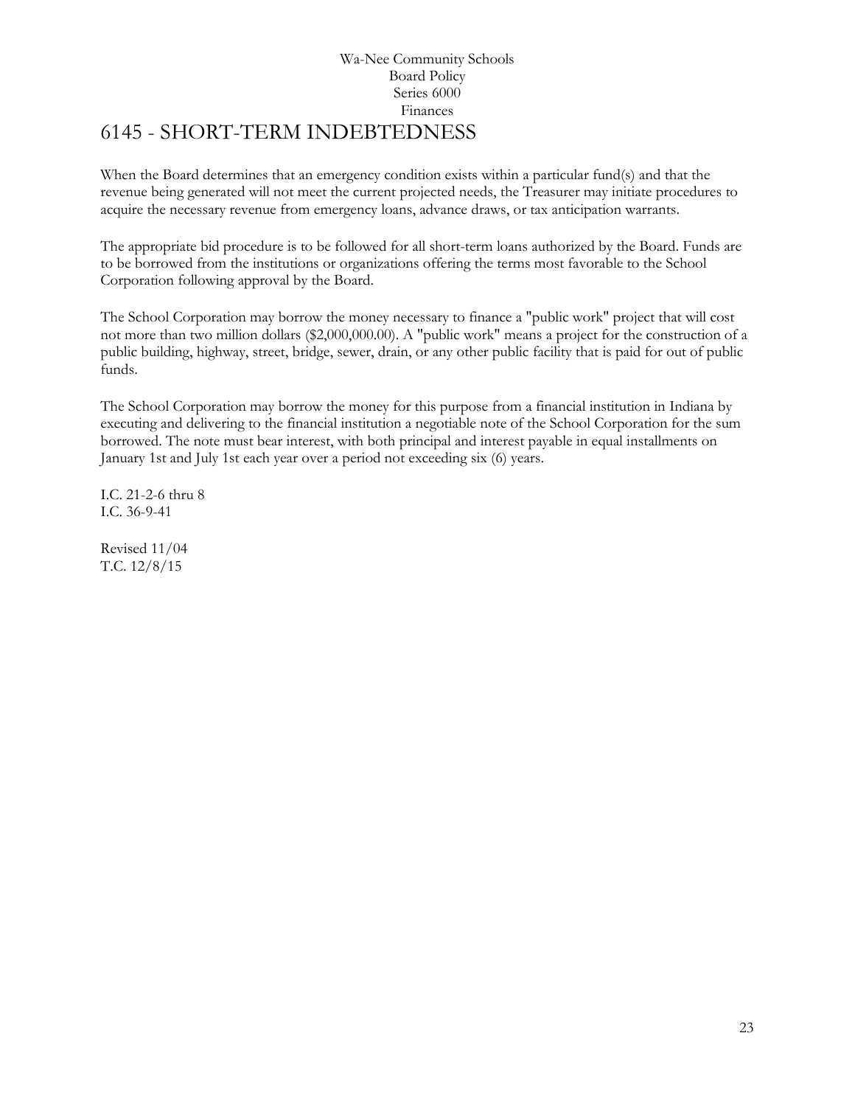# Wa-Nee Community Schools Board Policy Series 6000 Finances [6145](http://www.neola.com/wanee-in/search/ag/ag6145.htm) - SHORT-TERM INDEBTEDNESS

<span id="page-22-0"></span>When the Board determines that an emergency condition exists within a particular fund(s) and that the revenue being generated will not meet the current projected needs, the Treasurer may initiate procedures to acquire the necessary revenue from emergency loans, advance draws, or tax anticipation warrants.

The appropriate bid procedure is to be followed for all short-term loans authorized by the Board. Funds are to be borrowed from the institutions or organizations offering the terms most favorable to the School Corporation following approval by the Board.

The School Corporation may borrow the money necessary to finance a "public work" project that will cost not more than two million dollars (\$2,000,000.00). A "public work" means a project for the construction of a public building, highway, street, bridge, sewer, drain, or any other public facility that is paid for out of public funds.

The School Corporation may borrow the money for this purpose from a financial institution in Indiana by executing and delivering to the financial institution a negotiable note of the School Corporation for the sum borrowed. The note must bear interest, with both principal and interest payable in equal installments on January 1st and July 1st each year over a period not exceeding six (6) years.

I.C. 21-2-6 thru 8 I.C. 36-9-41

Revised 11/04 T.C. 12/8/15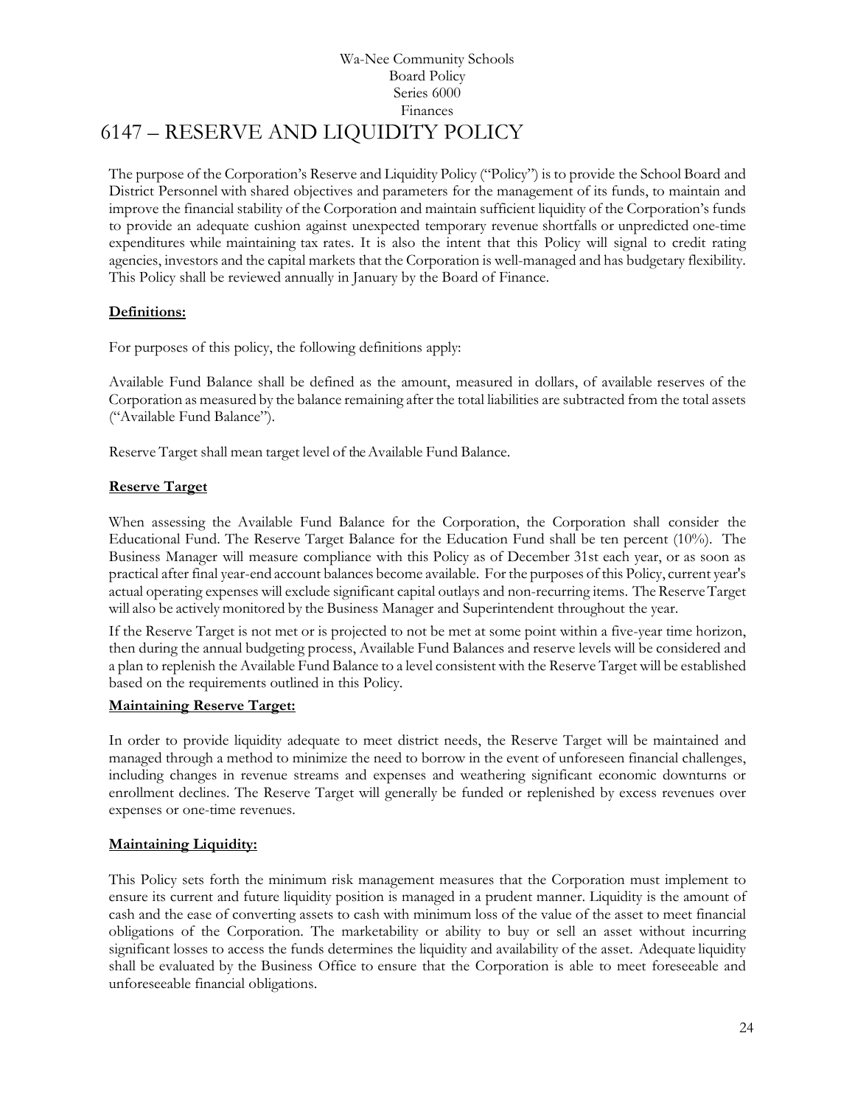# Wa-Nee Community Schools Board Policy Series 6000 Finances 6147 – RESERVE AND LIQUIDITY POLICY

<span id="page-23-0"></span>The purpose of the Corporation's Reserve and Liquidity Policy ("Policy") is to provide the School Board and District Personnel with shared objectives and parameters for the management of its funds, to maintain and improve the financial stability of the Corporation and maintain sufficient liquidity of the Corporation's funds to provide an adequate cushion against unexpected temporary revenue shortfalls or unpredicted one-time expenditures while maintaining tax rates. It is also the intent that this Policy will signal to credit rating agencies, investors and the capital markets that the Corporation is well-managed and has budgetary flexibility. This Policy shall be reviewed annually in January by the Board of Finance.

# **Definitions:**

For purposes of this policy, the following definitions apply:

Available Fund Balance shall be defined as the amount, measured in dollars, of available reserves of the Corporation as measured by the balance remaining after the total liabilities are subtracted from the total assets ("Available Fund Balance").

Reserve Target shall mean target level of the Available Fund Balance.

# **Reserve Target**

When assessing the Available Fund Balance for the Corporation, the Corporation shall consider the Educational Fund. The Reserve Target Balance for the Education Fund shall be ten percent (10%). The Business Manager will measure compliance with this Policy as of December 31st each year, or as soon as practical after final year-end account balances become available. For the purposes of this Policy, current year's actual operating expenses will exclude significant capital outlays and non-recurring items. TheReserveTarget will also be actively monitored by the Business Manager and Superintendent throughout the year.

If the Reserve Target is not met or is projected to not be met at some point within a five-year time horizon, then during the annual budgeting process, Available Fund Balances and reserve levels will be considered and a plan to replenish the Available Fund Balance to a level consistent with the Reserve Target will be established based on the requirements outlined in this Policy.

# **Maintaining Reserve Target:**

In order to provide liquidity adequate to meet district needs, the Reserve Target will be maintained and managed through a method to minimize the need to borrow in the event of unforeseen financial challenges, including changes in revenue streams and expenses and weathering significant economic downturns or enrollment declines. The Reserve Target will generally be funded or replenished by excess revenues over expenses or one-time revenues.

# **Maintaining Liquidity:**

This Policy sets forth the minimum risk management measures that the Corporation must implement to ensure its current and future liquidity position is managed in a prudent manner. Liquidity is the amount of cash and the ease of converting assets to cash with minimum loss of the value of the asset to meet financial obligations of the Corporation. The marketability or ability to buy or sell an asset without incurring significant losses to access the funds determines the liquidity and availability of the asset. Adequate liquidity shall be evaluated by the Business Office to ensure that the Corporation is able to meet foreseeable and unforeseeable financial obligations.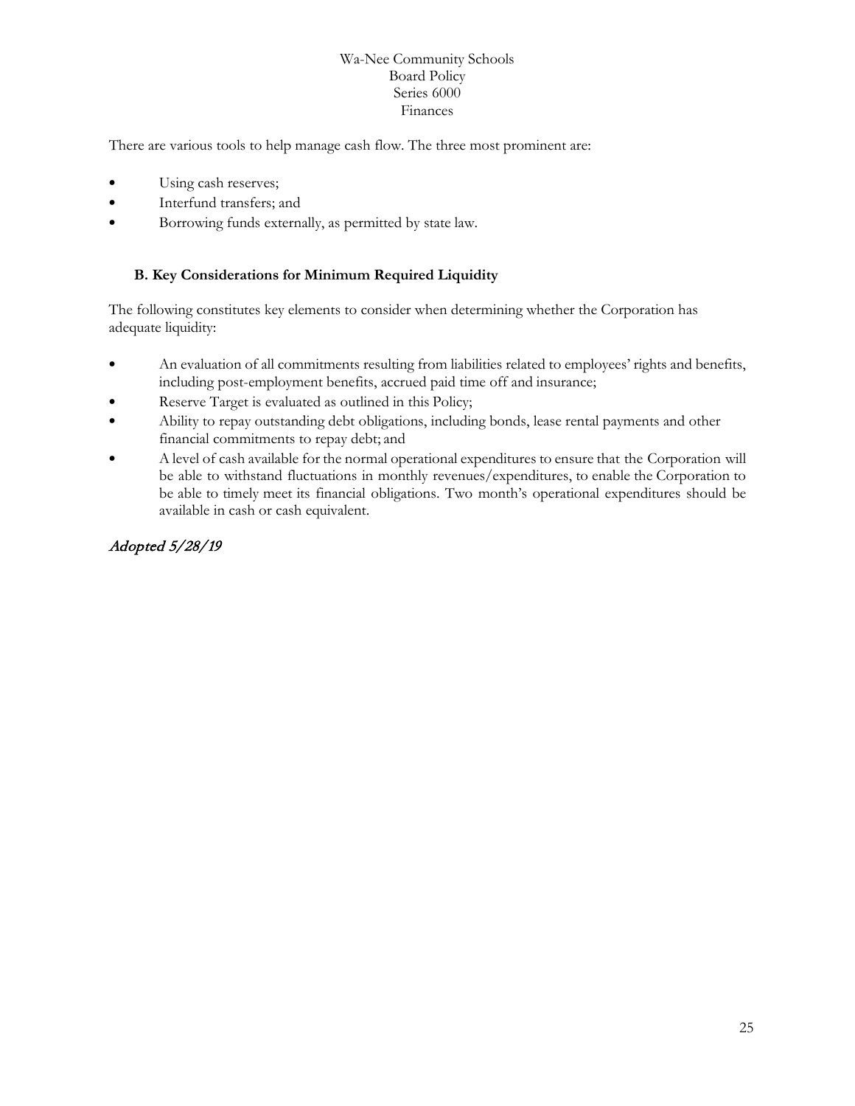There are various tools to help manage cash flow. The three most prominent are:

- Using cash reserves;
- Interfund transfers; and
- Borrowing funds externally, as permitted by state law.

# **B. Key Considerations for Minimum Required Liquidity**

The following constitutes key elements to consider when determining whether the Corporation has adequate liquidity:

- An evaluation of all commitments resulting from liabilities related to employees' rights and benefits, including post-employment benefits, accrued paid time off and insurance;
- Reserve Target is evaluated as outlined in this Policy;
- Ability to repay outstanding debt obligations, including bonds, lease rental payments and other financial commitments to repay debt; and
- A level of cash available for the normal operational expenditures to ensure that the Corporation will be able to withstand fluctuations in monthly revenues/expenditures, to enable the Corporation to be able to timely meet its financial obligations. Two month's operational expenditures should be available in cash or cash equivalent.

# Adopted 5/28/19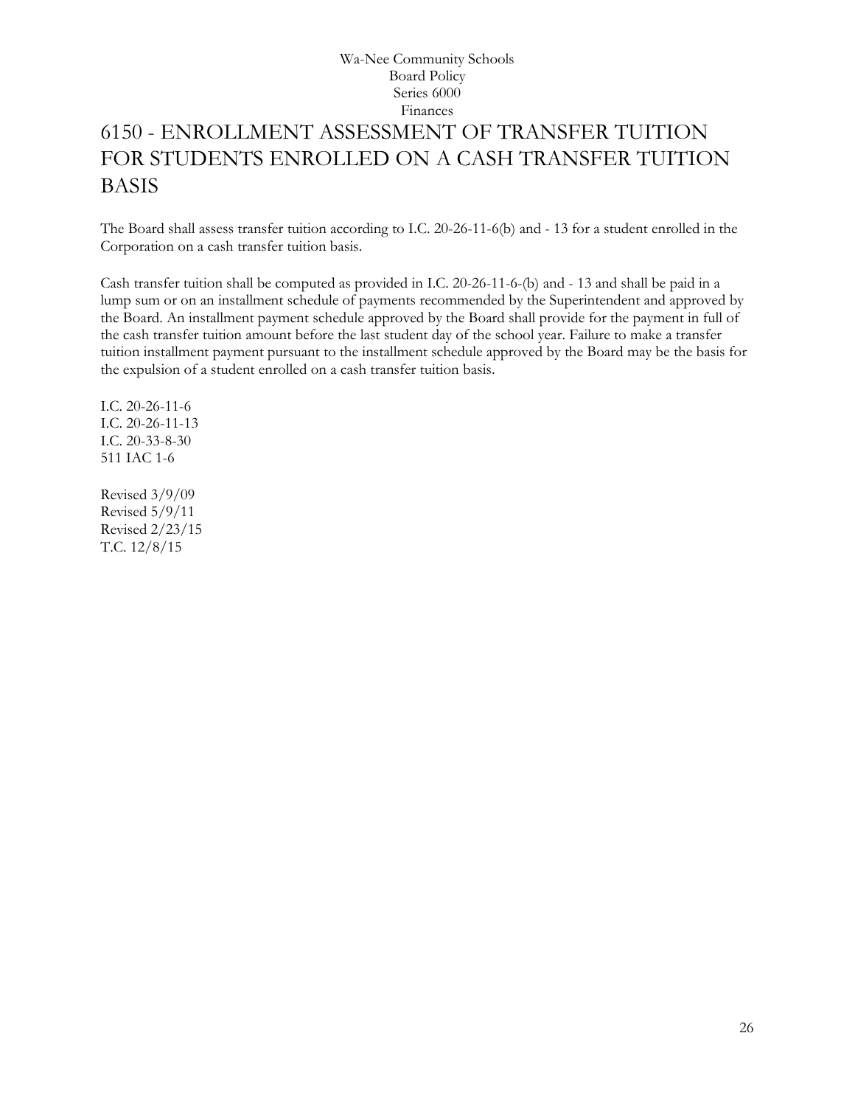# <span id="page-25-0"></span>6150 - ENROLLMENT ASSESSMENT OF TRANSFER TUITION FOR STUDENTS ENROLLED ON A CASH TRANSFER TUITION BASIS

The Board shall assess transfer tuition according to I.C. 20-26-11-6(b) and - 13 for a student enrolled in the Corporation on a cash transfer tuition basis.

Cash transfer tuition shall be computed as provided in I.C. 20-26-11-6-(b) and - 13 and shall be paid in a lump sum or on an installment schedule of payments recommended by the Superintendent and approved by the Board. An installment payment schedule approved by the Board shall provide for the payment in full of the cash transfer tuition amount before the last student day of the school year. Failure to make a transfer tuition installment payment pursuant to the installment schedule approved by the Board may be the basis for the expulsion of a student enrolled on a cash transfer tuition basis.

I.C. 20-26-11-6 I.C. 20-26-11-13 I.C. 20-33-8-30 511 IAC 1-6

Revised 3/9/09 Revised 5/9/11 Revised 2/23/15 T.C. 12/8/15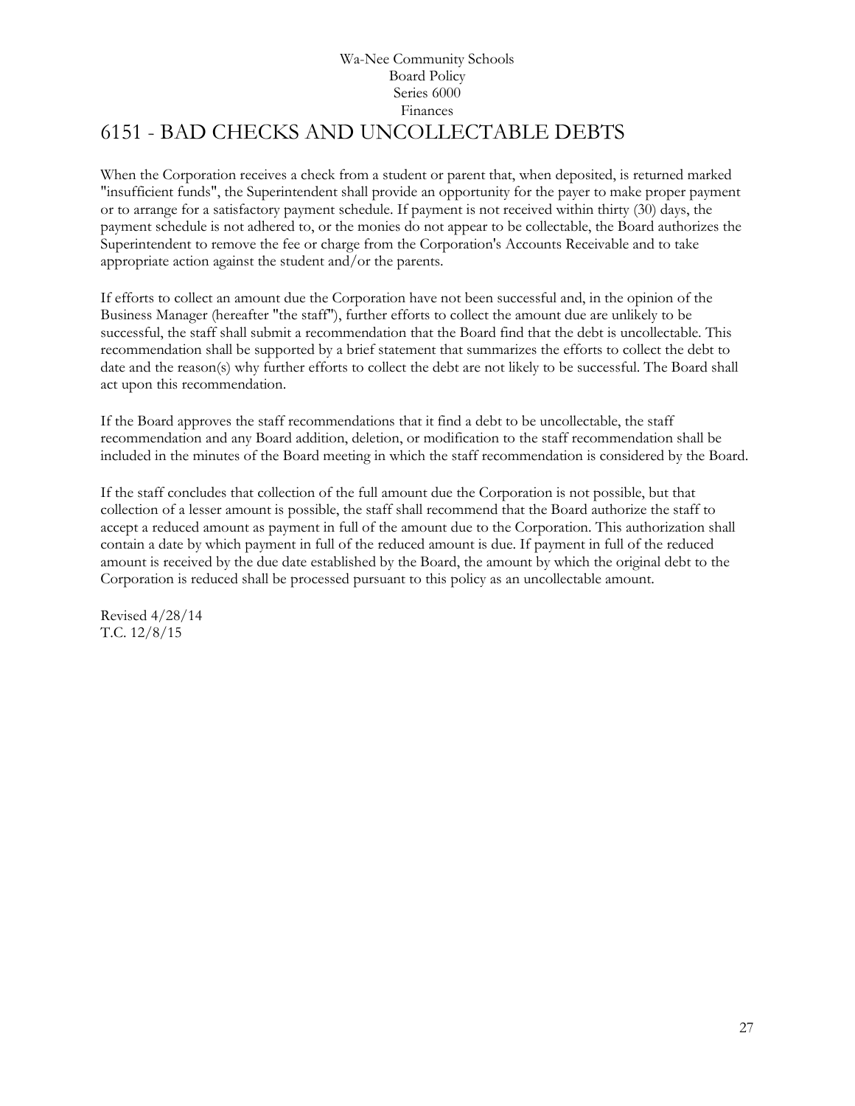# Wa-Nee Community Schools Board Policy Series 6000 Finances 6151 - BAD CHECKS AND UNCOLLECTABLE DEBTS

<span id="page-26-0"></span>When the Corporation receives a check from a student or parent that, when deposited, is returned marked "insufficient funds", the Superintendent shall provide an opportunity for the payer to make proper payment or to arrange for a satisfactory payment schedule. If payment is not received within thirty (30) days, the payment schedule is not adhered to, or the monies do not appear to be collectable, the Board authorizes the Superintendent to remove the fee or charge from the Corporation's Accounts Receivable and to take appropriate action against the student and/or the parents.

If efforts to collect an amount due the Corporation have not been successful and, in the opinion of the Business Manager (hereafter "the staff"), further efforts to collect the amount due are unlikely to be successful, the staff shall submit a recommendation that the Board find that the debt is uncollectable. This recommendation shall be supported by a brief statement that summarizes the efforts to collect the debt to date and the reason(s) why further efforts to collect the debt are not likely to be successful. The Board shall act upon this recommendation.

If the Board approves the staff recommendations that it find a debt to be uncollectable, the staff recommendation and any Board addition, deletion, or modification to the staff recommendation shall be included in the minutes of the Board meeting in which the staff recommendation is considered by the Board.

If the staff concludes that collection of the full amount due the Corporation is not possible, but that collection of a lesser amount is possible, the staff shall recommend that the Board authorize the staff to accept a reduced amount as payment in full of the amount due to the Corporation. This authorization shall contain a date by which payment in full of the reduced amount is due. If payment in full of the reduced amount is received by the due date established by the Board, the amount by which the original debt to the Corporation is reduced shall be processed pursuant to this policy as an uncollectable amount.

Revised 4/28/14 T.C. 12/8/15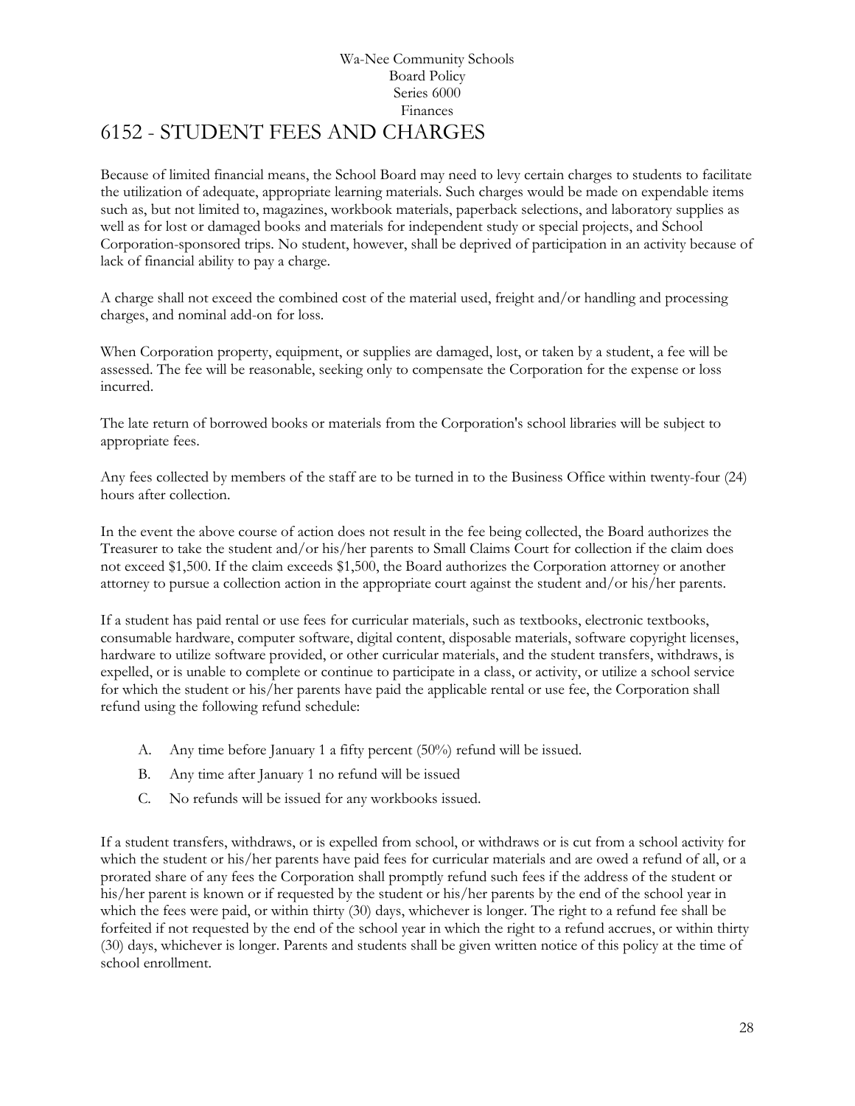# Wa-Nee Community Schools Board Policy Series 6000 Finances 6152 - STUDENT FEES AND CHARGES

<span id="page-27-0"></span>Because of limited financial means, the School Board may need to levy certain charges to students to facilitate the utilization of adequate, appropriate learning materials. Such charges would be made on expendable items such as, but not limited to, magazines, workbook materials, paperback selections, and laboratory supplies as well as for lost or damaged books and materials for independent study or special projects, and School Corporation-sponsored trips. No student, however, shall be deprived of participation in an activity because of lack of financial ability to pay a charge.

A charge shall not exceed the combined cost of the material used, freight and/or handling and processing charges, and nominal add-on for loss.

When Corporation property, equipment, or supplies are damaged, lost, or taken by a student, a fee will be assessed. The fee will be reasonable, seeking only to compensate the Corporation for the expense or loss incurred.

The late return of borrowed books or materials from the Corporation's school libraries will be subject to appropriate fees.

Any fees collected by members of the staff are to be turned in to the Business Office within twenty-four (24) hours after collection.

In the event the above course of action does not result in the fee being collected, the Board authorizes the Treasurer to take the student and/or his/her parents to Small Claims Court for collection if the claim does not exceed \$1,500. If the claim exceeds \$1,500, the Board authorizes the Corporation attorney or another attorney to pursue a collection action in the appropriate court against the student and/or his/her parents.

If a student has paid rental or use fees for curricular materials, such as textbooks, electronic textbooks, consumable hardware, computer software, digital content, disposable materials, software copyright licenses, hardware to utilize software provided, or other curricular materials, and the student transfers, withdraws, is expelled, or is unable to complete or continue to participate in a class, or activity, or utilize a school service for which the student or his/her parents have paid the applicable rental or use fee, the Corporation shall refund using the following refund schedule:

- A. Any time before January 1 a fifty percent (50%) refund will be issued.
- B. Any time after January 1 no refund will be issued
- C. No refunds will be issued for any workbooks issued.

If a student transfers, withdraws, or is expelled from school, or withdraws or is cut from a school activity for which the student or his/her parents have paid fees for curricular materials and are owed a refund of all, or a prorated share of any fees the Corporation shall promptly refund such fees if the address of the student or his/her parent is known or if requested by the student or his/her parents by the end of the school year in which the fees were paid, or within thirty (30) days, whichever is longer. The right to a refund fee shall be forfeited if not requested by the end of the school year in which the right to a refund accrues, or within thirty (30) days, whichever is longer. Parents and students shall be given written notice of this policy at the time of school enrollment.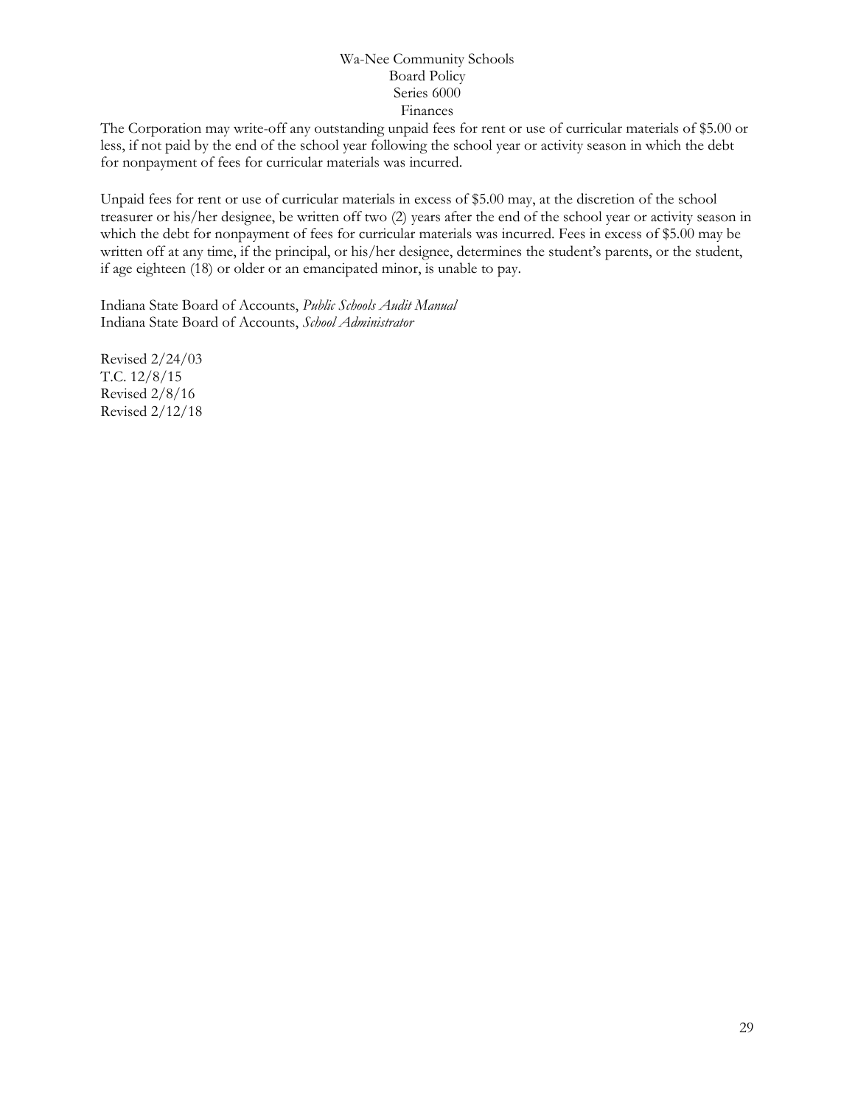The Corporation may write-off any outstanding unpaid fees for rent or use of curricular materials of \$5.00 or less, if not paid by the end of the school year following the school year or activity season in which the debt for nonpayment of fees for curricular materials was incurred.

Unpaid fees for rent or use of curricular materials in excess of \$5.00 may, at the discretion of the school treasurer or his/her designee, be written off two (2) years after the end of the school year or activity season in which the debt for nonpayment of fees for curricular materials was incurred. Fees in excess of \$5.00 may be written off at any time, if the principal, or his/her designee, determines the student's parents, or the student, if age eighteen (18) or older or an emancipated minor, is unable to pay.

Indiana State Board of Accounts, *Public Schools Audit Manual* Indiana State Board of Accounts, *School Administrator*

Revised 2/24/03 T.C. 12/8/15 Revised 2/8/16 Revised 2/12/18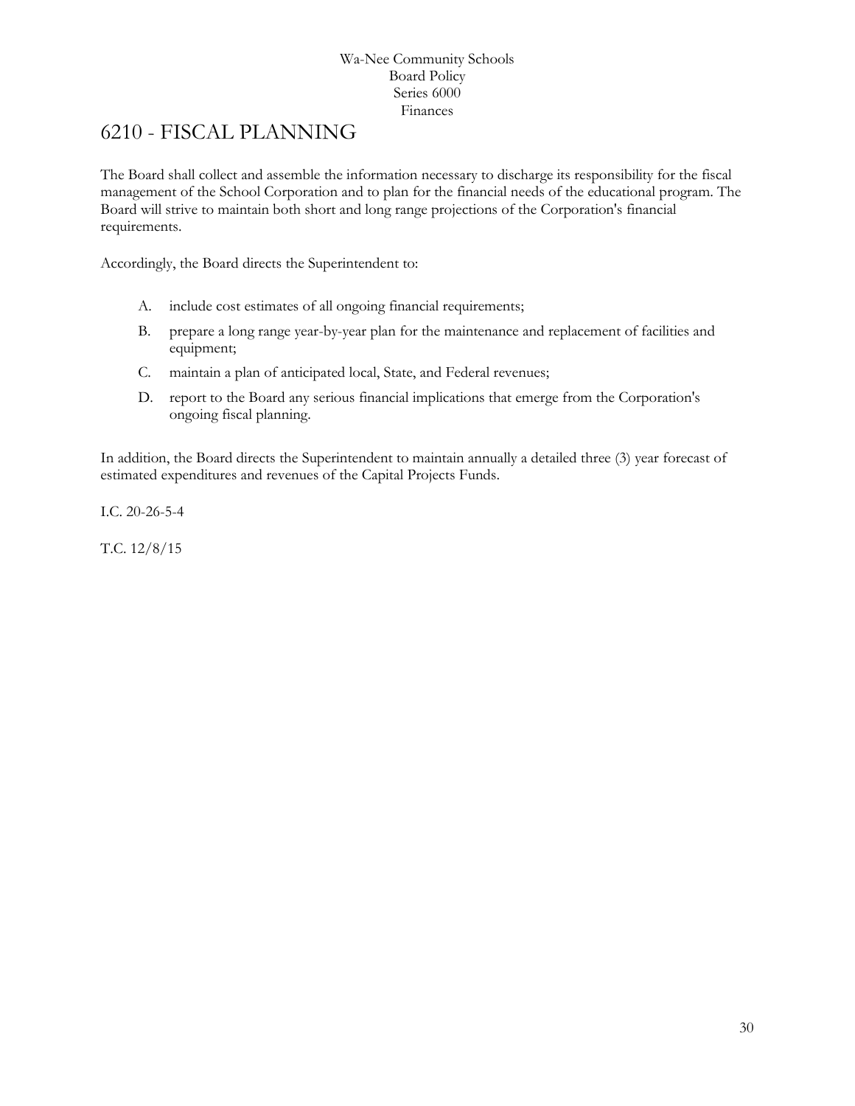# <span id="page-29-0"></span>6210 - FISCAL PLANNING

The Board shall collect and assemble the information necessary to discharge its responsibility for the fiscal management of the School Corporation and to plan for the financial needs of the educational program. The Board will strive to maintain both short and long range projections of the Corporation's financial requirements.

Accordingly, the Board directs the Superintendent to:

- A. include cost estimates of all ongoing financial requirements;
- B. prepare a long range year-by-year plan for the maintenance and replacement of facilities and equipment;
- C. maintain a plan of anticipated local, State, and Federal revenues;
- D. report to the Board any serious financial implications that emerge from the Corporation's ongoing fiscal planning.

In addition, the Board directs the Superintendent to maintain annually a detailed three (3) year forecast of estimated expenditures and revenues of the Capital Projects Funds.

I.C. 20-26-5-4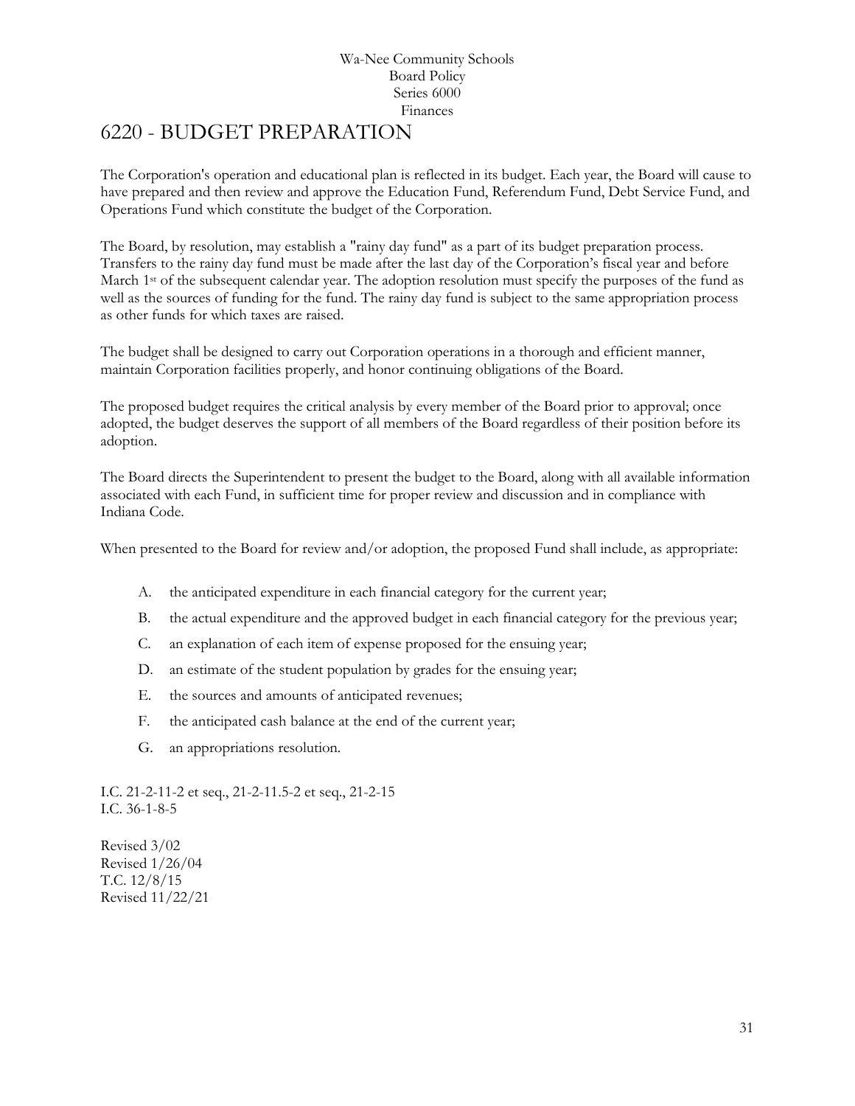# <span id="page-30-0"></span>[6220](http://www.neola.com/wanee-in/search/ag/ag6220.htm) - BUDGET PREPARATION

The Corporation's operation and educational plan is reflected in its budget. Each year, the Board will cause to have prepared and then review and approve the Education Fund, Referendum Fund, Debt Service Fund, and Operations Fund which constitute the budget of the Corporation.

The Board, by resolution, may establish a "rainy day fund" as a part of its budget preparation process. Transfers to the rainy day fund must be made after the last day of the Corporation's fiscal year and before March 1<sup>st</sup> of the subsequent calendar year. The adoption resolution must specify the purposes of the fund as well as the sources of funding for the fund. The rainy day fund is subject to the same appropriation process as other funds for which taxes are raised.

The budget shall be designed to carry out Corporation operations in a thorough and efficient manner, maintain Corporation facilities properly, and honor continuing obligations of the Board.

The proposed budget requires the critical analysis by every member of the Board prior to approval; once adopted, the budget deserves the support of all members of the Board regardless of their position before its adoption.

The Board directs the Superintendent to present the budget to the Board, along with all available information associated with each Fund, in sufficient time for proper review and discussion and in compliance with Indiana Code.

When presented to the Board for review and/or adoption, the proposed Fund shall include, as appropriate:

- A. the anticipated expenditure in each financial category for the current year;
- B. the actual expenditure and the approved budget in each financial category for the previous year;
- C. an explanation of each item of expense proposed for the ensuing year;
- D. an estimate of the student population by grades for the ensuing year;
- E. the sources and amounts of anticipated revenues;
- F. the anticipated cash balance at the end of the current year;
- G. an appropriations resolution.

I.C. 21-2-11-2 et seq., 21-2-11.5-2 et seq., 21-2-15 I.C. 36-1-8-5

Revised 3/02 Revised 1/26/04 T.C. 12/8/15 Revised 11/22/21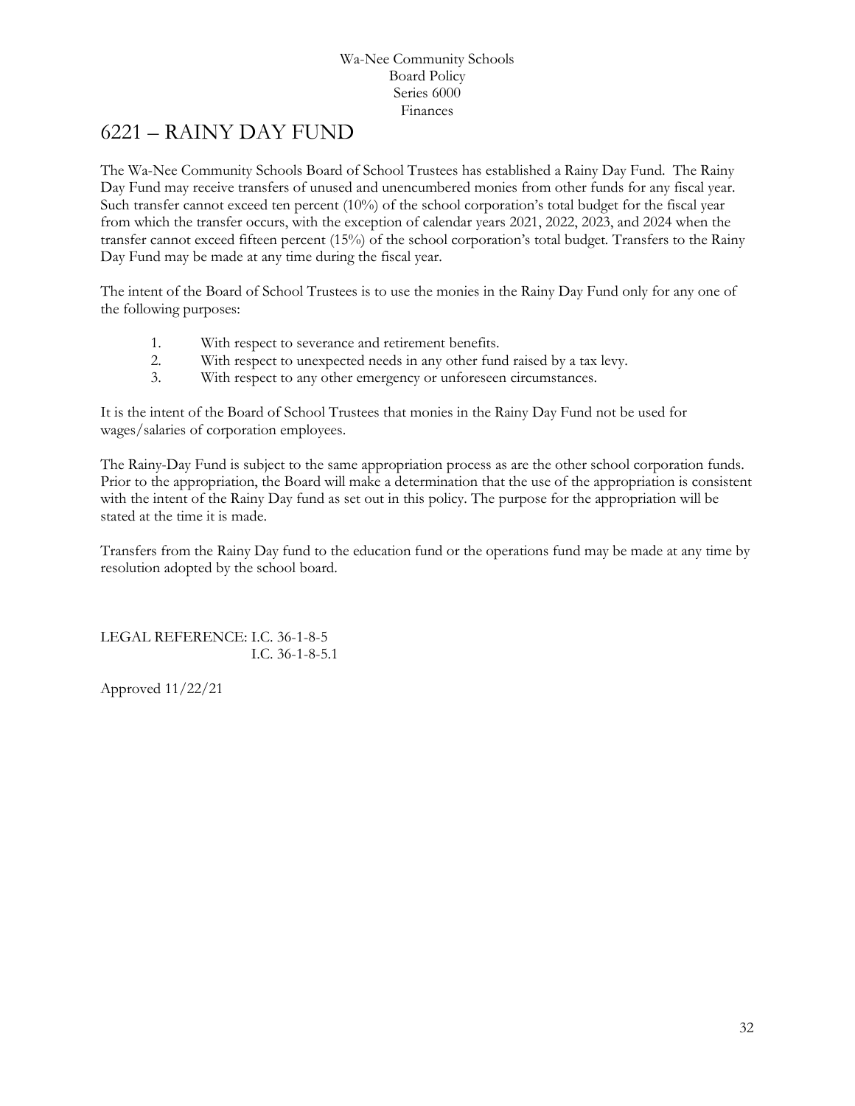# <span id="page-31-0"></span>6221 – RAINY DAY FUND

The Wa-Nee Community Schools Board of School Trustees has established a Rainy Day Fund. The Rainy Day Fund may receive transfers of unused and unencumbered monies from other funds for any fiscal year. Such transfer cannot exceed ten percent (10%) of the school corporation's total budget for the fiscal year from which the transfer occurs, with the exception of calendar years 2021, 2022, 2023, and 2024 when the transfer cannot exceed fifteen percent (15%) of the school corporation's total budget*.* Transfers to the Rainy Day Fund may be made at any time during the fiscal year.

The intent of the Board of School Trustees is to use the monies in the Rainy Day Fund only for any one of the following purposes:

- 1. With respect to severance and retirement benefits.
- 2. With respect to unexpected needs in any other fund raised by a tax levy.
- 3. With respect to any other emergency or unforeseen circumstances.

It is the intent of the Board of School Trustees that monies in the Rainy Day Fund not be used for wages/salaries of corporation employees.

The Rainy-Day Fund is subject to the same appropriation process as are the other school corporation funds. Prior to the appropriation, the Board will make a determination that the use of the appropriation is consistent with the intent of the Rainy Day fund as set out in this policy. The purpose for the appropriation will be stated at the time it is made.

Transfers from the Rainy Day fund to the education fund or the operations fund may be made at any time by resolution adopted by the school board.

LEGAL REFERENCE: I.C. 36-1-8-5 I.C. 36-1-8-5.1

Approved 11/22/21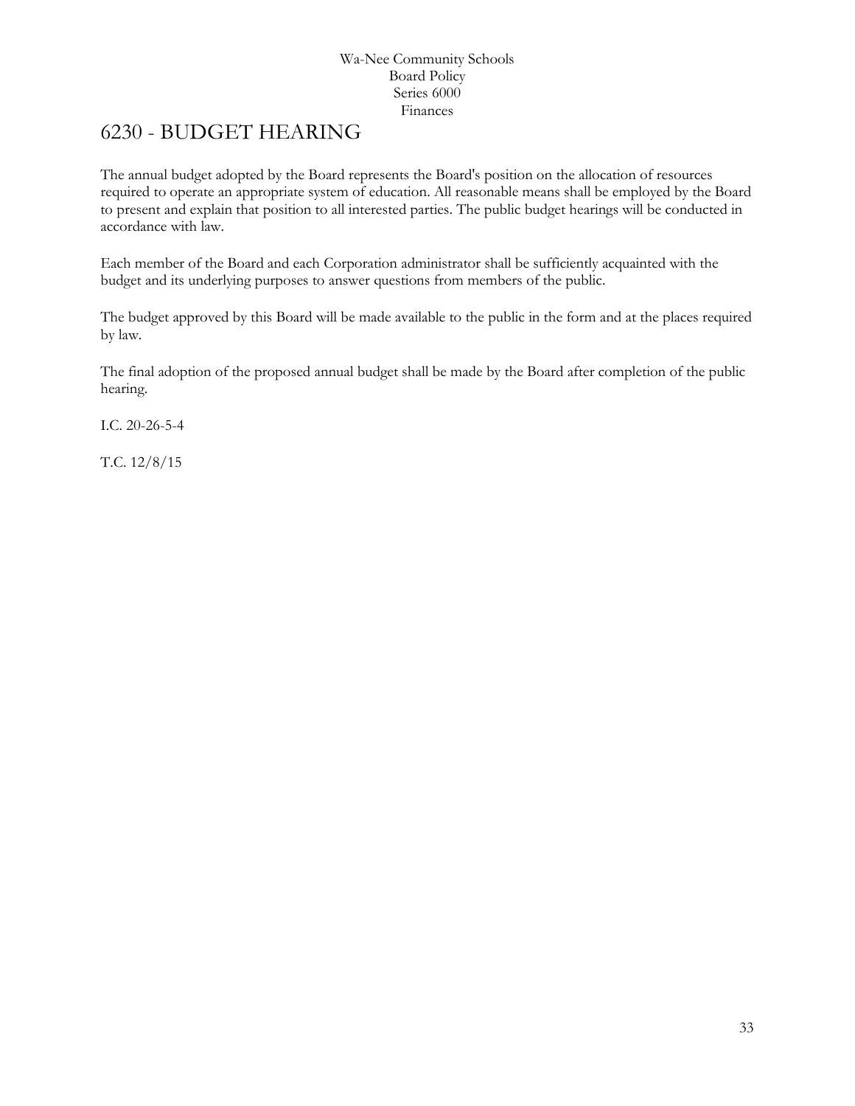# <span id="page-32-0"></span>6230 - BUDGET HEARING

The annual budget adopted by the Board represents the Board's position on the allocation of resources required to operate an appropriate system of education. All reasonable means shall be employed by the Board to present and explain that position to all interested parties. The public budget hearings will be conducted in accordance with law.

Each member of the Board and each Corporation administrator shall be sufficiently acquainted with the budget and its underlying purposes to answer questions from members of the public.

The budget approved by this Board will be made available to the public in the form and at the places required by law.

The final adoption of the proposed annual budget shall be made by the Board after completion of the public hearing.

I.C. 20-26-5-4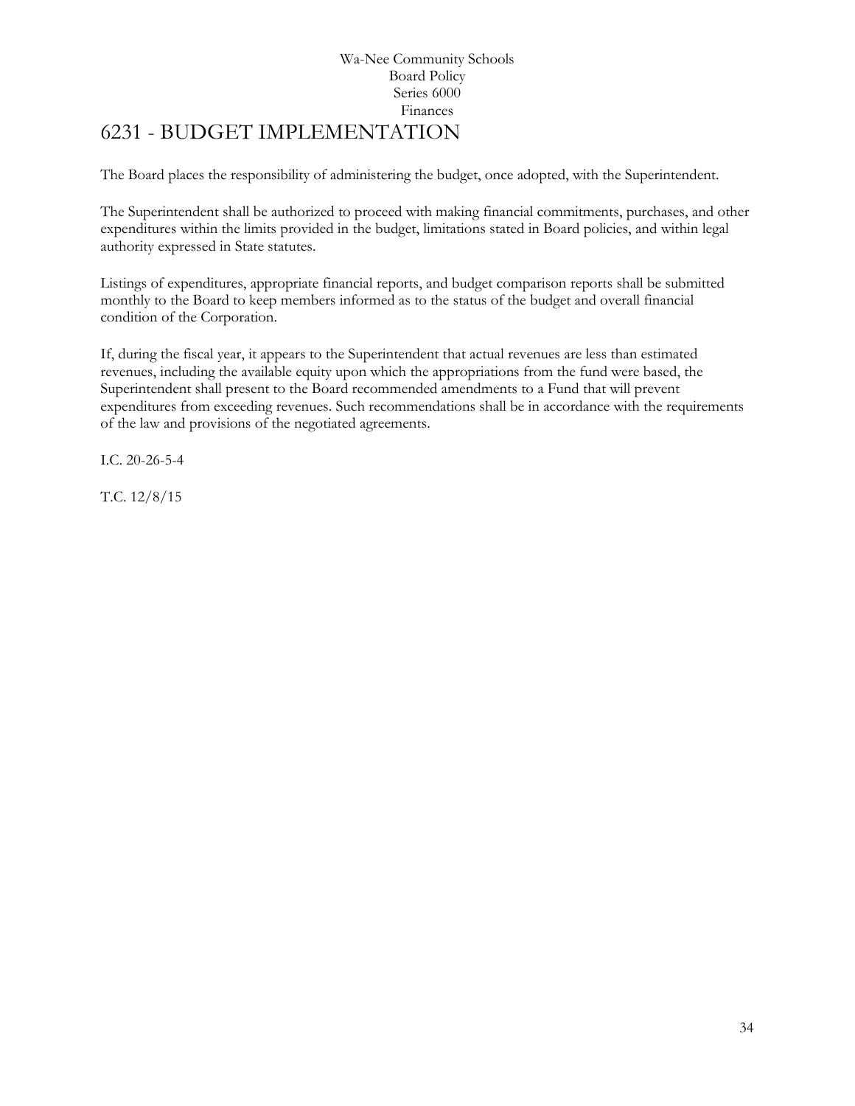# Wa-Nee Community Schools Board Policy Series 6000 Finances 6231 - BUDGET IMPLEMENTATION

<span id="page-33-0"></span>The Board places the responsibility of administering the budget, once adopted, with the Superintendent.

The Superintendent shall be authorized to proceed with making financial commitments, purchases, and other expenditures within the limits provided in the budget, limitations stated in Board policies, and within legal authority expressed in State statutes.

Listings of expenditures, appropriate financial reports, and budget comparison reports shall be submitted monthly to the Board to keep members informed as to the status of the budget and overall financial condition of the Corporation.

If, during the fiscal year, it appears to the Superintendent that actual revenues are less than estimated revenues, including the available equity upon which the appropriations from the fund were based, the Superintendent shall present to the Board recommended amendments to a Fund that will prevent expenditures from exceeding revenues. Such recommendations shall be in accordance with the requirements of the law and provisions of the negotiated agreements.

I.C. 20-26-5-4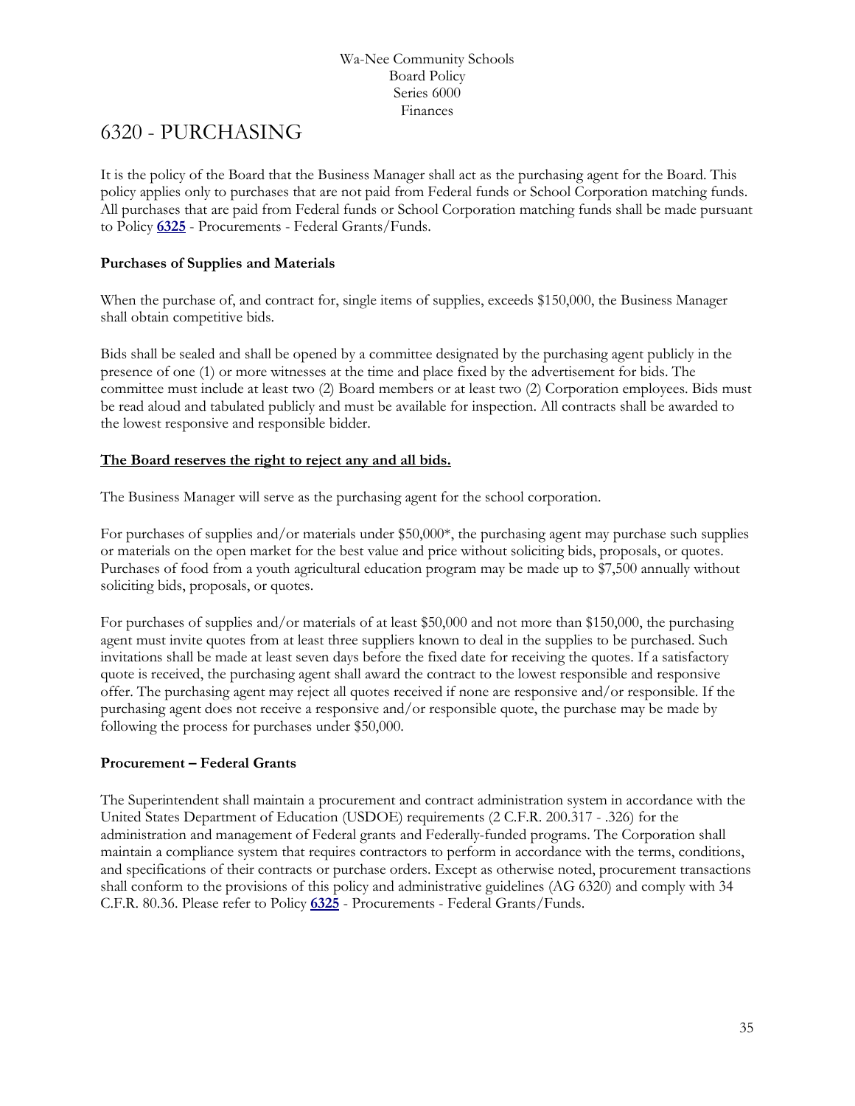# <span id="page-34-0"></span>6320 - PURCHASING

It is the policy of the Board that the Business Manager shall act as the purchasing agent for the Board. This policy applies only to purchases that are not paid from Federal funds or School Corporation matching funds. All purchases that are paid from Federal funds or School Corporation matching funds shall be made pursuant to Policy **[6325](http://www.neola.com/wanee-in/search/policies/po6325.htm)** - Procurements - Federal Grants/Funds.

# **Purchases of Supplies and Materials**

When the purchase of, and contract for, single items of supplies, exceeds \$150,000, the Business Manager shall obtain competitive bids.

Bids shall be sealed and shall be opened by a committee designated by the purchasing agent publicly in the presence of one (1) or more witnesses at the time and place fixed by the advertisement for bids. The committee must include at least two (2) Board members or at least two (2) Corporation employees. Bids must be read aloud and tabulated publicly and must be available for inspection. All contracts shall be awarded to the lowest responsive and responsible bidder.

# **The Board reserves the right to reject any and all bids.**

The Business Manager will serve as the purchasing agent for the school corporation.

For purchases of supplies and/or materials under \$50,000\*, the purchasing agent may purchase such supplies or materials on the open market for the best value and price without soliciting bids, proposals, or quotes. Purchases of food from a youth agricultural education program may be made up to \$7,500 annually without soliciting bids, proposals, or quotes.

For purchases of supplies and/or materials of at least \$50,000 and not more than \$150,000, the purchasing agent must invite quotes from at least three suppliers known to deal in the supplies to be purchased. Such invitations shall be made at least seven days before the fixed date for receiving the quotes. If a satisfactory quote is received, the purchasing agent shall award the contract to the lowest responsible and responsive offer. The purchasing agent may reject all quotes received if none are responsive and/or responsible. If the purchasing agent does not receive a responsive and/or responsible quote, the purchase may be made by following the process for purchases under \$50,000.

# **Procurement – Federal Grants**

The Superintendent shall maintain a procurement and contract administration system in accordance with the United States Department of Education (USDOE) requirements (2 C.F.R. 200.317 - .326) for the administration and management of Federal grants and Federally-funded programs. The Corporation shall maintain a compliance system that requires contractors to perform in accordance with the terms, conditions, and specifications of their contracts or purchase orders. Except as otherwise noted, procurement transactions shall conform to the provisions of this policy and administrative guidelines (AG 6320) and comply with 34 C.F.R. 80.36. Please refer to Policy **[6325](http://www.neola.com/wanee-in/search/policies/po6325.htm)** - Procurements - Federal Grants/Funds.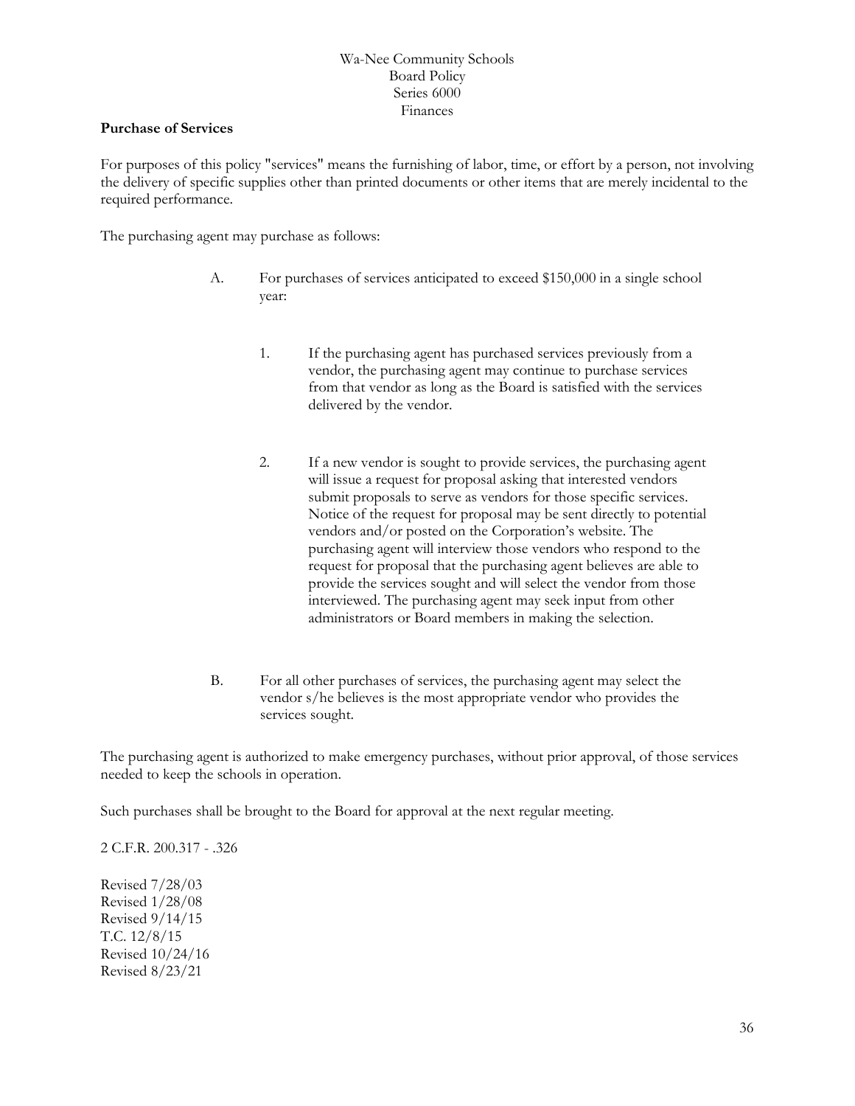### **Purchase of Services**

For purposes of this policy "services" means the furnishing of labor, time, or effort by a person, not involving the delivery of specific supplies other than printed documents or other items that are merely incidental to the required performance.

The purchasing agent may purchase as follows:

- A. For purchases of services anticipated to exceed \$150,000 in a single school year:
	- 1. If the purchasing agent has purchased services previously from a vendor, the purchasing agent may continue to purchase services from that vendor as long as the Board is satisfied with the services delivered by the vendor.
	- 2. If a new vendor is sought to provide services, the purchasing agent will issue a request for proposal asking that interested vendors submit proposals to serve as vendors for those specific services. Notice of the request for proposal may be sent directly to potential vendors and/or posted on the Corporation's website. The purchasing agent will interview those vendors who respond to the request for proposal that the purchasing agent believes are able to provide the services sought and will select the vendor from those interviewed. The purchasing agent may seek input from other administrators or Board members in making the selection.
- B. For all other purchases of services, the purchasing agent may select the vendor s/he believes is the most appropriate vendor who provides the services sought.

The purchasing agent is authorized to make emergency purchases, without prior approval, of those services needed to keep the schools in operation.

Such purchases shall be brought to the Board for approval at the next regular meeting.

2 C.F.R. 200.317 - .326

Revised 7/28/03 Revised 1/28/08 Revised 9/14/15 T.C. 12/8/15 Revised 10/24/16 Revised 8/23/21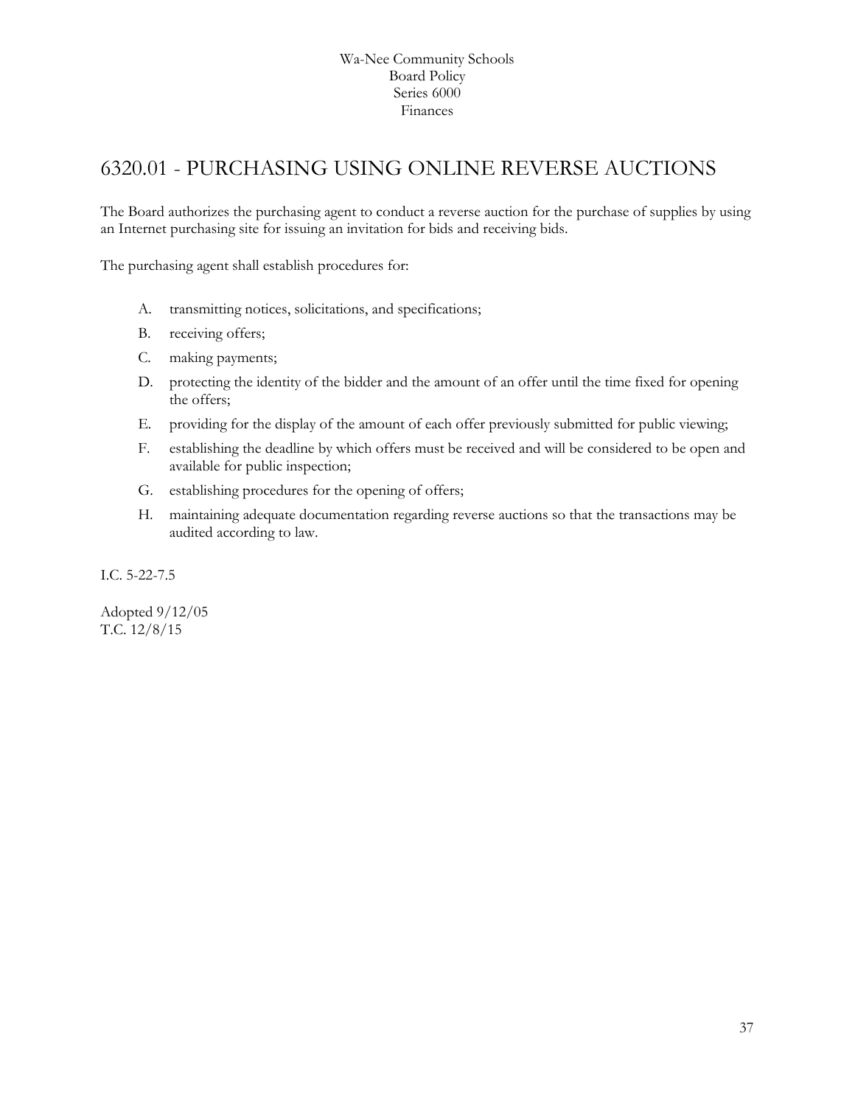# <span id="page-36-0"></span>6320.01 - PURCHASING USING ONLINE REVERSE AUCTIONS

The Board authorizes the purchasing agent to conduct a reverse auction for the purchase of supplies by using an Internet purchasing site for issuing an invitation for bids and receiving bids.

The purchasing agent shall establish procedures for:

- A. transmitting notices, solicitations, and specifications;
- B. receiving offers;
- C. making payments;
- D. protecting the identity of the bidder and the amount of an offer until the time fixed for opening the offers;
- E. providing for the display of the amount of each offer previously submitted for public viewing;
- F. establishing the deadline by which offers must be received and will be considered to be open and available for public inspection;
- G. establishing procedures for the opening of offers;
- H. maintaining adequate documentation regarding reverse auctions so that the transactions may be audited according to law.

I.C. 5-22-7.5

Adopted 9/12/05 T.C. 12/8/15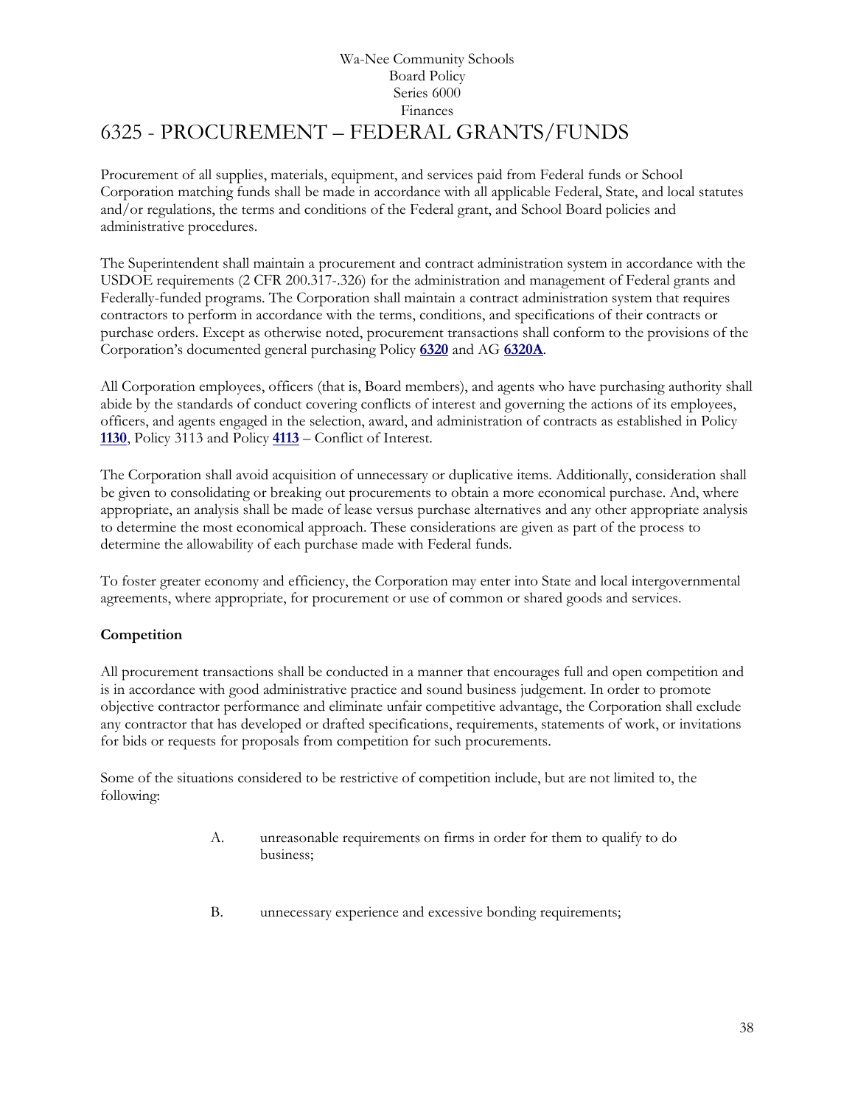# Wa-Nee Community Schools Board Policy Series 6000 Finances 6325 - PROCUREMENT – FEDERAL GRANTS/FUNDS

<span id="page-37-0"></span>Procurement of all supplies, materials, equipment, and services paid from Federal funds or School Corporation matching funds shall be made in accordance with all applicable Federal, State, and local statutes and/or regulations, the terms and conditions of the Federal grant, and School Board policies and administrative procedures.

The Superintendent shall maintain a procurement and contract administration system in accordance with the USDOE requirements (2 CFR 200.317-.326) for the administration and management of Federal grants and Federally-funded programs. The Corporation shall maintain a contract administration system that requires contractors to perform in accordance with the terms, conditions, and specifications of their contracts or purchase orders. Except as otherwise noted, procurement transactions shall conform to the provisions of the Corporation's documented general purchasing Policy **[6320](http://www.neola.com/wanee-in/search/policies/po6320.htm)** and AG **[6320A](http://www.neola.com/wanee-in/search/ag/ag6320a.htm)**.

All Corporation employees, officers (that is, Board members), and agents who have purchasing authority shall abide by the standards of conduct covering conflicts of interest and governing the actions of its employees, officers, and agents engaged in the selection, award, and administration of contracts as established in Policy **[1130](http://www.neola.com/wanee-in/search/policies/po1130.htm)**, Policy 3113 and Policy **[4113](http://www.neola.com/wanee-in/search/policies/po4113.htm)** – Conflict of Interest.

The Corporation shall avoid acquisition of unnecessary or duplicative items. Additionally, consideration shall be given to consolidating or breaking out procurements to obtain a more economical purchase. And, where appropriate, an analysis shall be made of lease versus purchase alternatives and any other appropriate analysis to determine the most economical approach. These considerations are given as part of the process to determine the allowability of each purchase made with Federal funds.

To foster greater economy and efficiency, the Corporation may enter into State and local intergovernmental agreements, where appropriate, for procurement or use of common or shared goods and services.

# **Competition**

All procurement transactions shall be conducted in a manner that encourages full and open competition and is in accordance with good administrative practice and sound business judgement. In order to promote objective contractor performance and eliminate unfair competitive advantage, the Corporation shall exclude any contractor that has developed or drafted specifications, requirements, statements of work, or invitations for bids or requests for proposals from competition for such procurements.

Some of the situations considered to be restrictive of competition include, but are not limited to, the following:

- A. unreasonable requirements on firms in order for them to qualify to do business;
- B. unnecessary experience and excessive bonding requirements;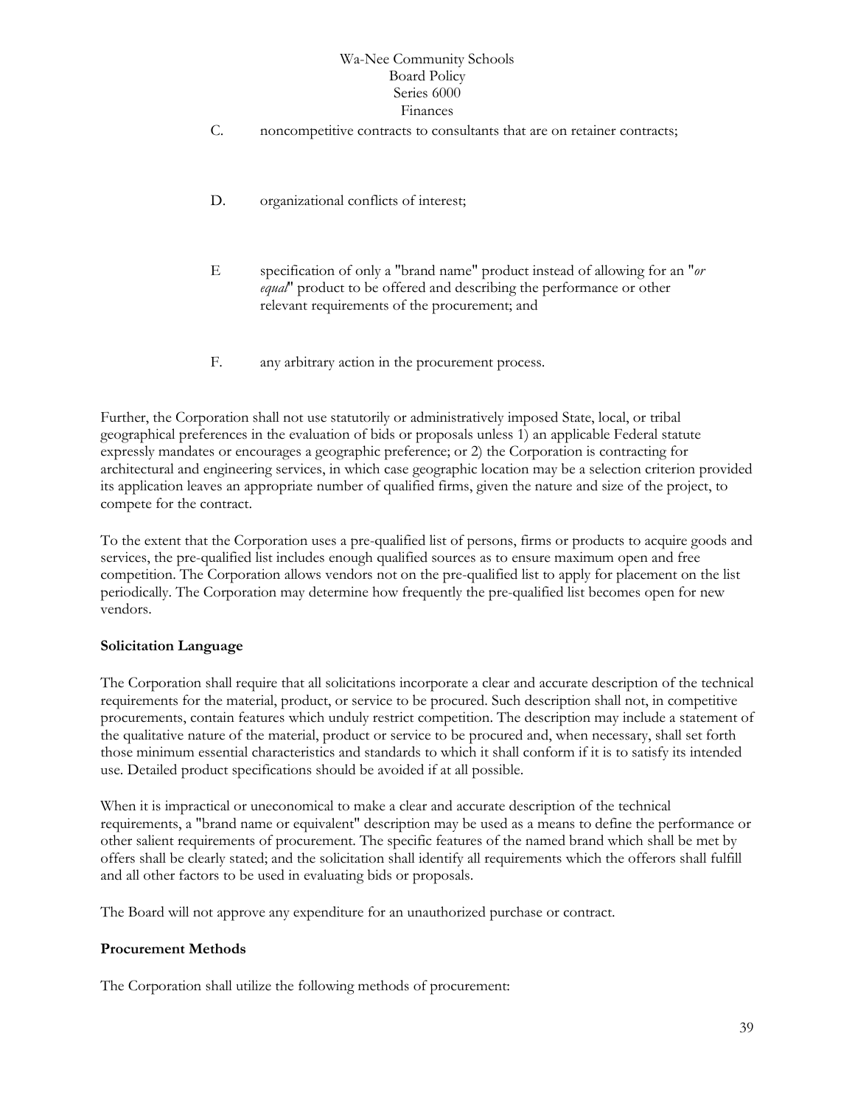- C. noncompetitive contracts to consultants that are on retainer contracts;
- D. organizational conflicts of interest;
- E specification of only a "brand name" product instead of allowing for an "*or equal*" product to be offered and describing the performance or other relevant requirements of the procurement; and
- F. any arbitrary action in the procurement process.

Further, the Corporation shall not use statutorily or administratively imposed State, local, or tribal geographical preferences in the evaluation of bids or proposals unless 1) an applicable Federal statute expressly mandates or encourages a geographic preference; or 2) the Corporation is contracting for architectural and engineering services, in which case geographic location may be a selection criterion provided its application leaves an appropriate number of qualified firms, given the nature and size of the project, to compete for the contract.

To the extent that the Corporation uses a pre-qualified list of persons, firms or products to acquire goods and services, the pre-qualified list includes enough qualified sources as to ensure maximum open and free competition. The Corporation allows vendors not on the pre-qualified list to apply for placement on the list periodically. The Corporation may determine how frequently the pre-qualified list becomes open for new vendors.

# **Solicitation Language**

The Corporation shall require that all solicitations incorporate a clear and accurate description of the technical requirements for the material, product, or service to be procured. Such description shall not, in competitive procurements, contain features which unduly restrict competition. The description may include a statement of the qualitative nature of the material, product or service to be procured and, when necessary, shall set forth those minimum essential characteristics and standards to which it shall conform if it is to satisfy its intended use. Detailed product specifications should be avoided if at all possible.

When it is impractical or uneconomical to make a clear and accurate description of the technical requirements, a "brand name or equivalent" description may be used as a means to define the performance or other salient requirements of procurement. The specific features of the named brand which shall be met by offers shall be clearly stated; and the solicitation shall identify all requirements which the offerors shall fulfill and all other factors to be used in evaluating bids or proposals.

The Board will not approve any expenditure for an unauthorized purchase or contract.

# **Procurement Methods**

The Corporation shall utilize the following methods of procurement: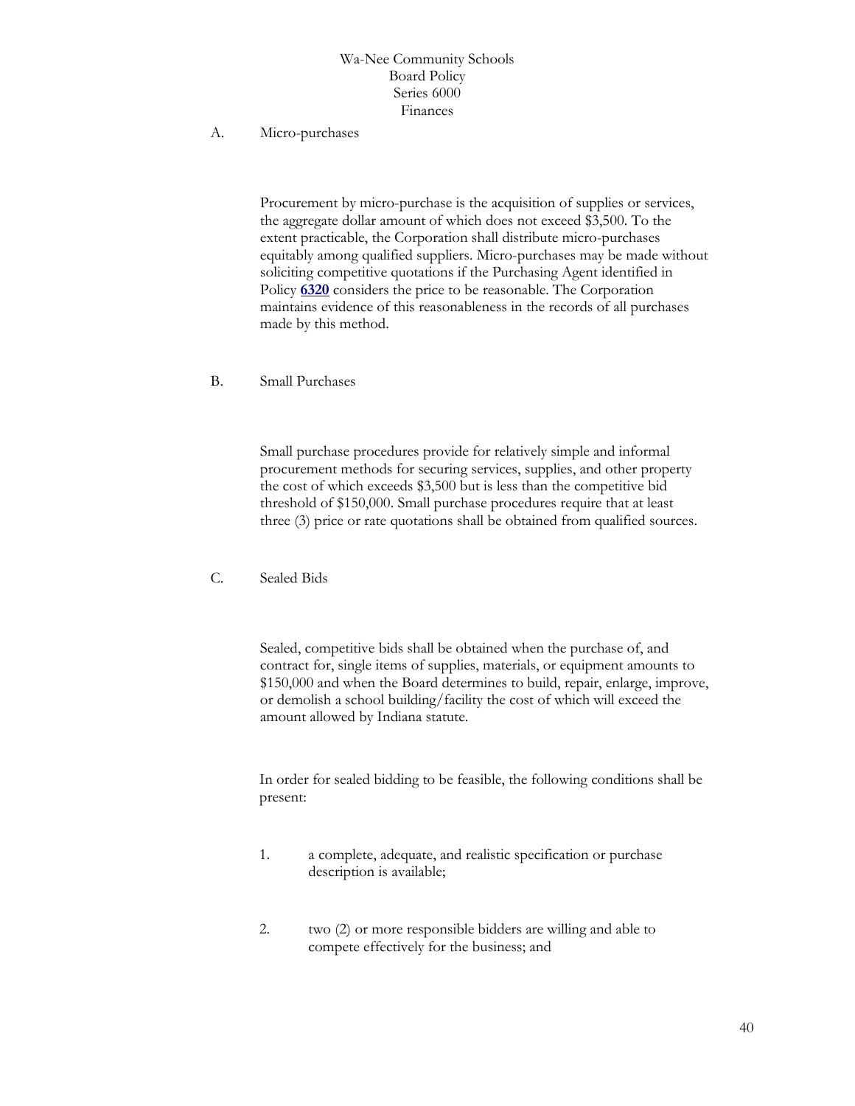#### A. Micro-purchases

Procurement by micro-purchase is the acquisition of supplies or services, the aggregate dollar amount of which does not exceed \$3,500. To the extent practicable, the Corporation shall distribute micro-purchases equitably among qualified suppliers. Micro-purchases may be made without soliciting competitive quotations if the Purchasing Agent identified in Policy **[6320](http://www.neola.com/wanee-in/search/policies/po6320.htm)** considers the price to be reasonable. The Corporation maintains evidence of this reasonableness in the records of all purchases made by this method.

B. Small Purchases

Small purchase procedures provide for relatively simple and informal procurement methods for securing services, supplies, and other property the cost of which exceeds \$3,500 but is less than the competitive bid threshold of \$150,000. Small purchase procedures require that at least three (3) price or rate quotations shall be obtained from qualified sources.

C. Sealed Bids

Sealed, competitive bids shall be obtained when the purchase of, and contract for, single items of supplies, materials, or equipment amounts to \$150,000 and when the Board determines to build, repair, enlarge, improve, or demolish a school building/facility the cost of which will exceed the amount allowed by Indiana statute.

In order for sealed bidding to be feasible, the following conditions shall be present:

- 1. a complete, adequate, and realistic specification or purchase description is available;
- 2. two (2) or more responsible bidders are willing and able to compete effectively for the business; and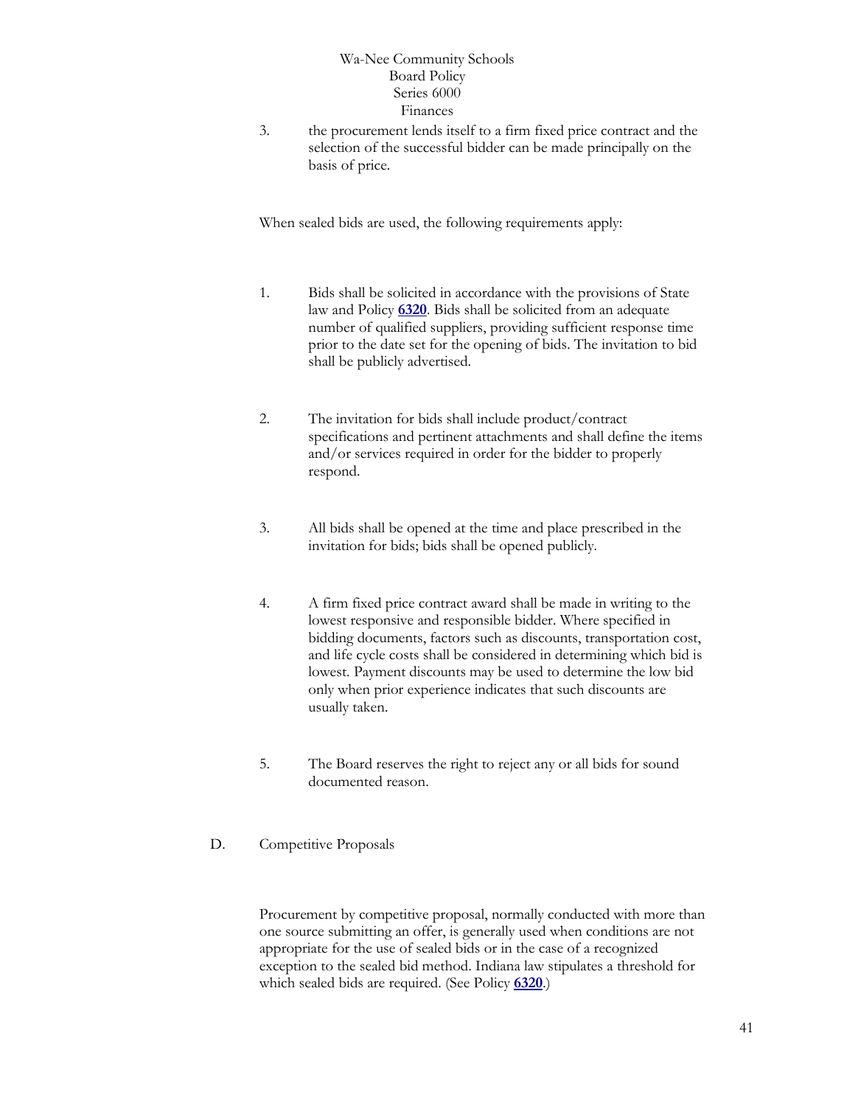3. the procurement lends itself to a firm fixed price contract and the selection of the successful bidder can be made principally on the basis of price.

When sealed bids are used, the following requirements apply:

- 1. Bids shall be solicited in accordance with the provisions of State law and Policy **[6320](http://www.neola.com/wanee-in/search/policies/po6320.htm)**. Bids shall be solicited from an adequate number of qualified suppliers, providing sufficient response time prior to the date set for the opening of bids. The invitation to bid shall be publicly advertised.
- 2. The invitation for bids shall include product/contract specifications and pertinent attachments and shall define the items and/or services required in order for the bidder to properly respond.
- 3. All bids shall be opened at the time and place prescribed in the invitation for bids; bids shall be opened publicly.
- 4. A firm fixed price contract award shall be made in writing to the lowest responsive and responsible bidder. Where specified in bidding documents, factors such as discounts, transportation cost, and life cycle costs shall be considered in determining which bid is lowest. Payment discounts may be used to determine the low bid only when prior experience indicates that such discounts are usually taken.
- 5. The Board reserves the right to reject any or all bids for sound documented reason.
- D. Competitive Proposals

Procurement by competitive proposal, normally conducted with more than one source submitting an offer, is generally used when conditions are not appropriate for the use of sealed bids or in the case of a recognized exception to the sealed bid method. Indiana law stipulates a threshold for which sealed bids are required. (See Policy **[6320](http://www.neola.com/wanee-in/search/policies/po6320.htm)**.)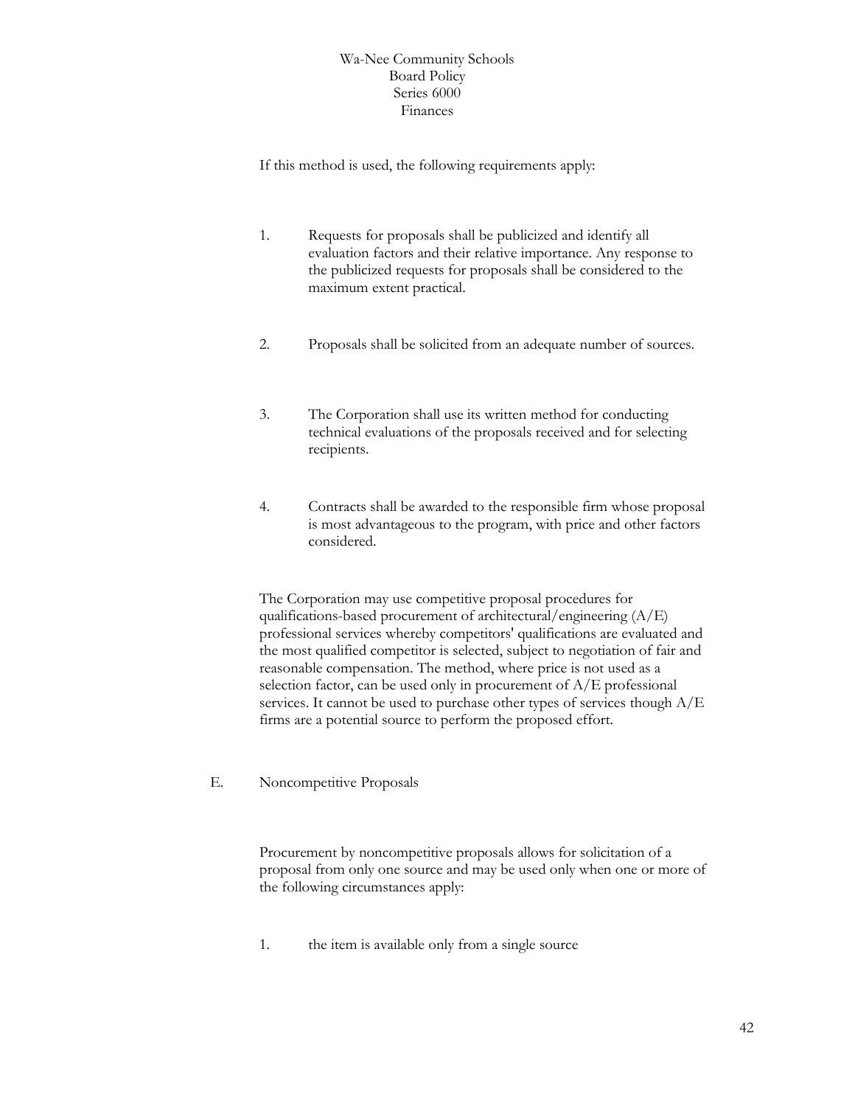If this method is used, the following requirements apply:

- 1. Requests for proposals shall be publicized and identify all evaluation factors and their relative importance. Any response to the publicized requests for proposals shall be considered to the maximum extent practical.
- 2. Proposals shall be solicited from an adequate number of sources.
- 3. The Corporation shall use its written method for conducting technical evaluations of the proposals received and for selecting recipients.
- 4. Contracts shall be awarded to the responsible firm whose proposal is most advantageous to the program, with price and other factors considered.

The Corporation may use competitive proposal procedures for qualifications-based procurement of architectural/engineering (A/E) professional services whereby competitors' qualifications are evaluated and the most qualified competitor is selected, subject to negotiation of fair and reasonable compensation. The method, where price is not used as a selection factor, can be used only in procurement of A/E professional services. It cannot be used to purchase other types of services though A/E firms are a potential source to perform the proposed effort.

E. Noncompetitive Proposals

Procurement by noncompetitive proposals allows for solicitation of a proposal from only one source and may be used only when one or more of the following circumstances apply:

1. the item is available only from a single source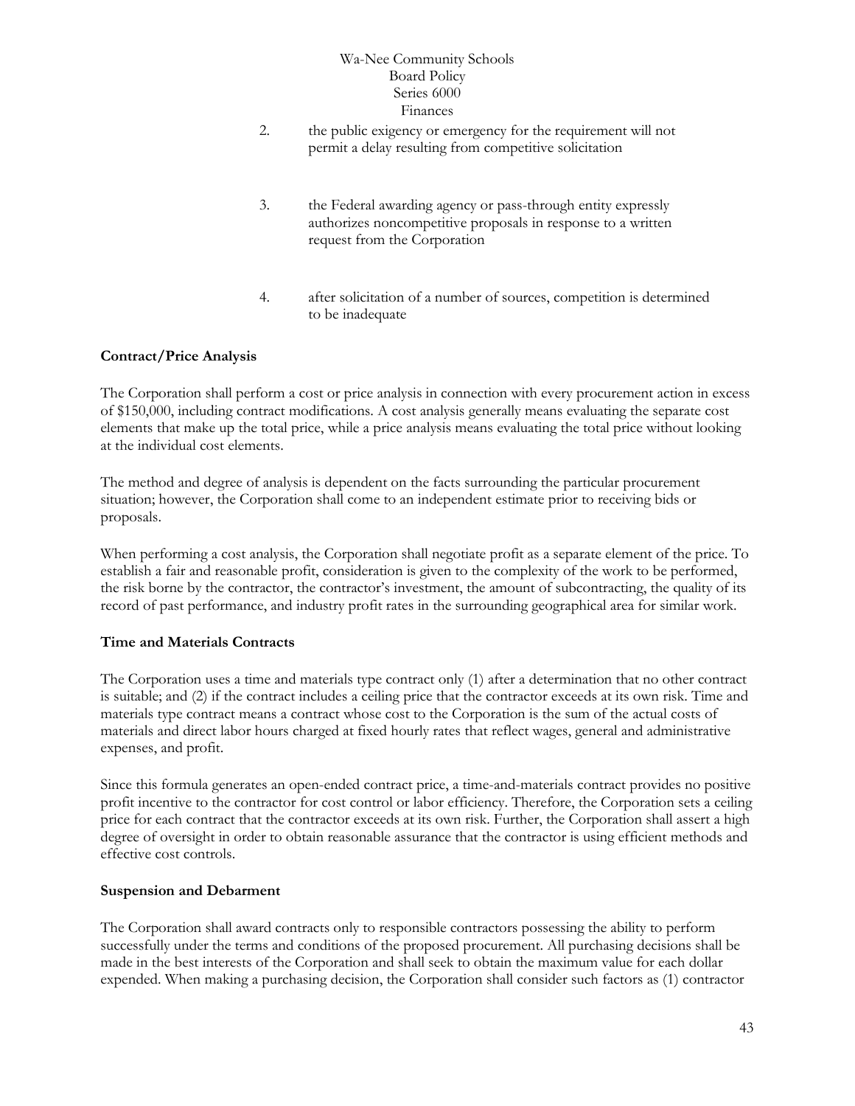- 2. the public exigency or emergency for the requirement will not permit a delay resulting from competitive solicitation
- 3. the Federal awarding agency or pass-through entity expressly authorizes noncompetitive proposals in response to a written request from the Corporation
- 4. after solicitation of a number of sources, competition is determined to be inadequate

# **Contract/Price Analysis**

The Corporation shall perform a cost or price analysis in connection with every procurement action in excess of \$150,000, including contract modifications. A cost analysis generally means evaluating the separate cost elements that make up the total price, while a price analysis means evaluating the total price without looking at the individual cost elements.

The method and degree of analysis is dependent on the facts surrounding the particular procurement situation; however, the Corporation shall come to an independent estimate prior to receiving bids or proposals.

When performing a cost analysis, the Corporation shall negotiate profit as a separate element of the price. To establish a fair and reasonable profit, consideration is given to the complexity of the work to be performed, the risk borne by the contractor, the contractor's investment, the amount of subcontracting, the quality of its record of past performance, and industry profit rates in the surrounding geographical area for similar work.

# **Time and Materials Contracts**

The Corporation uses a time and materials type contract only (1) after a determination that no other contract is suitable; and (2) if the contract includes a ceiling price that the contractor exceeds at its own risk. Time and materials type contract means a contract whose cost to the Corporation is the sum of the actual costs of materials and direct labor hours charged at fixed hourly rates that reflect wages, general and administrative expenses, and profit.

Since this formula generates an open-ended contract price, a time-and-materials contract provides no positive profit incentive to the contractor for cost control or labor efficiency. Therefore, the Corporation sets a ceiling price for each contract that the contractor exceeds at its own risk. Further, the Corporation shall assert a high degree of oversight in order to obtain reasonable assurance that the contractor is using efficient methods and effective cost controls.

# **Suspension and Debarment**

The Corporation shall award contracts only to responsible contractors possessing the ability to perform successfully under the terms and conditions of the proposed procurement. All purchasing decisions shall be made in the best interests of the Corporation and shall seek to obtain the maximum value for each dollar expended. When making a purchasing decision, the Corporation shall consider such factors as (1) contractor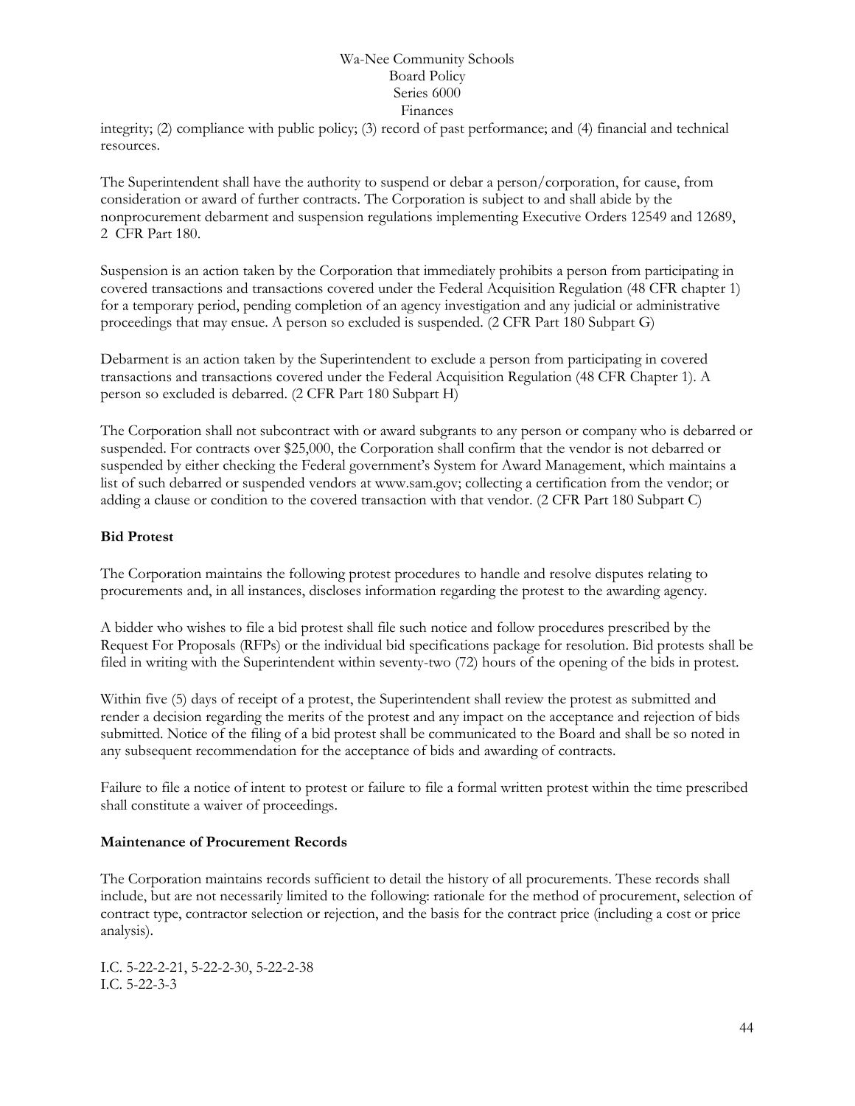integrity; (2) compliance with public policy; (3) record of past performance; and (4) financial and technical resources.

The Superintendent shall have the authority to suspend or debar a person/corporation, for cause, from consideration or award of further contracts. The Corporation is subject to and shall abide by the nonprocurement debarment and suspension regulations implementing Executive Orders 12549 and 12689, 2 CFR Part 180.

Suspension is an action taken by the Corporation that immediately prohibits a person from participating in covered transactions and transactions covered under the Federal Acquisition Regulation (48 CFR chapter 1) for a temporary period, pending completion of an agency investigation and any judicial or administrative proceedings that may ensue. A person so excluded is suspended. (2 CFR Part 180 Subpart G)

Debarment is an action taken by the Superintendent to exclude a person from participating in covered transactions and transactions covered under the Federal Acquisition Regulation (48 CFR Chapter 1). A person so excluded is debarred. (2 CFR Part 180 Subpart H)

The Corporation shall not subcontract with or award subgrants to any person or company who is debarred or suspended. For contracts over \$25,000, the Corporation shall confirm that the vendor is not debarred or suspended by either checking the Federal government's System for Award Management, which maintains a list of such debarred or suspended vendors at www.sam.gov; collecting a certification from the vendor; or adding a clause or condition to the covered transaction with that vendor. (2 CFR Part 180 Subpart C)

#### **Bid Protest**

The Corporation maintains the following protest procedures to handle and resolve disputes relating to procurements and, in all instances, discloses information regarding the protest to the awarding agency.

A bidder who wishes to file a bid protest shall file such notice and follow procedures prescribed by the Request For Proposals (RFPs) or the individual bid specifications package for resolution. Bid protests shall be filed in writing with the Superintendent within seventy-two (72) hours of the opening of the bids in protest.

Within five (5) days of receipt of a protest, the Superintendent shall review the protest as submitted and render a decision regarding the merits of the protest and any impact on the acceptance and rejection of bids submitted. Notice of the filing of a bid protest shall be communicated to the Board and shall be so noted in any subsequent recommendation for the acceptance of bids and awarding of contracts.

Failure to file a notice of intent to protest or failure to file a formal written protest within the time prescribed shall constitute a waiver of proceedings.

#### **Maintenance of Procurement Records**

The Corporation maintains records sufficient to detail the history of all procurements. These records shall include, but are not necessarily limited to the following: rationale for the method of procurement, selection of contract type, contractor selection or rejection, and the basis for the contract price (including a cost or price analysis).

I.C. 5-22-2-21, 5-22-2-30, 5-22-2-38 I.C. 5-22-3-3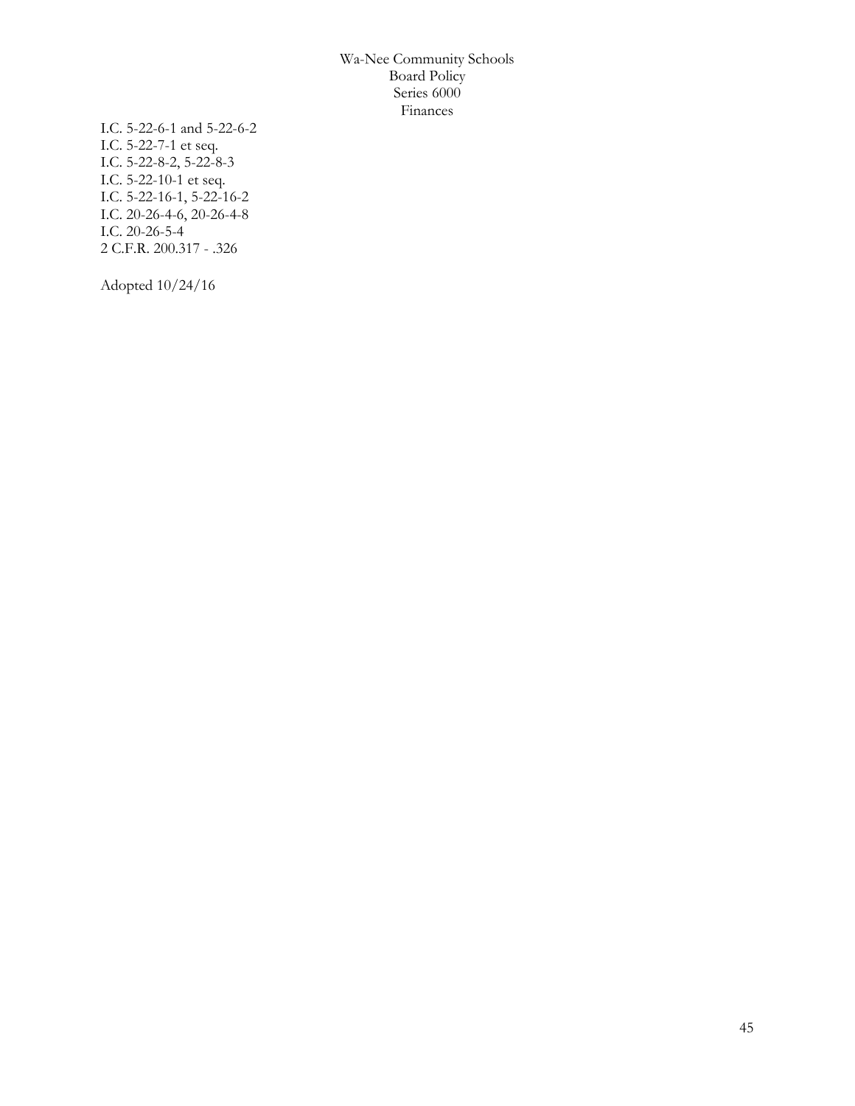I.C. 5-22-6-1 and 5-22-6-2 I.C. 5-22-7-1 et seq. I.C. 5-22-8-2, 5-22-8-3 I.C. 5-22-10-1 et seq. I.C. 5-22-16-1, 5-22-16-2 I.C. 20-26-4-6, 20-26-4-8 I.C. 20-26-5-4 2 C.F.R. 200.317 - .326

Adopted 10/24/16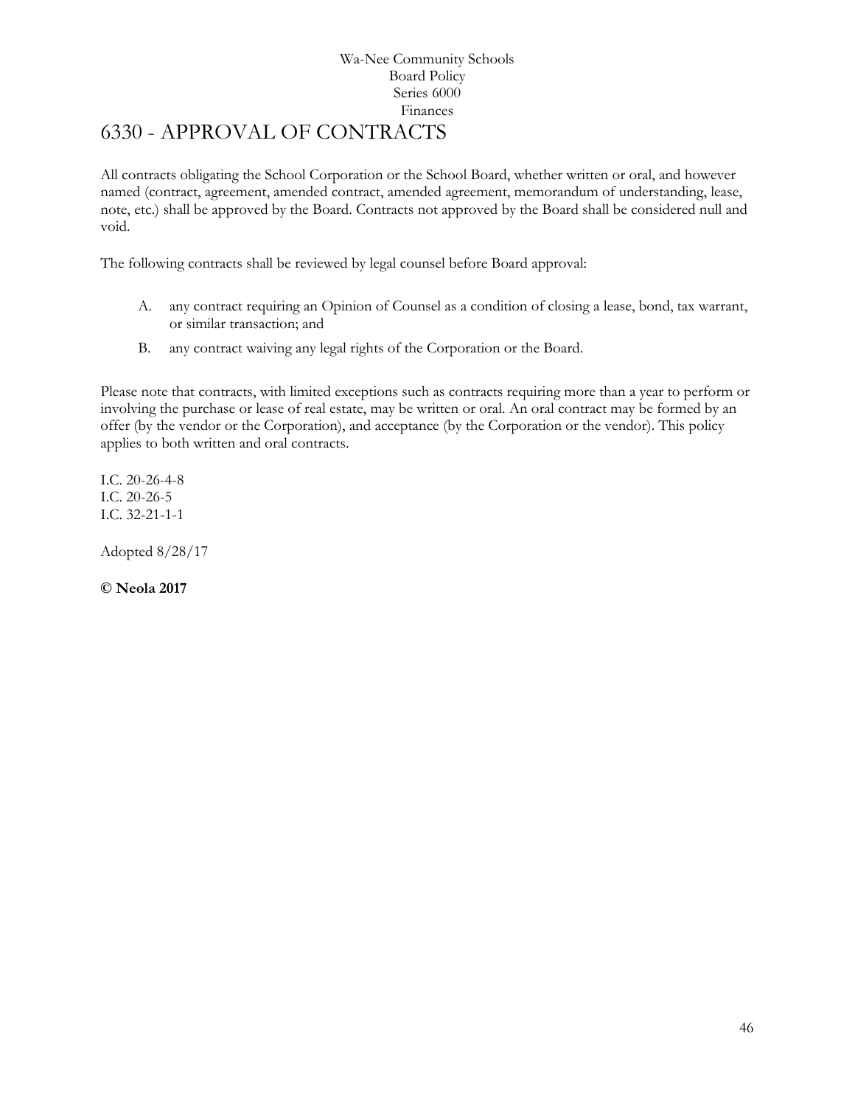# <span id="page-45-0"></span>6330 - APPROVAL OF CONTRACTS

All contracts obligating the School Corporation or the School Board, whether written or oral, and however named (contract, agreement, amended contract, amended agreement, memorandum of understanding, lease, note, etc.) shall be approved by the Board. Contracts not approved by the Board shall be considered null and void.

The following contracts shall be reviewed by legal counsel before Board approval:

- A. any contract requiring an Opinion of Counsel as a condition of closing a lease, bond, tax warrant, or similar transaction; and
- B. any contract waiving any legal rights of the Corporation or the Board.

Please note that contracts, with limited exceptions such as contracts requiring more than a year to perform or involving the purchase or lease of real estate, may be written or oral. An oral contract may be formed by an offer (by the vendor or the Corporation), and acceptance (by the Corporation or the vendor). This policy applies to both written and oral contracts.

I.C. 20-26-4-8 I.C. 20-26-5 I.C. 32-21-1-1

Adopted 8/28/17

**© Neola 2017**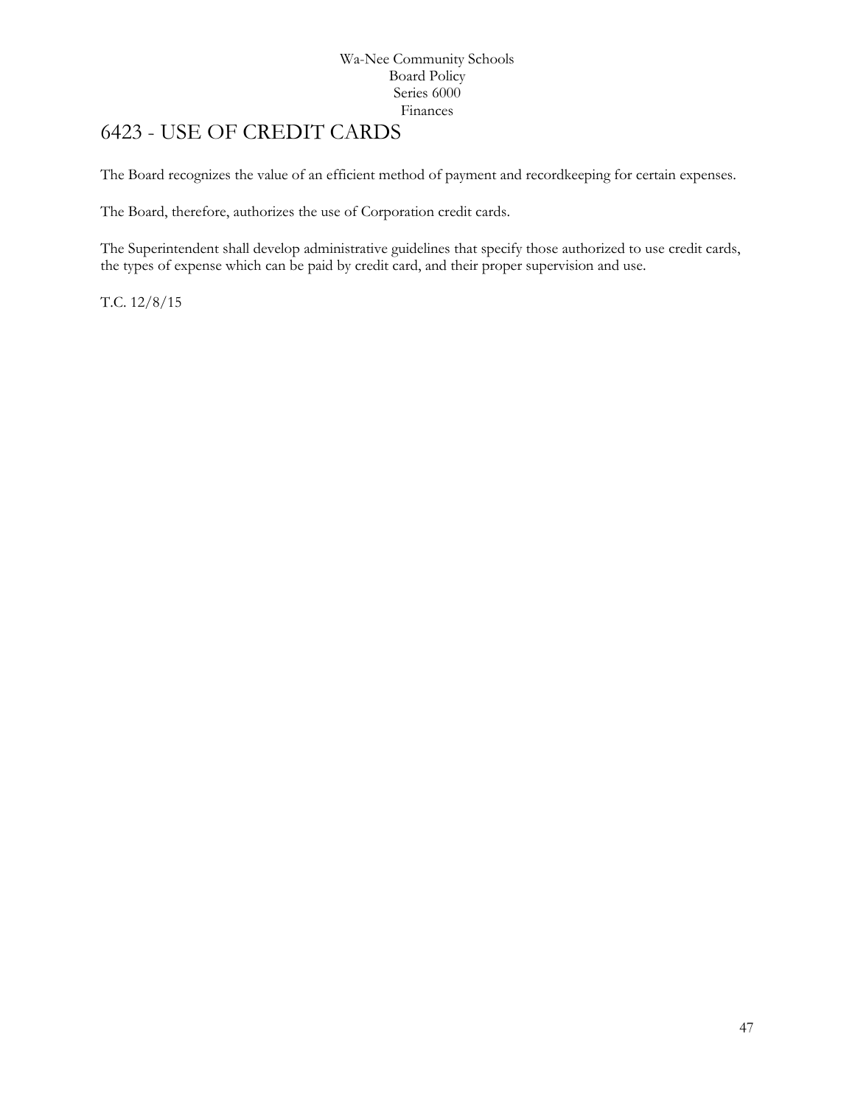# <span id="page-46-0"></span>[6423](http://www.neola.com/wanee-in/search/ag/ag6423.htm) - USE OF CREDIT CARDS

The Board recognizes the value of an efficient method of payment and recordkeeping for certain expenses.

The Board, therefore, authorizes the use of Corporation credit cards.

The Superintendent shall develop administrative guidelines that specify those authorized to use credit cards, the types of expense which can be paid by credit card, and their proper supervision and use.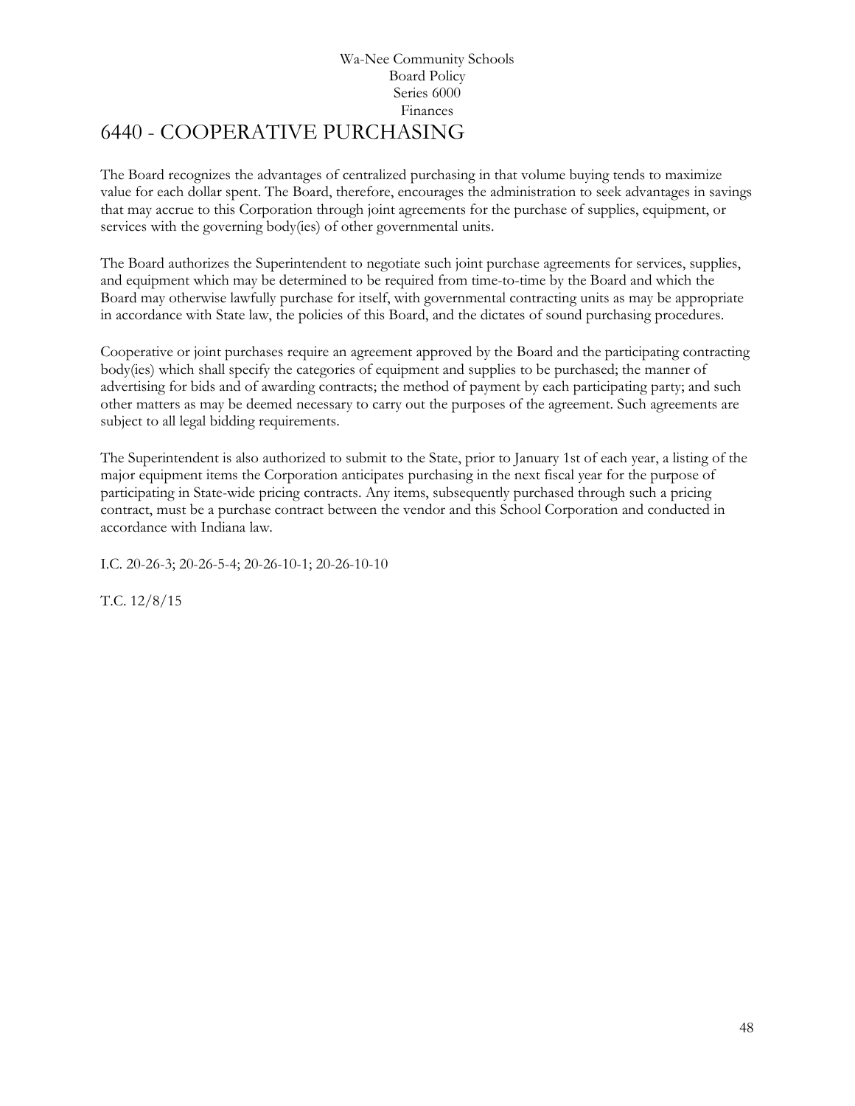# Wa-Nee Community Schools Board Policy Series 6000 Finances 6440 - COOPERATIVE PURCHASING

<span id="page-47-0"></span>The Board recognizes the advantages of centralized purchasing in that volume buying tends to maximize value for each dollar spent. The Board, therefore, encourages the administration to seek advantages in savings that may accrue to this Corporation through joint agreements for the purchase of supplies, equipment, or services with the governing body(ies) of other governmental units.

The Board authorizes the Superintendent to negotiate such joint purchase agreements for services, supplies, and equipment which may be determined to be required from time-to-time by the Board and which the Board may otherwise lawfully purchase for itself, with governmental contracting units as may be appropriate in accordance with State law, the policies of this Board, and the dictates of sound purchasing procedures.

Cooperative or joint purchases require an agreement approved by the Board and the participating contracting body(ies) which shall specify the categories of equipment and supplies to be purchased; the manner of advertising for bids and of awarding contracts; the method of payment by each participating party; and such other matters as may be deemed necessary to carry out the purposes of the agreement. Such agreements are subject to all legal bidding requirements.

The Superintendent is also authorized to submit to the State, prior to January 1st of each year, a listing of the major equipment items the Corporation anticipates purchasing in the next fiscal year for the purpose of participating in State-wide pricing contracts. Any items, subsequently purchased through such a pricing contract, must be a purchase contract between the vendor and this School Corporation and conducted in accordance with Indiana law.

I.C. 20-26-3; 20-26-5-4; 20-26-10-1; 20-26-10-10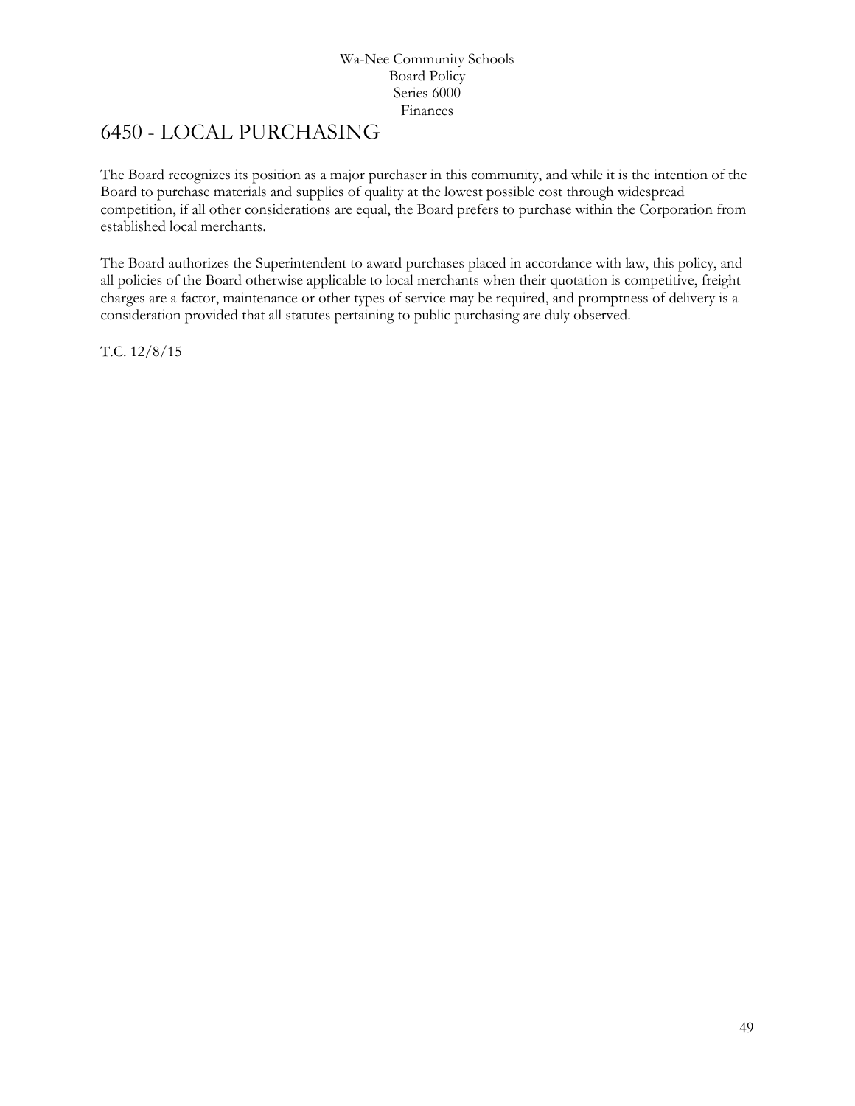# <span id="page-48-0"></span>6450 - LOCAL PURCHASING

The Board recognizes its position as a major purchaser in this community, and while it is the intention of the Board to purchase materials and supplies of quality at the lowest possible cost through widespread competition, if all other considerations are equal, the Board prefers to purchase within the Corporation from established local merchants.

The Board authorizes the Superintendent to award purchases placed in accordance with law, this policy, and all policies of the Board otherwise applicable to local merchants when their quotation is competitive, freight charges are a factor, maintenance or other types of service may be required, and promptness of delivery is a consideration provided that all statutes pertaining to public purchasing are duly observed.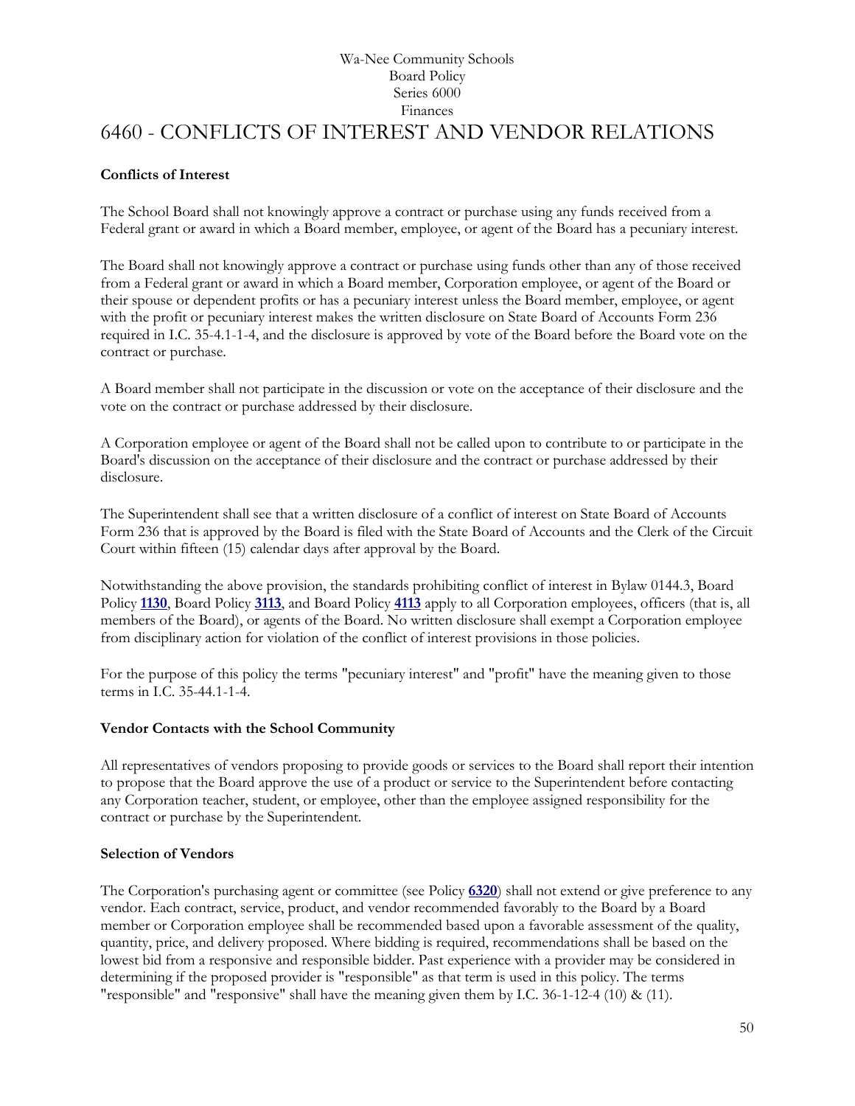# Wa-Nee Community Schools Board Policy Series 6000 Finances [6460](http://www.neola.com/wanee-in/search/ag/ag6460.htm) - CONFLICTS OF INTEREST AND VENDOR RELATIONS

# <span id="page-49-0"></span>**Conflicts of Interest**

The School Board shall not knowingly approve a contract or purchase using any funds received from a Federal grant or award in which a Board member, employee, or agent of the Board has a pecuniary interest.

The Board shall not knowingly approve a contract or purchase using funds other than any of those received from a Federal grant or award in which a Board member, Corporation employee, or agent of the Board or their spouse or dependent profits or has a pecuniary interest unless the Board member, employee, or agent with the profit or pecuniary interest makes the written disclosure on State Board of Accounts Form 236 required in I.C. 35-4.1-1-4, and the disclosure is approved by vote of the Board before the Board vote on the contract or purchase.

A Board member shall not participate in the discussion or vote on the acceptance of their disclosure and the vote on the contract or purchase addressed by their disclosure.

A Corporation employee or agent of the Board shall not be called upon to contribute to or participate in the Board's discussion on the acceptance of their disclosure and the contract or purchase addressed by their disclosure.

The Superintendent shall see that a written disclosure of a conflict of interest on State Board of Accounts Form 236 that is approved by the Board is filed with the State Board of Accounts and the Clerk of the Circuit Court within fifteen (15) calendar days after approval by the Board.

Notwithstanding the above provision, the standards prohibiting conflict of interest in Bylaw 0144.3, Board Policy **[1130](http://www.neola.com/wanee-in/search/policies/po1130.htm)**, Board Policy **[3113](http://www.neola.com/wanee-in/search/policies/po3113.htm)**, and Board Policy **[4113](http://www.neola.com/wanee-in/search/policies/po4113.htm)** apply to all Corporation employees, officers (that is, all members of the Board), or agents of the Board. No written disclosure shall exempt a Corporation employee from disciplinary action for violation of the conflict of interest provisions in those policies.

For the purpose of this policy the terms "pecuniary interest" and "profit" have the meaning given to those terms in I.C. 35-44.1-1-4.

# **Vendor Contacts with the School Community**

All representatives of vendors proposing to provide goods or services to the Board shall report their intention to propose that the Board approve the use of a product or service to the Superintendent before contacting any Corporation teacher, student, or employee, other than the employee assigned responsibility for the contract or purchase by the Superintendent.

# **Selection of Vendors**

The Corporation's purchasing agent or committee (see Policy **[6320](http://www.neola.com/wanee-in/search/policies/po6320.htm)**) shall not extend or give preference to any vendor. Each contract, service, product, and vendor recommended favorably to the Board by a Board member or Corporation employee shall be recommended based upon a favorable assessment of the quality, quantity, price, and delivery proposed. Where bidding is required, recommendations shall be based on the lowest bid from a responsive and responsible bidder. Past experience with a provider may be considered in determining if the proposed provider is "responsible" as that term is used in this policy. The terms "responsible" and "responsive" shall have the meaning given them by I.C. 36-1-12-4 (10) & (11).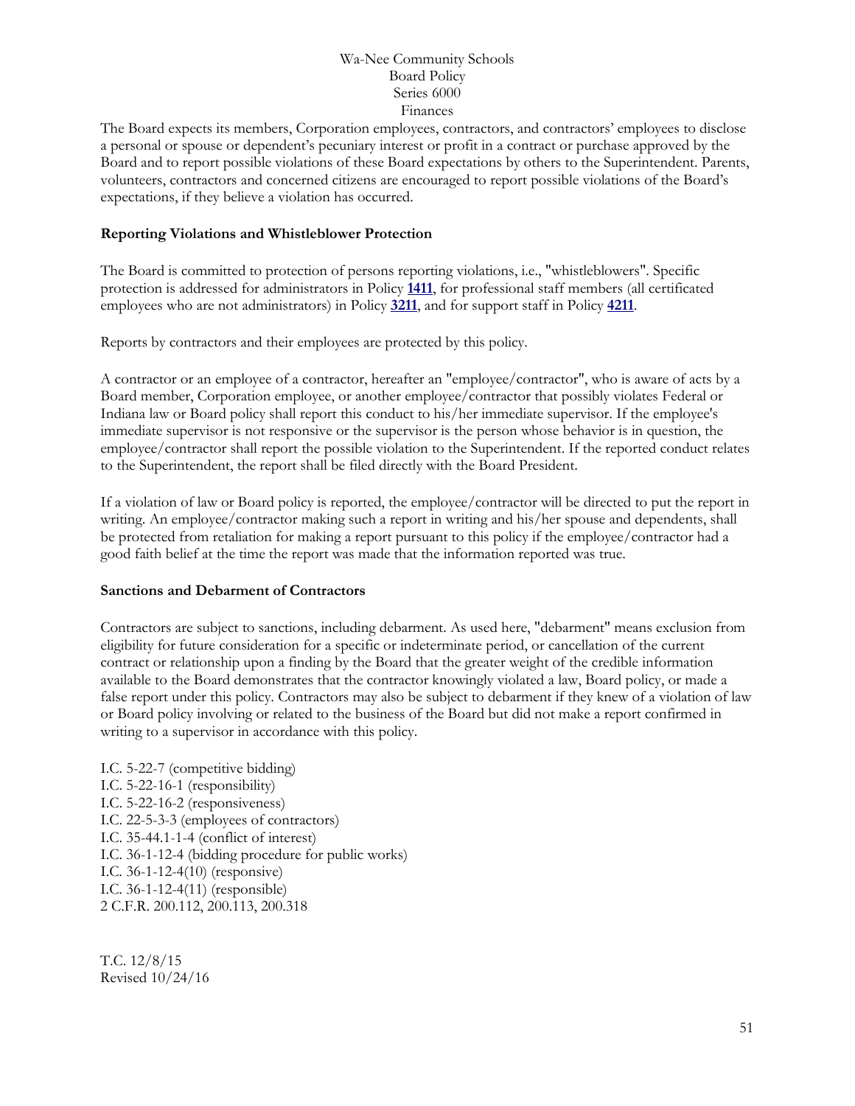The Board expects its members, Corporation employees, contractors, and contractors' employees to disclose a personal or spouse or dependent's pecuniary interest or profit in a contract or purchase approved by the Board and to report possible violations of these Board expectations by others to the Superintendent. Parents, volunteers, contractors and concerned citizens are encouraged to report possible violations of the Board's expectations, if they believe a violation has occurred.

### **Reporting Violations and Whistleblower Protection**

The Board is committed to protection of persons reporting violations, i.e., "whistleblowers". Specific protection is addressed for administrators in Policy **[1411](http://www.neola.com/wanee-in/search/policies/po1411.htm)**, for professional staff members (all certificated employees who are not administrators) in Policy **[3211](http://www.neola.com/wanee-in/search/policies/po3211.htm)**, and for support staff in Policy **[4211](http://www.neola.com/wanee-in/search/policies/po4211.htm)**.

Reports by contractors and their employees are protected by this policy.

A contractor or an employee of a contractor, hereafter an "employee/contractor", who is aware of acts by a Board member, Corporation employee, or another employee/contractor that possibly violates Federal or Indiana law or Board policy shall report this conduct to his/her immediate supervisor. If the employee's immediate supervisor is not responsive or the supervisor is the person whose behavior is in question, the employee/contractor shall report the possible violation to the Superintendent. If the reported conduct relates to the Superintendent, the report shall be filed directly with the Board President.

If a violation of law or Board policy is reported, the employee/contractor will be directed to put the report in writing. An employee/contractor making such a report in writing and his/her spouse and dependents, shall be protected from retaliation for making a report pursuant to this policy if the employee/contractor had a good faith belief at the time the report was made that the information reported was true.

#### **Sanctions and Debarment of Contractors**

Contractors are subject to sanctions, including debarment. As used here, "debarment" means exclusion from eligibility for future consideration for a specific or indeterminate period, or cancellation of the current contract or relationship upon a finding by the Board that the greater weight of the credible information available to the Board demonstrates that the contractor knowingly violated a law, Board policy, or made a false report under this policy. Contractors may also be subject to debarment if they knew of a violation of law or Board policy involving or related to the business of the Board but did not make a report confirmed in writing to a supervisor in accordance with this policy.

I.C. 5-22-7 (competitive bidding) I.C. 5-22-16-1 (responsibility) I.C. 5-22-16-2 (responsiveness) I.C. 22-5-3-3 (employees of contractors) I.C. 35-44.1-1-4 (conflict of interest) I.C. 36-1-12-4 (bidding procedure for public works) I.C. 36-1-12-4(10) (responsive) I.C. 36-1-12-4(11) (responsible) 2 C.F.R. 200.112, 200.113, 200.318

T.C. 12/8/15 Revised 10/24/16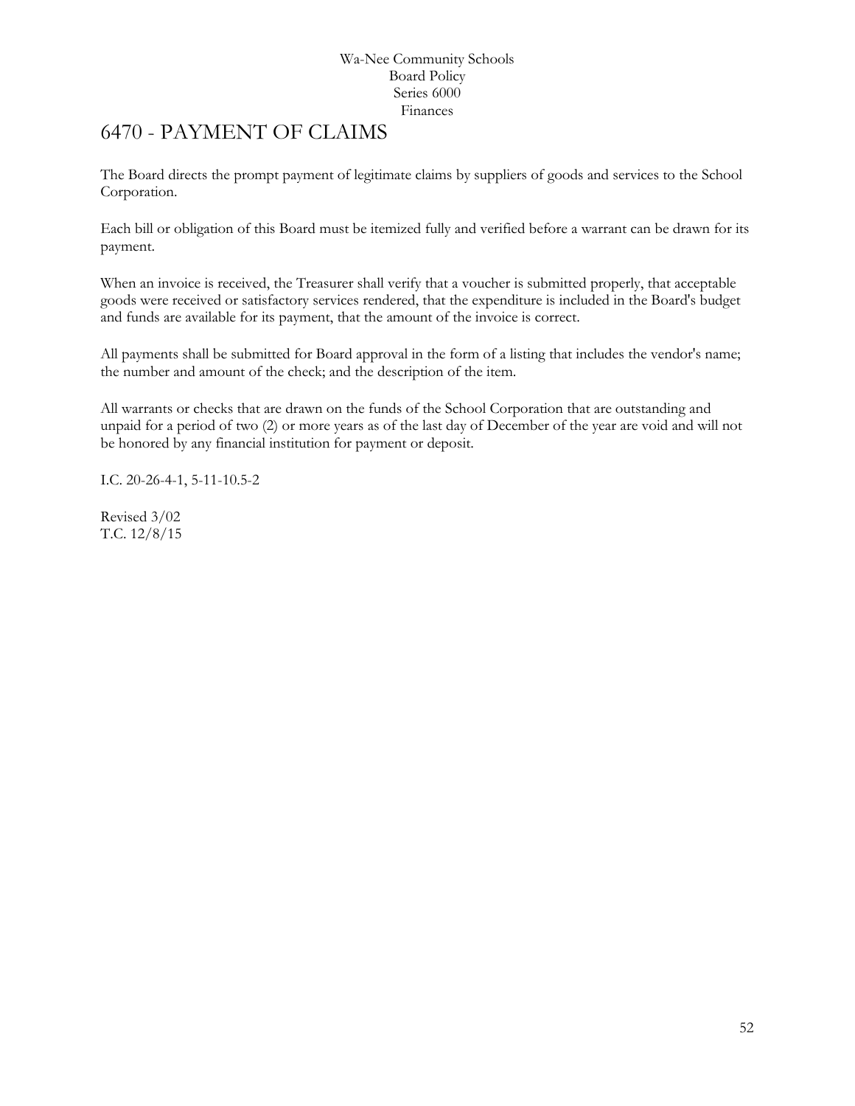# <span id="page-51-0"></span>6470 - PAYMENT OF CLAIMS

The Board directs the prompt payment of legitimate claims by suppliers of goods and services to the School Corporation.

Each bill or obligation of this Board must be itemized fully and verified before a warrant can be drawn for its payment.

When an invoice is received, the Treasurer shall verify that a voucher is submitted properly, that acceptable goods were received or satisfactory services rendered, that the expenditure is included in the Board's budget and funds are available for its payment, that the amount of the invoice is correct.

All payments shall be submitted for Board approval in the form of a listing that includes the vendor's name; the number and amount of the check; and the description of the item.

All warrants or checks that are drawn on the funds of the School Corporation that are outstanding and unpaid for a period of two (2) or more years as of the last day of December of the year are void and will not be honored by any financial institution for payment or deposit.

I.C. 20-26-4-1, 5-11-10.5-2

Revised 3/02 T.C. 12/8/15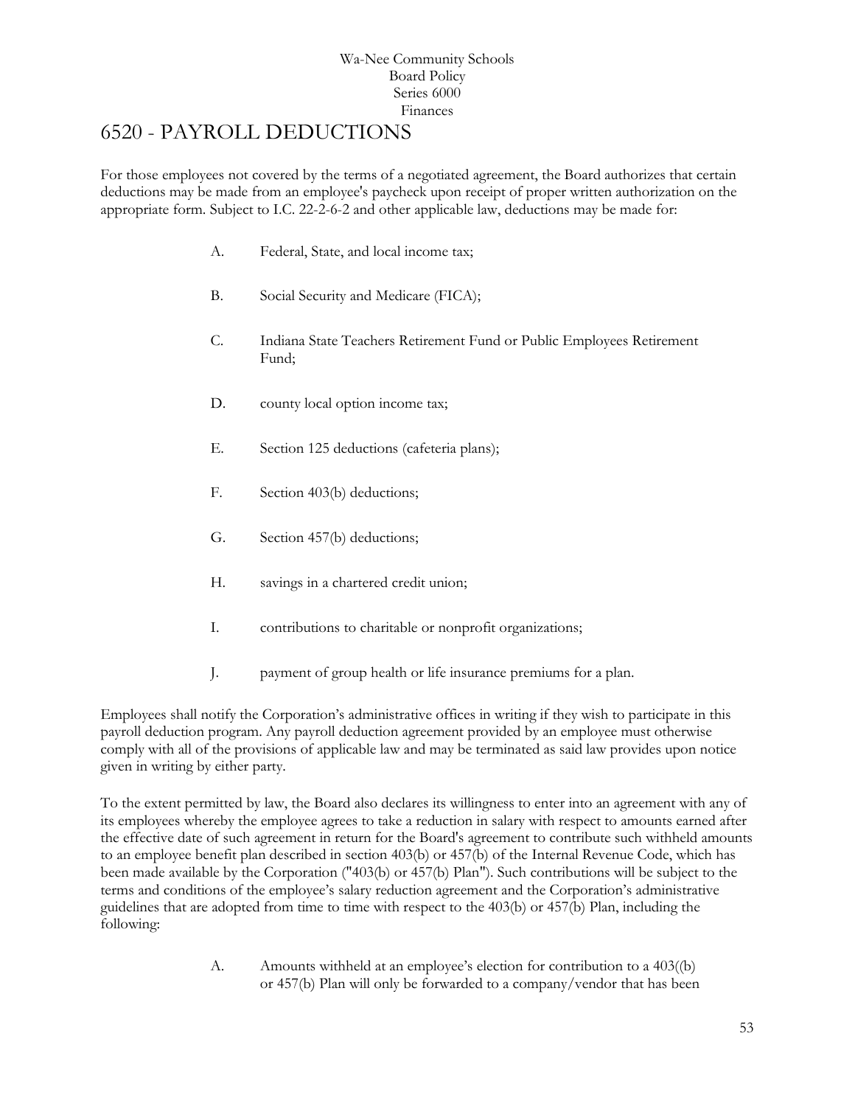# <span id="page-52-0"></span>6520 - PAYROLL DEDUCTIONS

For those employees not covered by the terms of a negotiated agreement, the Board authorizes that certain deductions may be made from an employee's paycheck upon receipt of proper written authorization on the appropriate form. Subject to I.C. 22-2-6-2 and other applicable law, deductions may be made for:

- A. Federal, State, and local income tax;
- B. Social Security and Medicare (FICA);
- C. Indiana State Teachers Retirement Fund or Public Employees Retirement Fund;
- D. county local option income tax;
- E. Section 125 deductions (cafeteria plans);
- F. Section 403(b) deductions;
- G. Section 457(b) deductions;
- H. savings in a chartered credit union;
- I. contributions to charitable or nonprofit organizations;
- J. payment of group health or life insurance premiums for a plan.

Employees shall notify the Corporation's administrative offices in writing if they wish to participate in this payroll deduction program. Any payroll deduction agreement provided by an employee must otherwise comply with all of the provisions of applicable law and may be terminated as said law provides upon notice given in writing by either party.

To the extent permitted by law, the Board also declares its willingness to enter into an agreement with any of its employees whereby the employee agrees to take a reduction in salary with respect to amounts earned after the effective date of such agreement in return for the Board's agreement to contribute such withheld amounts to an employee benefit plan described in section 403(b) or 457(b) of the Internal Revenue Code, which has been made available by the Corporation ("403(b) or 457(b) Plan"). Such contributions will be subject to the terms and conditions of the employee's salary reduction agreement and the Corporation's administrative guidelines that are adopted from time to time with respect to the 403(b) or 457(b) Plan, including the following:

> A. Amounts withheld at an employee's election for contribution to a 403((b) or 457(b) Plan will only be forwarded to a company/vendor that has been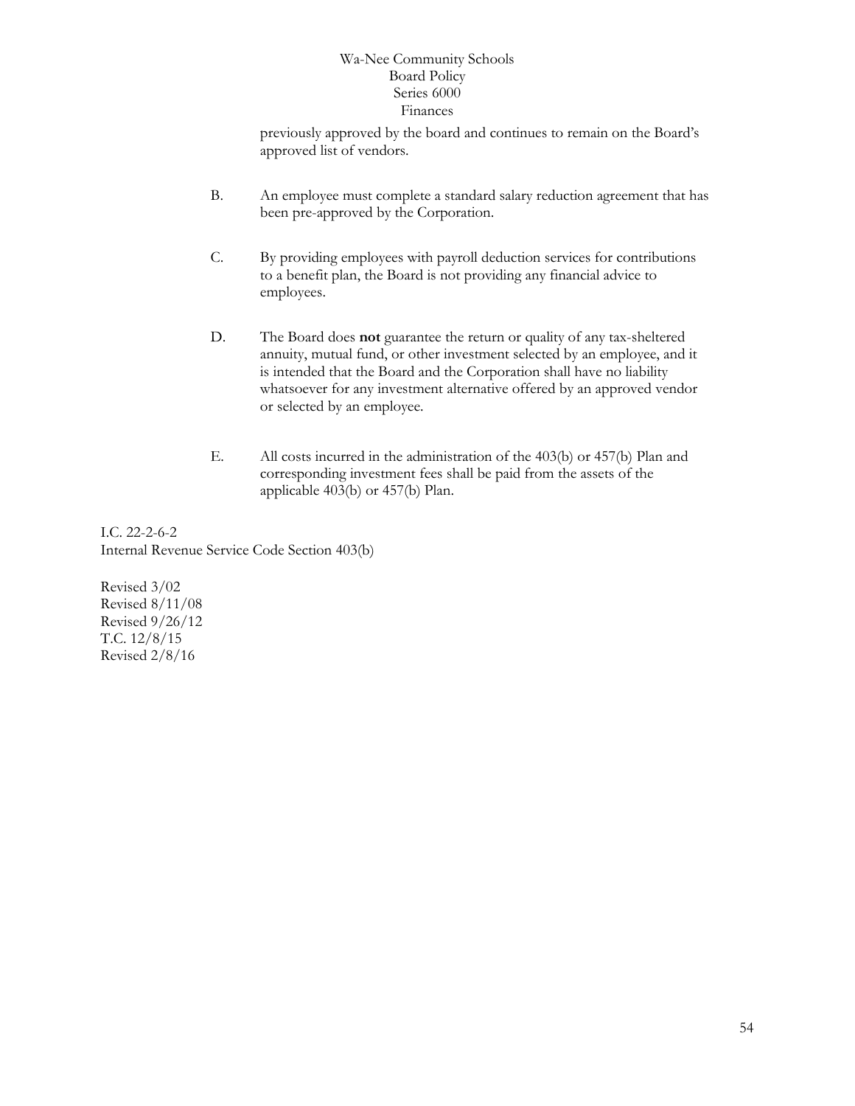previously approved by the board and continues to remain on the Board's approved list of vendors.

- B. An employee must complete a standard salary reduction agreement that has been pre-approved by the Corporation.
- C. By providing employees with payroll deduction services for contributions to a benefit plan, the Board is not providing any financial advice to employees.
- D. The Board does **not** guarantee the return or quality of any tax-sheltered annuity, mutual fund, or other investment selected by an employee, and it is intended that the Board and the Corporation shall have no liability whatsoever for any investment alternative offered by an approved vendor or selected by an employee.
- E. All costs incurred in the administration of the 403(b) or 457(b) Plan and corresponding investment fees shall be paid from the assets of the applicable 403(b) or 457(b) Plan.

I.C. 22-2-6-2 Internal Revenue Service Code Section 403(b)

Revised 3/02 Revised 8/11/08 Revised 9/26/12 T.C. 12/8/15 Revised 2/8/16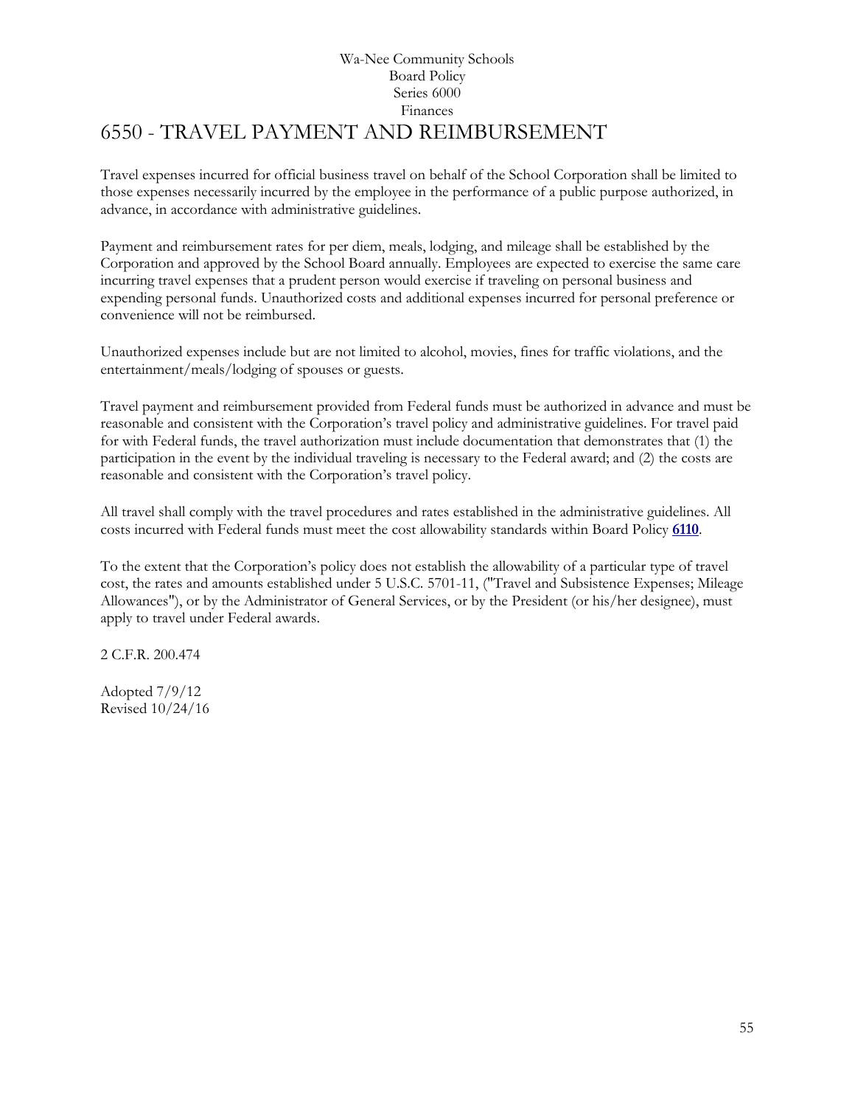# Wa-Nee Community Schools Board Policy Series 6000 Finances [6550](http://www.neola.com/wanee-in/search/ag/ag6550.htm) - TRAVEL PAYMENT AND REIMBURSEMENT

<span id="page-54-0"></span>Travel expenses incurred for official business travel on behalf of the School Corporation shall be limited to those expenses necessarily incurred by the employee in the performance of a public purpose authorized, in advance, in accordance with administrative guidelines.

Payment and reimbursement rates for per diem, meals, lodging, and mileage shall be established by the Corporation and approved by the School Board annually. Employees are expected to exercise the same care incurring travel expenses that a prudent person would exercise if traveling on personal business and expending personal funds. Unauthorized costs and additional expenses incurred for personal preference or convenience will not be reimbursed.

Unauthorized expenses include but are not limited to alcohol, movies, fines for traffic violations, and the entertainment/meals/lodging of spouses or guests.

Travel payment and reimbursement provided from Federal funds must be authorized in advance and must be reasonable and consistent with the Corporation's travel policy and administrative guidelines. For travel paid for with Federal funds, the travel authorization must include documentation that demonstrates that (1) the participation in the event by the individual traveling is necessary to the Federal award; and (2) the costs are reasonable and consistent with the Corporation's travel policy.

All travel shall comply with the travel procedures and rates established in the administrative guidelines. All costs incurred with Federal funds must meet the cost allowability standards within Board Policy **[6110](http://www.neola.com/wanee-in/search/policies/po6110.htm)**.

To the extent that the Corporation's policy does not establish the allowability of a particular type of travel cost, the rates and amounts established under 5 U.S.C. 5701-11, ("Travel and Subsistence Expenses; Mileage Allowances"), or by the Administrator of General Services, or by the President (or his/her designee), must apply to travel under Federal awards.

2 C.F.R. 200.474

Adopted 7/9/12 Revised 10/24/16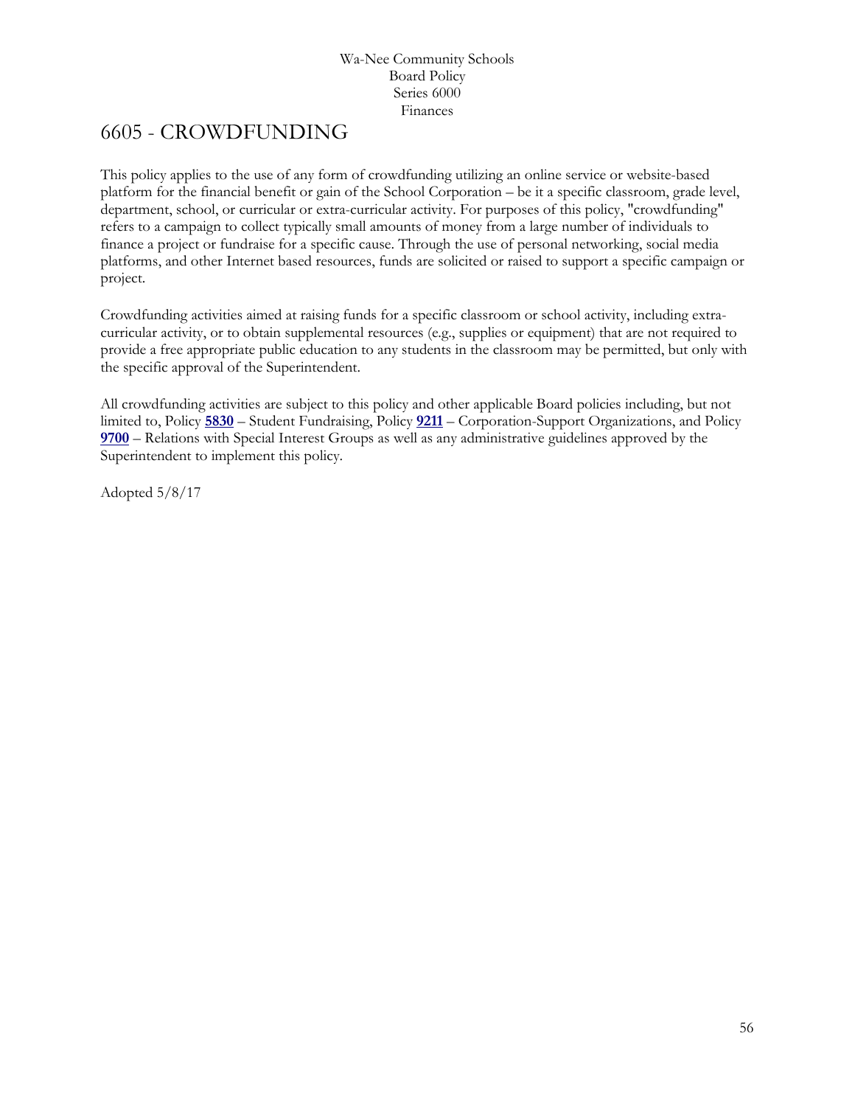# <span id="page-55-0"></span>[6605](http://www.neola.com/wanee-in/search/ag/ag6605.htm) - CROWDFUNDING

This policy applies to the use of any form of crowdfunding utilizing an online service or website-based platform for the financial benefit or gain of the School Corporation – be it a specific classroom, grade level, department, school, or curricular or extra-curricular activity. For purposes of this policy, "crowdfunding" refers to a campaign to collect typically small amounts of money from a large number of individuals to finance a project or fundraise for a specific cause. Through the use of personal networking, social media platforms, and other Internet based resources, funds are solicited or raised to support a specific campaign or project.

Crowdfunding activities aimed at raising funds for a specific classroom or school activity, including extracurricular activity, or to obtain supplemental resources (e.g., supplies or equipment) that are not required to provide a free appropriate public education to any students in the classroom may be permitted, but only with the specific approval of the Superintendent.

All crowdfunding activities are subject to this policy and other applicable Board policies including, but not limited to, Policy **[5830](http://www.neola.com/wanee-in/search/policies/po5830.htm)** – Student Fundraising, Policy **[9211](http://www.neola.com/wanee-in/search/policies/po9211.htm)** – Corporation-Support Organizations, and Policy **[9700](http://www.neola.com/wanee-in/search/policies/po9700.htm)** – Relations with Special Interest Groups as well as any administrative guidelines approved by the Superintendent to implement this policy.

Adopted 5/8/17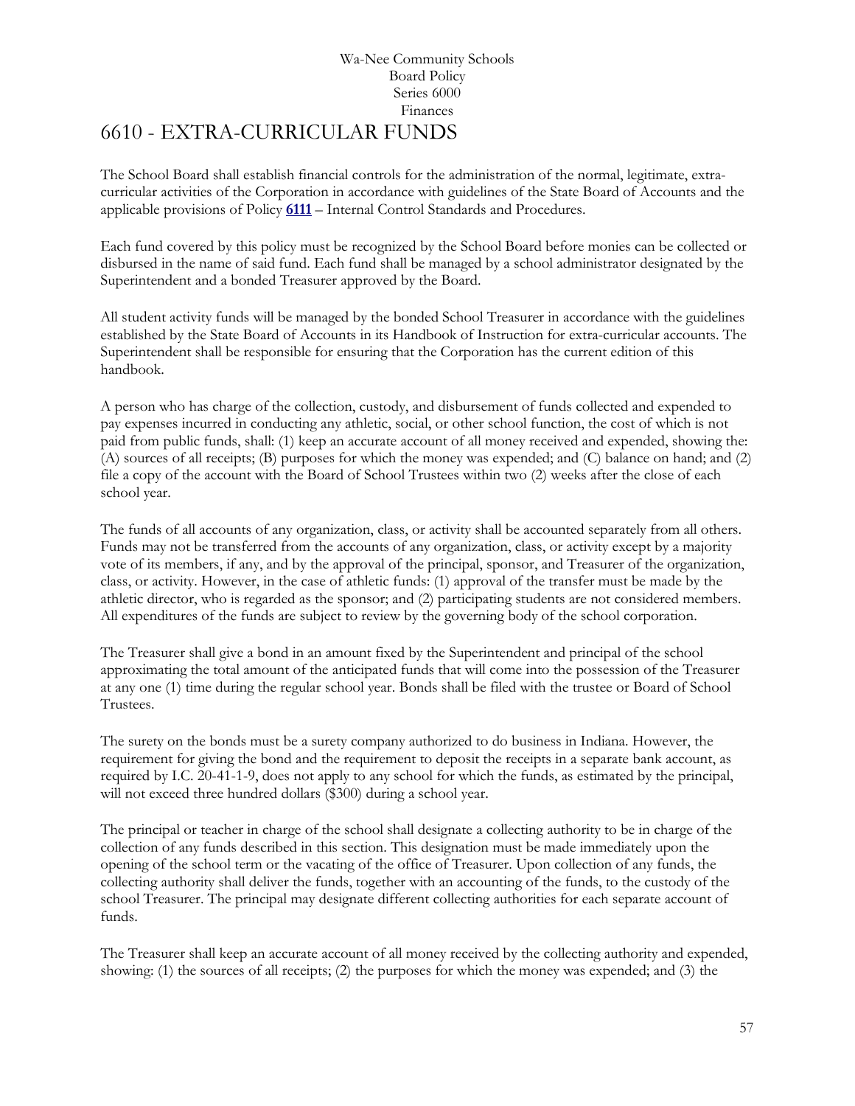# Wa-Nee Community Schools Board Policy Series 6000 Finances [6610](http://www.neola.com/wanee-in/search/ag/ag6610.htm) - EXTRA-CURRICULAR FUNDS

<span id="page-56-0"></span>The School Board shall establish financial controls for the administration of the normal, legitimate, extracurricular activities of the Corporation in accordance with guidelines of the State Board of Accounts and the applicable provisions of Policy **[6111](http://www.neola.com/wanee-in/search/policies/po6111.htm)** – Internal Control Standards and Procedures.

Each fund covered by this policy must be recognized by the School Board before monies can be collected or disbursed in the name of said fund. Each fund shall be managed by a school administrator designated by the Superintendent and a bonded Treasurer approved by the Board.

All student activity funds will be managed by the bonded School Treasurer in accordance with the guidelines established by the State Board of Accounts in its Handbook of Instruction for extra-curricular accounts. The Superintendent shall be responsible for ensuring that the Corporation has the current edition of this handbook.

A person who has charge of the collection, custody, and disbursement of funds collected and expended to pay expenses incurred in conducting any athletic, social, or other school function, the cost of which is not paid from public funds, shall: (1) keep an accurate account of all money received and expended, showing the: (A) sources of all receipts; (B) purposes for which the money was expended; and (C) balance on hand; and (2) file a copy of the account with the Board of School Trustees within two (2) weeks after the close of each school year.

The funds of all accounts of any organization, class, or activity shall be accounted separately from all others. Funds may not be transferred from the accounts of any organization, class, or activity except by a majority vote of its members, if any, and by the approval of the principal, sponsor, and Treasurer of the organization, class, or activity. However, in the case of athletic funds: (1) approval of the transfer must be made by the athletic director, who is regarded as the sponsor; and (2) participating students are not considered members. All expenditures of the funds are subject to review by the governing body of the school corporation.

The Treasurer shall give a bond in an amount fixed by the Superintendent and principal of the school approximating the total amount of the anticipated funds that will come into the possession of the Treasurer at any one (1) time during the regular school year. Bonds shall be filed with the trustee or Board of School Trustees.

The surety on the bonds must be a surety company authorized to do business in Indiana. However, the requirement for giving the bond and the requirement to deposit the receipts in a separate bank account, as required by I.C. 20-41-1-9, does not apply to any school for which the funds, as estimated by the principal, will not exceed three hundred dollars (\$300) during a school year.

The principal or teacher in charge of the school shall designate a collecting authority to be in charge of the collection of any funds described in this section. This designation must be made immediately upon the opening of the school term or the vacating of the office of Treasurer. Upon collection of any funds, the collecting authority shall deliver the funds, together with an accounting of the funds, to the custody of the school Treasurer. The principal may designate different collecting authorities for each separate account of funds.

The Treasurer shall keep an accurate account of all money received by the collecting authority and expended, showing: (1) the sources of all receipts; (2) the purposes for which the money was expended; and (3) the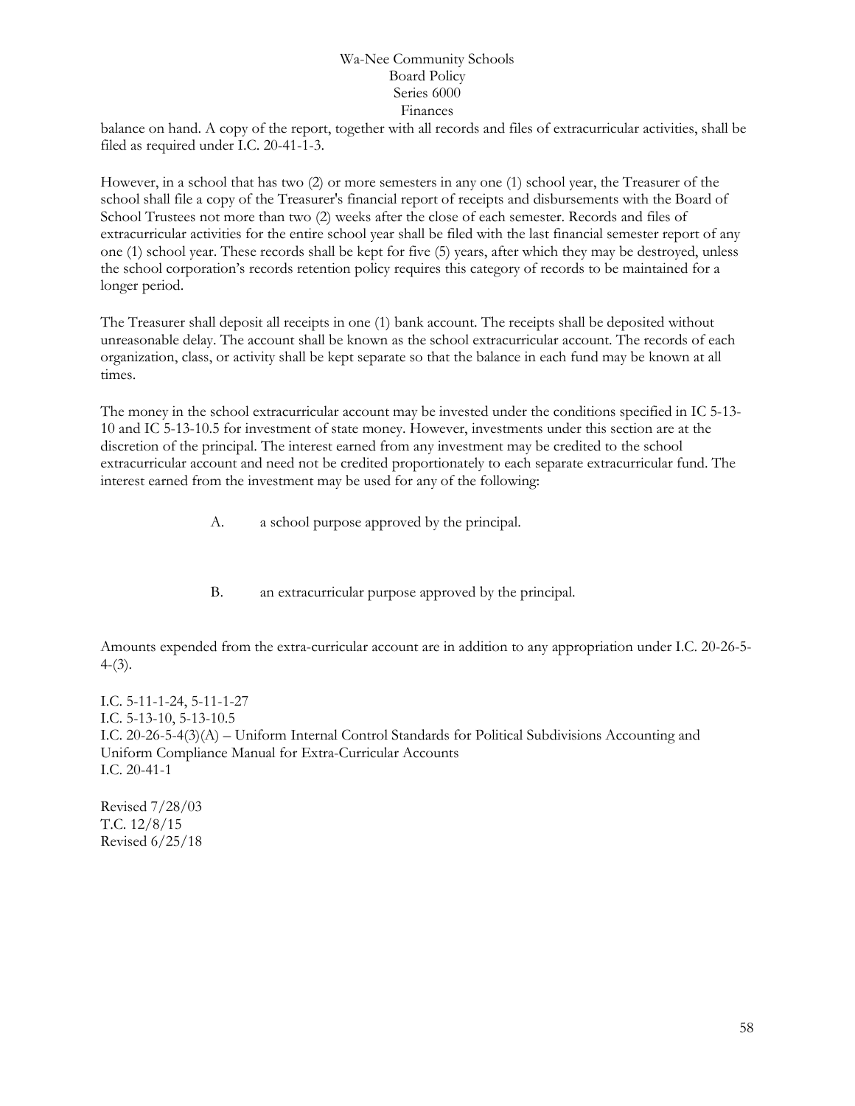balance on hand. A copy of the report, together with all records and files of extracurricular activities, shall be filed as required under I.C. 20-41-1-3.

However, in a school that has two (2) or more semesters in any one (1) school year, the Treasurer of the school shall file a copy of the Treasurer's financial report of receipts and disbursements with the Board of School Trustees not more than two (2) weeks after the close of each semester. Records and files of extracurricular activities for the entire school year shall be filed with the last financial semester report of any one (1) school year. These records shall be kept for five (5) years, after which they may be destroyed, unless the school corporation's records retention policy requires this category of records to be maintained for a longer period.

The Treasurer shall deposit all receipts in one (1) bank account. The receipts shall be deposited without unreasonable delay. The account shall be known as the school extracurricular account. The records of each organization, class, or activity shall be kept separate so that the balance in each fund may be known at all times.

The money in the school extracurricular account may be invested under the conditions specified in IC 5-13- 10 and IC 5-13-10.5 for investment of state money. However, investments under this section are at the discretion of the principal. The interest earned from any investment may be credited to the school extracurricular account and need not be credited proportionately to each separate extracurricular fund. The interest earned from the investment may be used for any of the following:

- A. a school purpose approved by the principal.
- B. an extracurricular purpose approved by the principal.

Amounts expended from the extra-curricular account are in addition to any appropriation under I.C. 20-26-5-  $4-(3)$ .

I.C. 5-11-1-24, 5-11-1-27 I.C. 5-13-10, 5-13-10.5 I.C. 20-26-5-4(3)(A) – Uniform Internal Control Standards for Political Subdivisions Accounting and Uniform Compliance Manual for Extra-Curricular Accounts I.C. 20-41-1

Revised 7/28/03 T.C. 12/8/15 Revised 6/25/18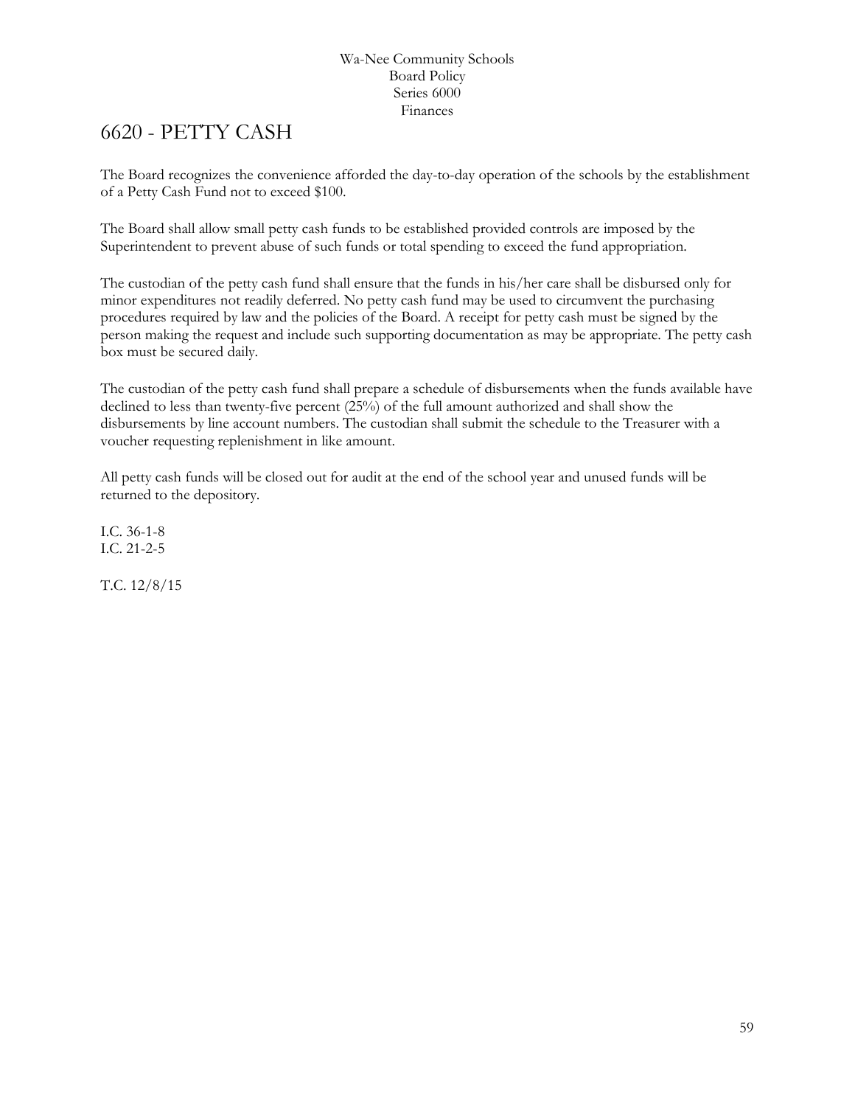# <span id="page-58-0"></span>[6620](http://www.neola.com/wanee-in/search/ag/ag6620.htm) - PETTY CASH

The Board recognizes the convenience afforded the day-to-day operation of the schools by the establishment of a Petty Cash Fund not to exceed \$100.

The Board shall allow small petty cash funds to be established provided controls are imposed by the Superintendent to prevent abuse of such funds or total spending to exceed the fund appropriation.

The custodian of the petty cash fund shall ensure that the funds in his/her care shall be disbursed only for minor expenditures not readily deferred. No petty cash fund may be used to circumvent the purchasing procedures required by law and the policies of the Board. A receipt for petty cash must be signed by the person making the request and include such supporting documentation as may be appropriate. The petty cash box must be secured daily.

The custodian of the petty cash fund shall prepare a schedule of disbursements when the funds available have declined to less than twenty-five percent (25%) of the full amount authorized and shall show the disbursements by line account numbers. The custodian shall submit the schedule to the Treasurer with a voucher requesting replenishment in like amount.

All petty cash funds will be closed out for audit at the end of the school year and unused funds will be returned to the depository.

I.C. 36-1-8 I.C. 21-2-5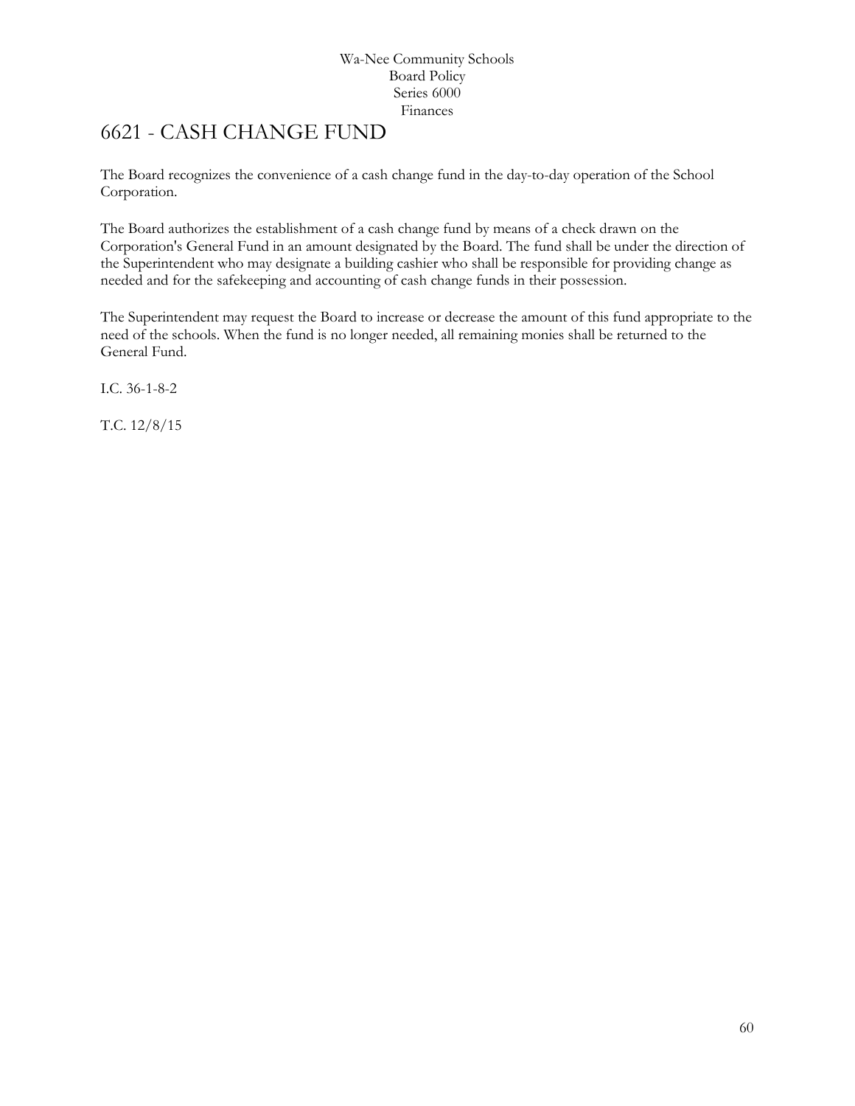# <span id="page-59-0"></span>6621 - CASH CHANGE FUND

The Board recognizes the convenience of a cash change fund in the day-to-day operation of the School Corporation.

The Board authorizes the establishment of a cash change fund by means of a check drawn on the Corporation's General Fund in an amount designated by the Board. The fund shall be under the direction of the Superintendent who may designate a building cashier who shall be responsible for providing change as needed and for the safekeeping and accounting of cash change funds in their possession.

The Superintendent may request the Board to increase or decrease the amount of this fund appropriate to the need of the schools. When the fund is no longer needed, all remaining monies shall be returned to the General Fund.

I.C. 36-1-8-2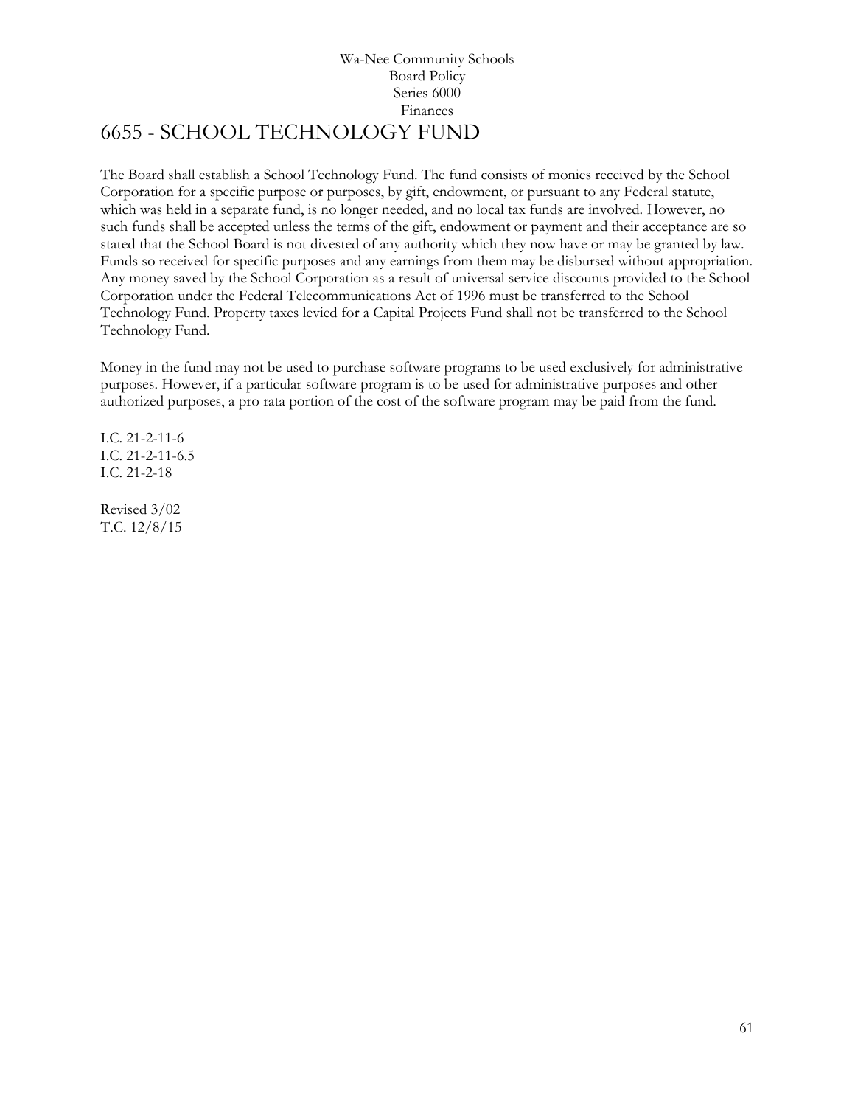# Wa-Nee Community Schools Board Policy Series 6000 Finances 6655 - SCHOOL TECHNOLOGY FUND

<span id="page-60-0"></span>The Board shall establish a School Technology Fund. The fund consists of monies received by the School Corporation for a specific purpose or purposes, by gift, endowment, or pursuant to any Federal statute, which was held in a separate fund, is no longer needed, and no local tax funds are involved. However, no such funds shall be accepted unless the terms of the gift, endowment or payment and their acceptance are so stated that the School Board is not divested of any authority which they now have or may be granted by law. Funds so received for specific purposes and any earnings from them may be disbursed without appropriation. Any money saved by the School Corporation as a result of universal service discounts provided to the School Corporation under the Federal Telecommunications Act of 1996 must be transferred to the School Technology Fund. Property taxes levied for a Capital Projects Fund shall not be transferred to the School Technology Fund.

Money in the fund may not be used to purchase software programs to be used exclusively for administrative purposes. However, if a particular software program is to be used for administrative purposes and other authorized purposes, a pro rata portion of the cost of the software program may be paid from the fund.

I.C. 21-2-11-6 I.C. 21-2-11-6.5 I.C. 21-2-18

Revised 3/02 T.C. 12/8/15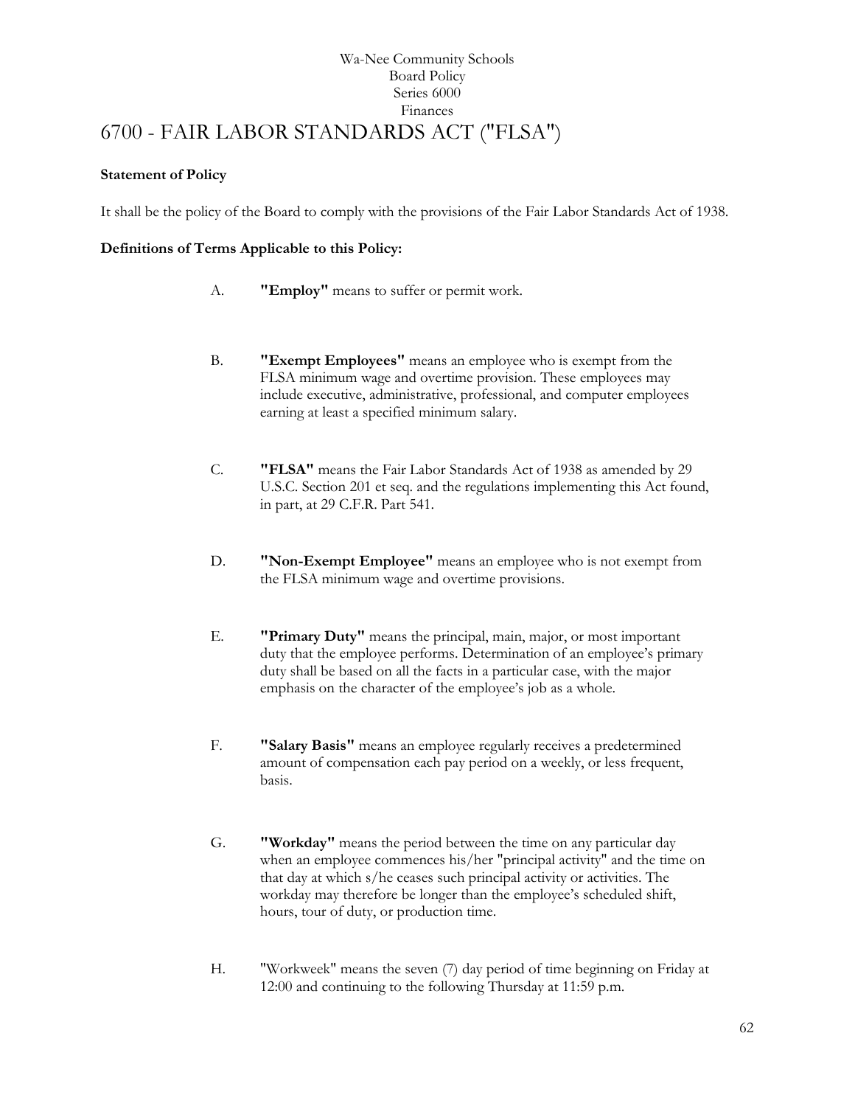# Wa-Nee Community Schools Board Policy Series 6000 Finances [6700](http://www.neola.com/wanee-in/search/ag/ag6700.htm) - FAIR LABOR STANDARDS ACT ("FLSA")

# <span id="page-61-0"></span>**Statement of Policy**

It shall be the policy of the Board to comply with the provisions of the Fair Labor Standards Act of 1938.

# **Definitions of Terms Applicable to this Policy:**

- A. **"Employ"** means to suffer or permit work.
- B. **"Exempt Employees"** means an employee who is exempt from the FLSA minimum wage and overtime provision. These employees may include executive, administrative, professional, and computer employees earning at least a specified minimum salary.
- C. **"FLSA"** means the Fair Labor Standards Act of 1938 as amended by 29 U.S.C. Section 201 et seq. and the regulations implementing this Act found, in part, at 29 C.F.R. Part 541.
- D. **"Non-Exempt Employee"** means an employee who is not exempt from the FLSA minimum wage and overtime provisions.
- E. **"Primary Duty"** means the principal, main, major, or most important duty that the employee performs. Determination of an employee's primary duty shall be based on all the facts in a particular case, with the major emphasis on the character of the employee's job as a whole.
- F. **"Salary Basis"** means an employee regularly receives a predetermined amount of compensation each pay period on a weekly, or less frequent, basis.
- G. **"Workday"** means the period between the time on any particular day when an employee commences his/her "principal activity" and the time on that day at which s/he ceases such principal activity or activities. The workday may therefore be longer than the employee's scheduled shift, hours, tour of duty, or production time.
- H. "Workweek" means the seven (7) day period of time beginning on Friday at 12:00 and continuing to the following Thursday at 11:59 p.m.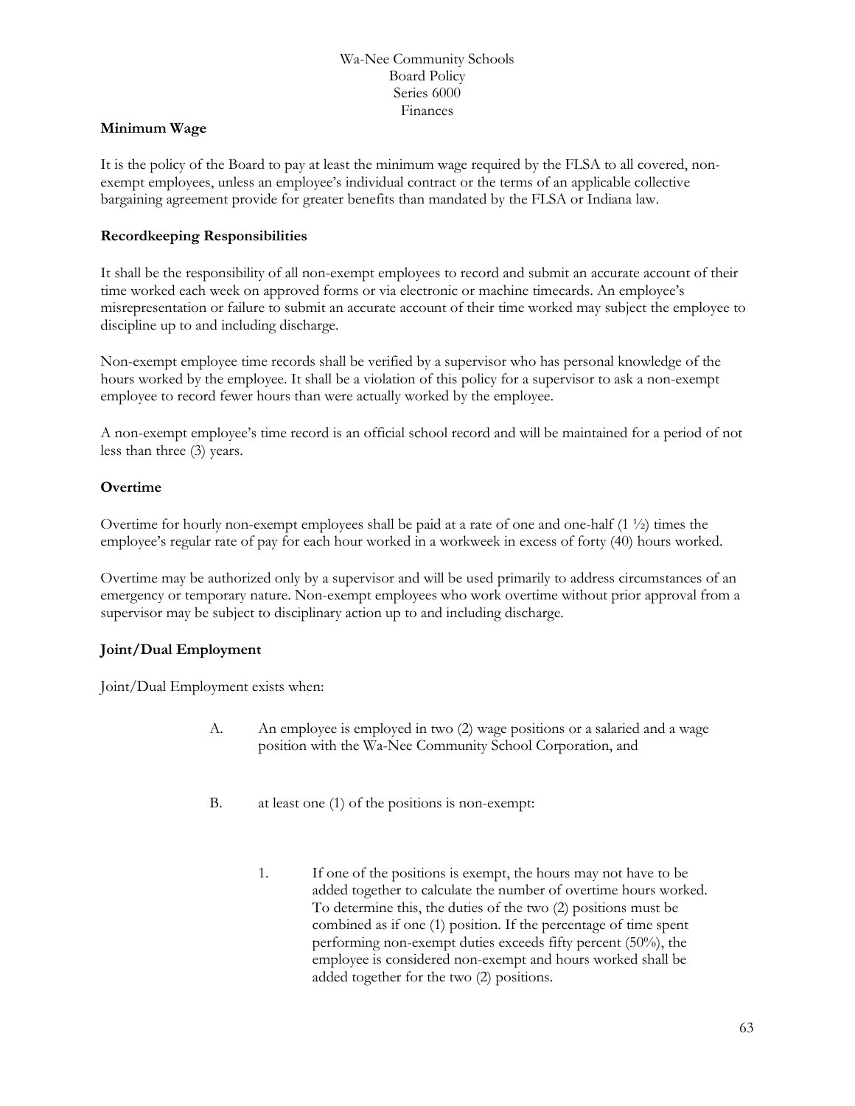# **Minimum Wage**

It is the policy of the Board to pay at least the minimum wage required by the FLSA to all covered, nonexempt employees, unless an employee's individual contract or the terms of an applicable collective bargaining agreement provide for greater benefits than mandated by the FLSA or Indiana law.

# **Recordkeeping Responsibilities**

It shall be the responsibility of all non-exempt employees to record and submit an accurate account of their time worked each week on approved forms or via electronic or machine timecards. An employee's misrepresentation or failure to submit an accurate account of their time worked may subject the employee to discipline up to and including discharge.

Non-exempt employee time records shall be verified by a supervisor who has personal knowledge of the hours worked by the employee. It shall be a violation of this policy for a supervisor to ask a non-exempt employee to record fewer hours than were actually worked by the employee.

A non-exempt employee's time record is an official school record and will be maintained for a period of not less than three (3) years.

# **Overtime**

Overtime for hourly non-exempt employees shall be paid at a rate of one and one-half  $(1 \frac{1}{2})$  times the employee's regular rate of pay for each hour worked in a workweek in excess of forty (40) hours worked.

Overtime may be authorized only by a supervisor and will be used primarily to address circumstances of an emergency or temporary nature. Non-exempt employees who work overtime without prior approval from a supervisor may be subject to disciplinary action up to and including discharge.

# **Joint/Dual Employment**

Joint/Dual Employment exists when:

- A. An employee is employed in two (2) wage positions or a salaried and a wage position with the Wa-Nee Community School Corporation, and
- B. at least one (1) of the positions is non-exempt:
	- 1. If one of the positions is exempt, the hours may not have to be added together to calculate the number of overtime hours worked. To determine this, the duties of the two (2) positions must be combined as if one (1) position. If the percentage of time spent performing non-exempt duties exceeds fifty percent (50%), the employee is considered non-exempt and hours worked shall be added together for the two (2) positions.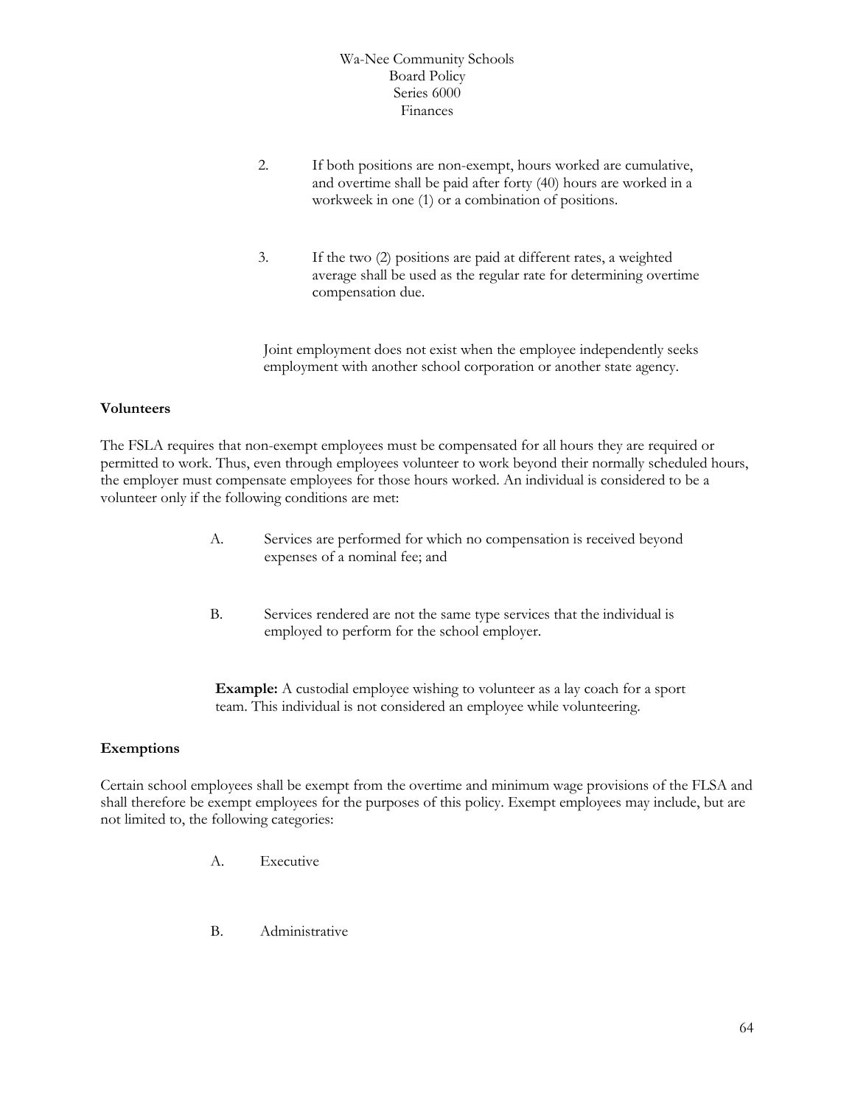- 2. If both positions are non-exempt, hours worked are cumulative, and overtime shall be paid after forty (40) hours are worked in a workweek in one (1) or a combination of positions.
- 3. If the two (2) positions are paid at different rates, a weighted average shall be used as the regular rate for determining overtime compensation due.

Joint employment does not exist when the employee independently seeks employment with another school corporation or another state agency.

#### **Volunteers**

The FSLA requires that non-exempt employees must be compensated for all hours they are required or permitted to work. Thus, even through employees volunteer to work beyond their normally scheduled hours, the employer must compensate employees for those hours worked. An individual is considered to be a volunteer only if the following conditions are met:

- A. Services are performed for which no compensation is received beyond expenses of a nominal fee; and
- B. Services rendered are not the same type services that the individual is employed to perform for the school employer.

**Example:** A custodial employee wishing to volunteer as a lay coach for a sport team. This individual is not considered an employee while volunteering.

# **Exemptions**

Certain school employees shall be exempt from the overtime and minimum wage provisions of the FLSA and shall therefore be exempt employees for the purposes of this policy. Exempt employees may include, but are not limited to, the following categories:

- A. Executive
- B. Administrative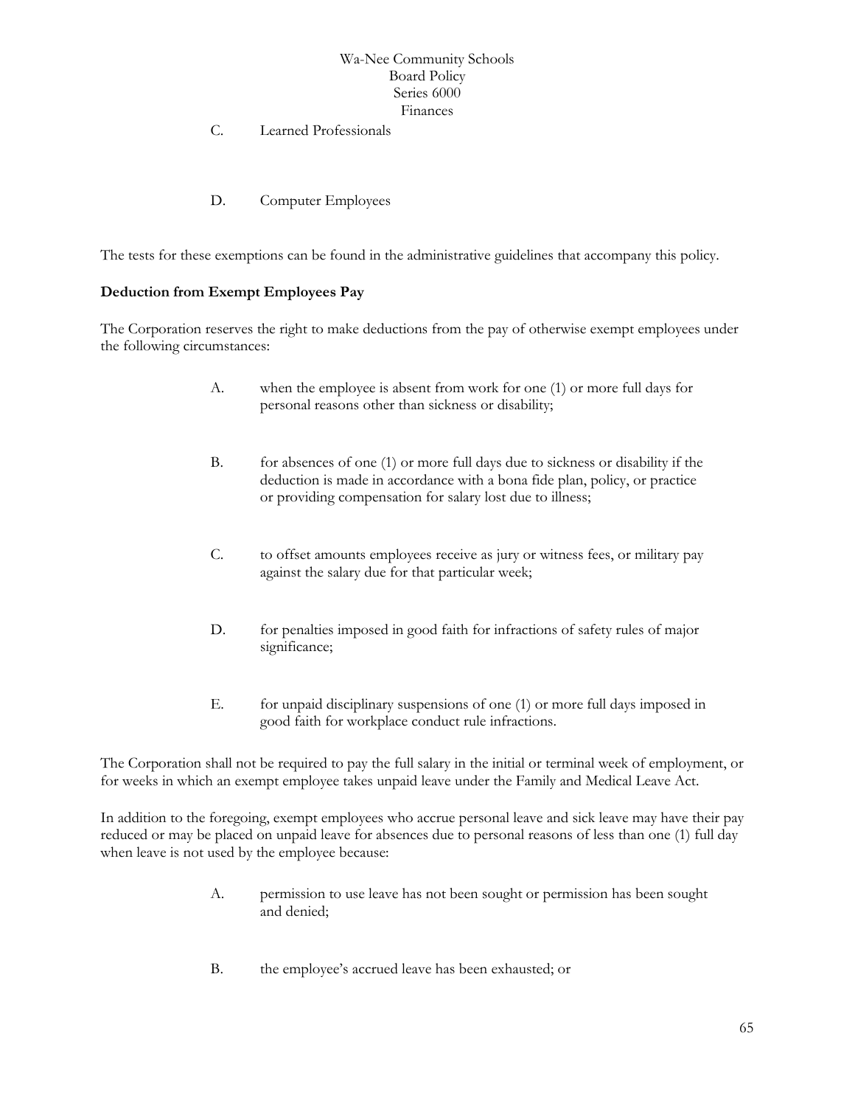C. Learned Professionals

D. Computer Employees

The tests for these exemptions can be found in the administrative guidelines that accompany this policy.

# **Deduction from Exempt Employees Pay**

The Corporation reserves the right to make deductions from the pay of otherwise exempt employees under the following circumstances:

- A. when the employee is absent from work for one (1) or more full days for personal reasons other than sickness or disability;
- B. for absences of one (1) or more full days due to sickness or disability if the deduction is made in accordance with a bona fide plan, policy, or practice or providing compensation for salary lost due to illness;
- C. to offset amounts employees receive as jury or witness fees, or military pay against the salary due for that particular week;
- D. for penalties imposed in good faith for infractions of safety rules of major significance;
- E. for unpaid disciplinary suspensions of one (1) or more full days imposed in good faith for workplace conduct rule infractions.

The Corporation shall not be required to pay the full salary in the initial or terminal week of employment, or for weeks in which an exempt employee takes unpaid leave under the Family and Medical Leave Act.

In addition to the foregoing, exempt employees who accrue personal leave and sick leave may have their pay reduced or may be placed on unpaid leave for absences due to personal reasons of less than one (1) full day when leave is not used by the employee because:

- A. permission to use leave has not been sought or permission has been sought and denied;
- B. the employee's accrued leave has been exhausted; or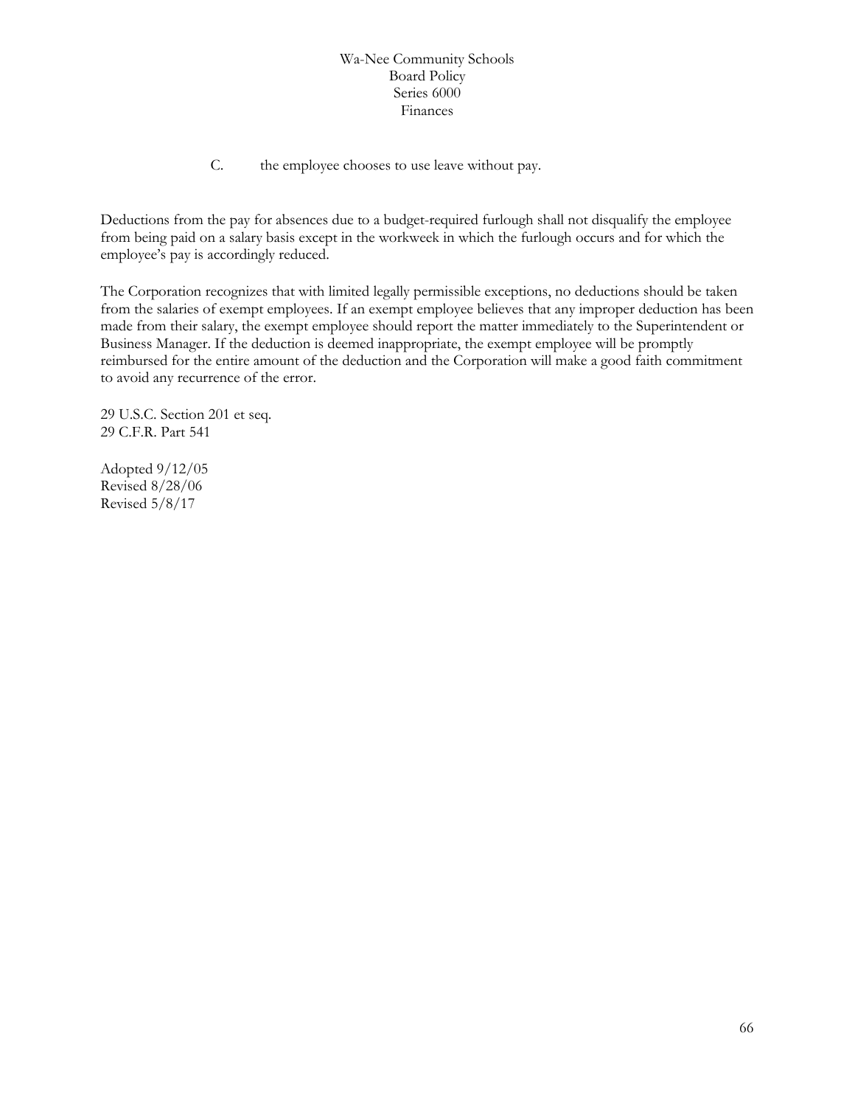C. the employee chooses to use leave without pay.

Deductions from the pay for absences due to a budget-required furlough shall not disqualify the employee from being paid on a salary basis except in the workweek in which the furlough occurs and for which the employee's pay is accordingly reduced.

The Corporation recognizes that with limited legally permissible exceptions, no deductions should be taken from the salaries of exempt employees. If an exempt employee believes that any improper deduction has been made from their salary, the exempt employee should report the matter immediately to the Superintendent or Business Manager. If the deduction is deemed inappropriate, the exempt employee will be promptly reimbursed for the entire amount of the deduction and the Corporation will make a good faith commitment to avoid any recurrence of the error.

29 U.S.C. Section 201 et seq. 29 C.F.R. Part 541

Adopted 9/12/05 Revised 8/28/06 Revised 5/8/17